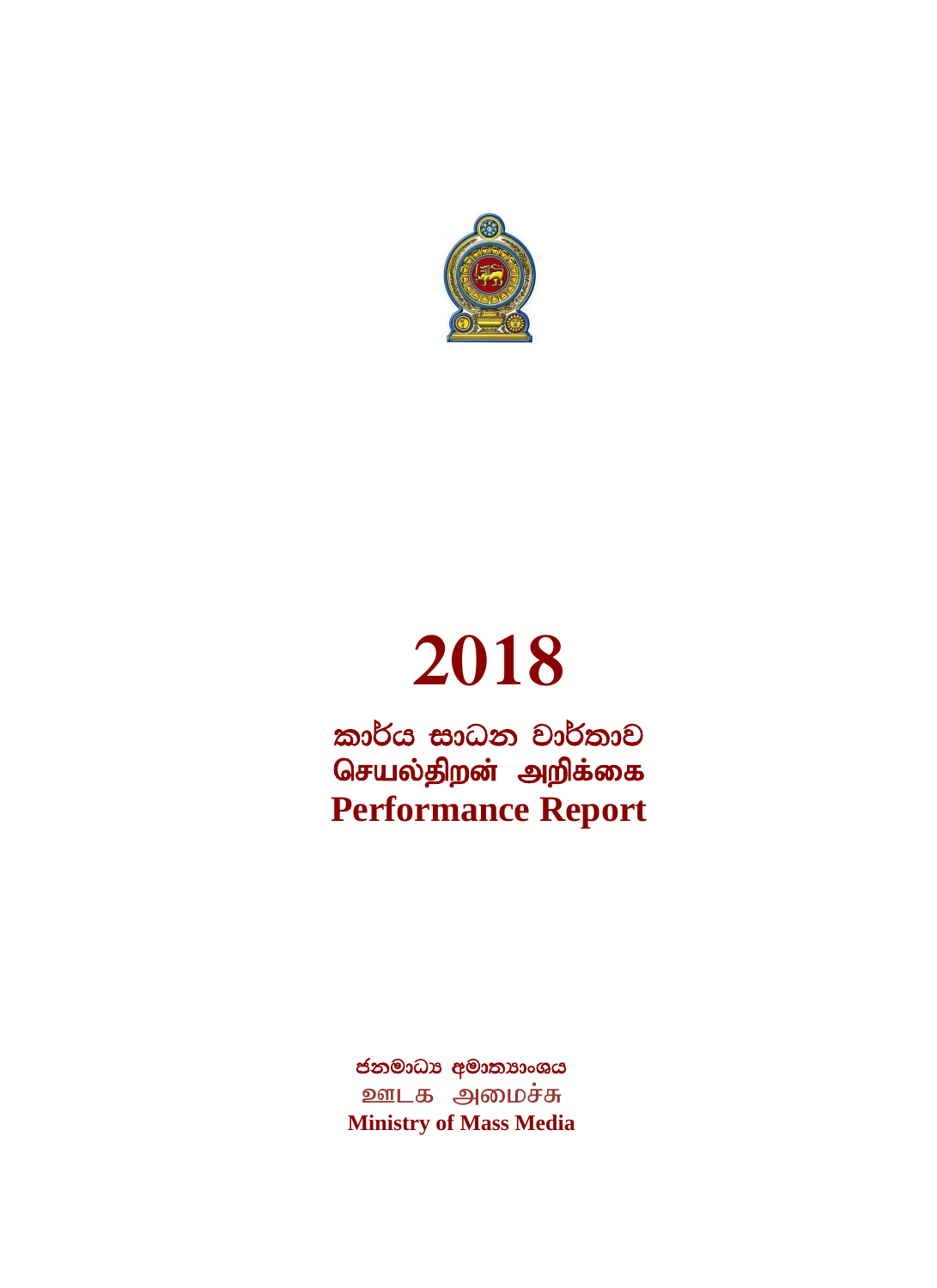

# **2018**

කාර්ය සාධන වාර්තාව செயல்திறன் அறிக்கை **Performance Report**

ජනමාධා අමාතාාංශය ஊடக அமைச்சு **Ministry of Mass Media**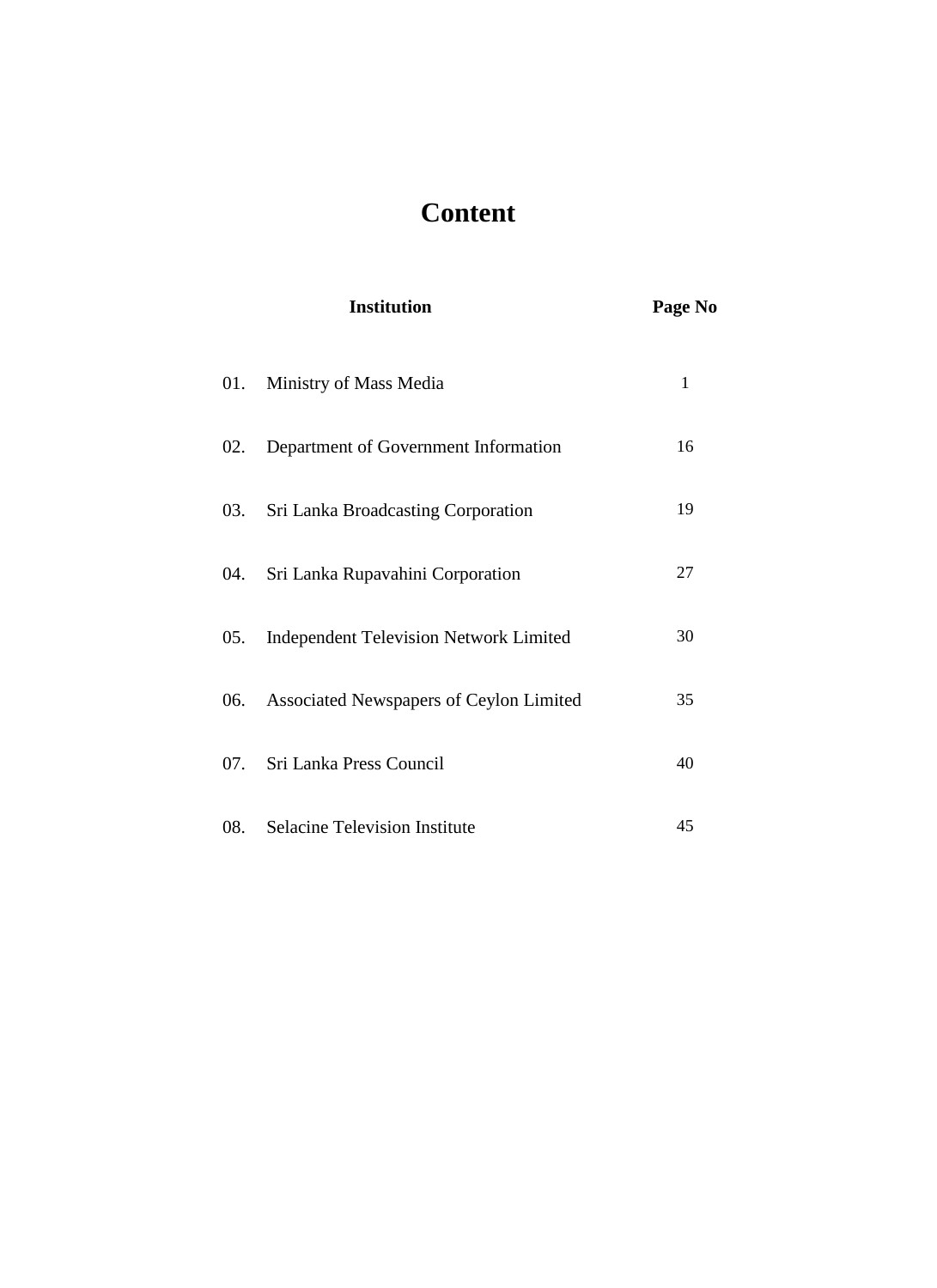# **Content**

|     | <b>Institution</b>                          | Page No |
|-----|---------------------------------------------|---------|
|     | 01. Ministry of Mass Media                  | 1       |
| 02. | Department of Government Information        | 16      |
|     | 03. Sri Lanka Broadcasting Corporation      | 19      |
|     | 04. Sri Lanka Rupavahini Corporation        | 27      |
|     | 05. Independent Television Network Limited  | 30      |
|     | 06. Associated Newspapers of Ceylon Limited | 35      |
|     | 07. Sri Lanka Press Council                 | 40      |
|     | 08. Selacine Television Institute           | 45      |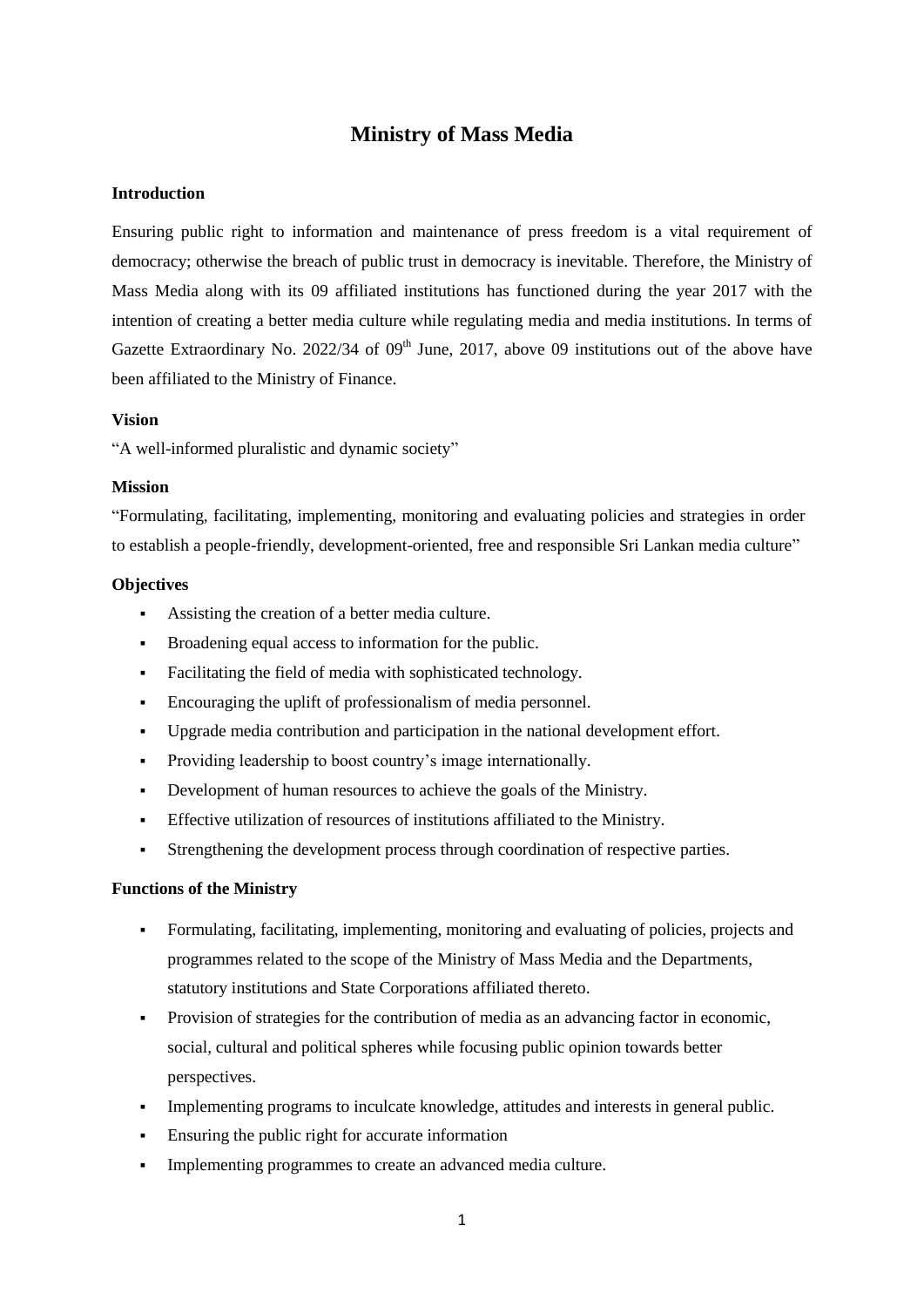# **Ministry of Mass Media**

#### **Introduction**

Ensuring public right to information and maintenance of press freedom is a vital requirement of democracy; otherwise the breach of public trust in democracy is inevitable. Therefore, the Ministry of Mass Media along with its 09 affiliated institutions has functioned during the year 2017 with the intention of creating a better media culture while regulating media and media institutions. In terms of Gazette Extraordinary No. 2022/34 of  $09<sup>th</sup>$  June, 2017, above 09 institutions out of the above have been affiliated to the Ministry of Finance.

#### **Vision**

"A well-informed pluralistic and dynamic society"

#### **Mission**

"Formulating, facilitating, implementing, monitoring and evaluating policies and strategies in order to establish a people-friendly, development-oriented, free and responsible Sri Lankan media culture"

#### **Objectives**

- Assisting the creation of a better media culture.
- Broadening equal access to information for the public.
- Facilitating the field of media with sophisticated technology.
- Encouraging the uplift of professionalism of media personnel.
- Upgrade media contribution and participation in the national development effort.
- Providing leadership to boost country"s image internationally.
- Development of human resources to achieve the goals of the Ministry.
- Effective utilization of resources of institutions affiliated to the Ministry.
- Strengthening the development process through coordination of respective parties.

#### **Functions of the Ministry**

- Formulating, facilitating, implementing, monitoring and evaluating of policies, projects and programmes related to the scope of the Ministry of Mass Media and the Departments, statutory institutions and State Corporations affiliated thereto.
- Provision of strategies for the contribution of media as an advancing factor in economic, social, cultural and political spheres while focusing public opinion towards better perspectives.
- Implementing programs to inculcate knowledge, attitudes and interests in general public.
- Ensuring the public right for accurate information
- Implementing programmes to create an advanced media culture.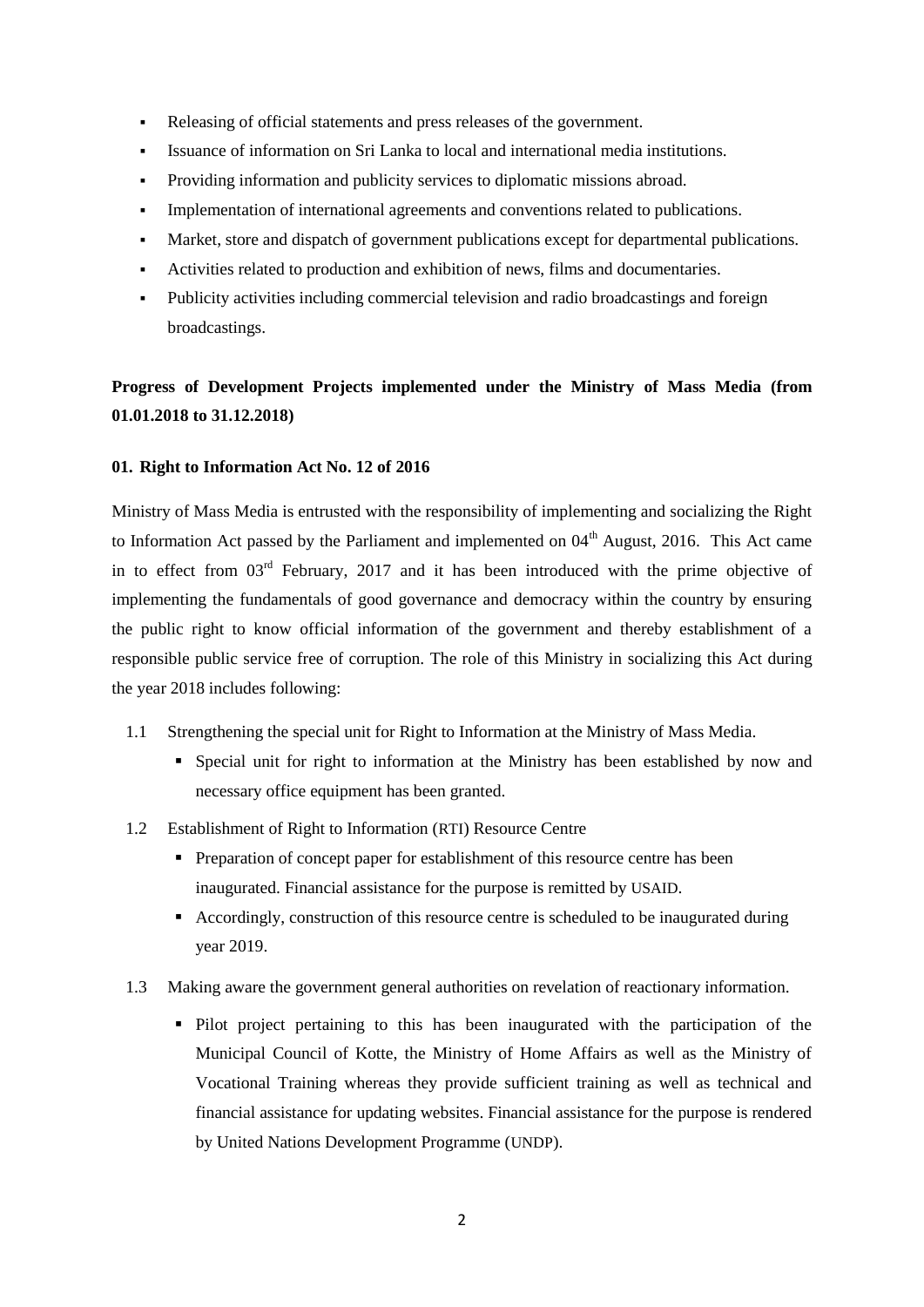- Releasing of official statements and press releases of the government.
- Issuance of information on Sri Lanka to local and international media institutions.
- Providing information and publicity services to diplomatic missions abroad.
- Implementation of international agreements and conventions related to publications.
- Market, store and dispatch of government publications except for departmental publications.
- Activities related to production and exhibition of news, films and documentaries.
- Publicity activities including commercial television and radio broadcastings and foreign broadcastings.

# **Progress of Development Projects implemented under the Ministry of Mass Media (from 01.01.2018 to 31.12.2018)**

#### **01. Right to Information Act No. 12 of 2016**

Ministry of Mass Media is entrusted with the responsibility of implementing and socializing the Right to Information Act passed by the Parliament and implemented on  $04<sup>th</sup>$  August, 2016. This Act came in to effect from  $03<sup>rd</sup>$  February, 2017 and it has been introduced with the prime objective of implementing the fundamentals of good governance and democracy within the country by ensuring the public right to know official information of the government and thereby establishment of a responsible public service free of corruption. The role of this Ministry in socializing this Act during the year 2018 includes following:

- 1.1 Strengthening the special unit for Right to Information at the Ministry of Mass Media.
	- Special unit for right to information at the Ministry has been established by now and necessary office equipment has been granted.
- 1.2 Establishment of Right to Information (RTI) Resource Centre
	- Preparation of concept paper for establishment of this resource centre has been inaugurated. Financial assistance for the purpose is remitted by USAID.
	- Accordingly, construction of this resource centre is scheduled to be inaugurated during year 2019.
- 1.3 Making aware the government general authorities on revelation of reactionary information.
	- Pilot project pertaining to this has been inaugurated with the participation of the Municipal Council of Kotte, the Ministry of Home Affairs as well as the Ministry of Vocational Training whereas they provide sufficient training as well as technical and financial assistance for updating websites. Financial assistance for the purpose is rendered by United Nations Development Programme (UNDP).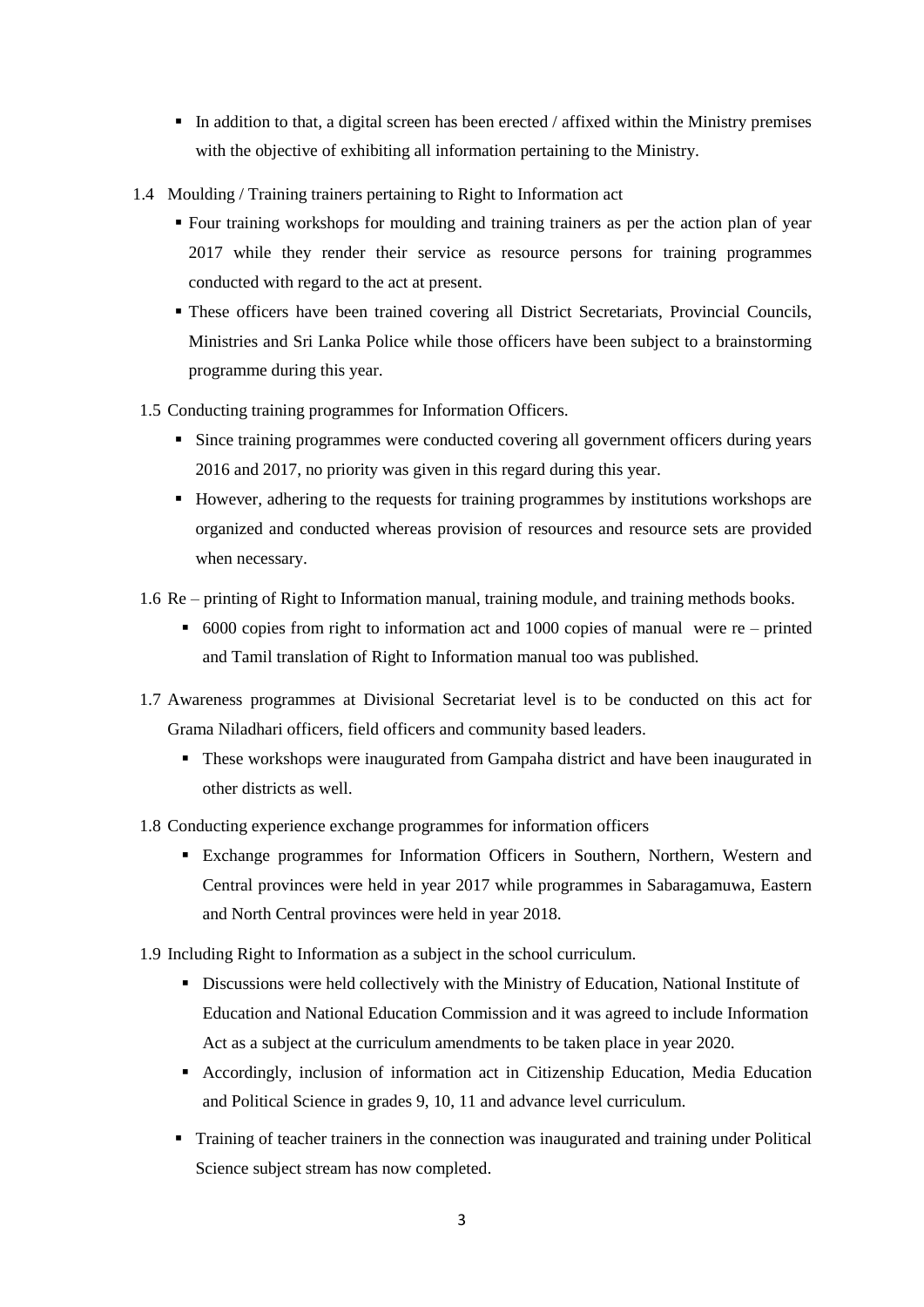- In addition to that, a digital screen has been erected / affixed within the Ministry premises with the objective of exhibiting all information pertaining to the Ministry.
- 1.4 Moulding / Training trainers pertaining to Right to Information act
	- Four training workshops for moulding and training trainers as per the action plan of year 2017 while they render their service as resource persons for training programmes conducted with regard to the act at present.
	- These officers have been trained covering all District Secretariats, Provincial Councils, Ministries and Sri Lanka Police while those officers have been subject to a brainstorming programme during this year.
- 1.5 Conducting training programmes for Information Officers.
	- Since training programmes were conducted covering all government officers during years 2016 and 2017, no priority was given in this regard during this year.
	- However, adhering to the requests for training programmes by institutions workshops are organized and conducted whereas provision of resources and resource sets are provided when necessary.
- 1.6 Re printing of Right to Information manual, training module, and training methods books.
	- 6000 copies from right to information act and 1000 copies of manual were re printed and Tamil translation of Right to Information manual too was published.
- 1.7 Awareness programmes at Divisional Secretariat level is to be conducted on this act for Grama Niladhari officers, field officers and community based leaders.
	- These workshops were inaugurated from Gampaha district and have been inaugurated in other districts as well.
- 1.8 Conducting experience exchange programmes for information officers
	- Exchange programmes for Information Officers in Southern, Northern, Western and Central provinces were held in year 2017 while programmes in Sabaragamuwa, Eastern and North Central provinces were held in year 2018.
- 1.9 Including Right to Information as a subject in the school curriculum.
	- Discussions were held collectively with the Ministry of Education, National Institute of Education and National Education Commission and it was agreed to include Information Act as a subject at the curriculum amendments to be taken place in year 2020.
	- Accordingly, inclusion of information act in Citizenship Education, Media Education and Political Science in grades 9, 10, 11 and advance level curriculum.
	- Training of teacher trainers in the connection was inaugurated and training under Political Science subject stream has now completed.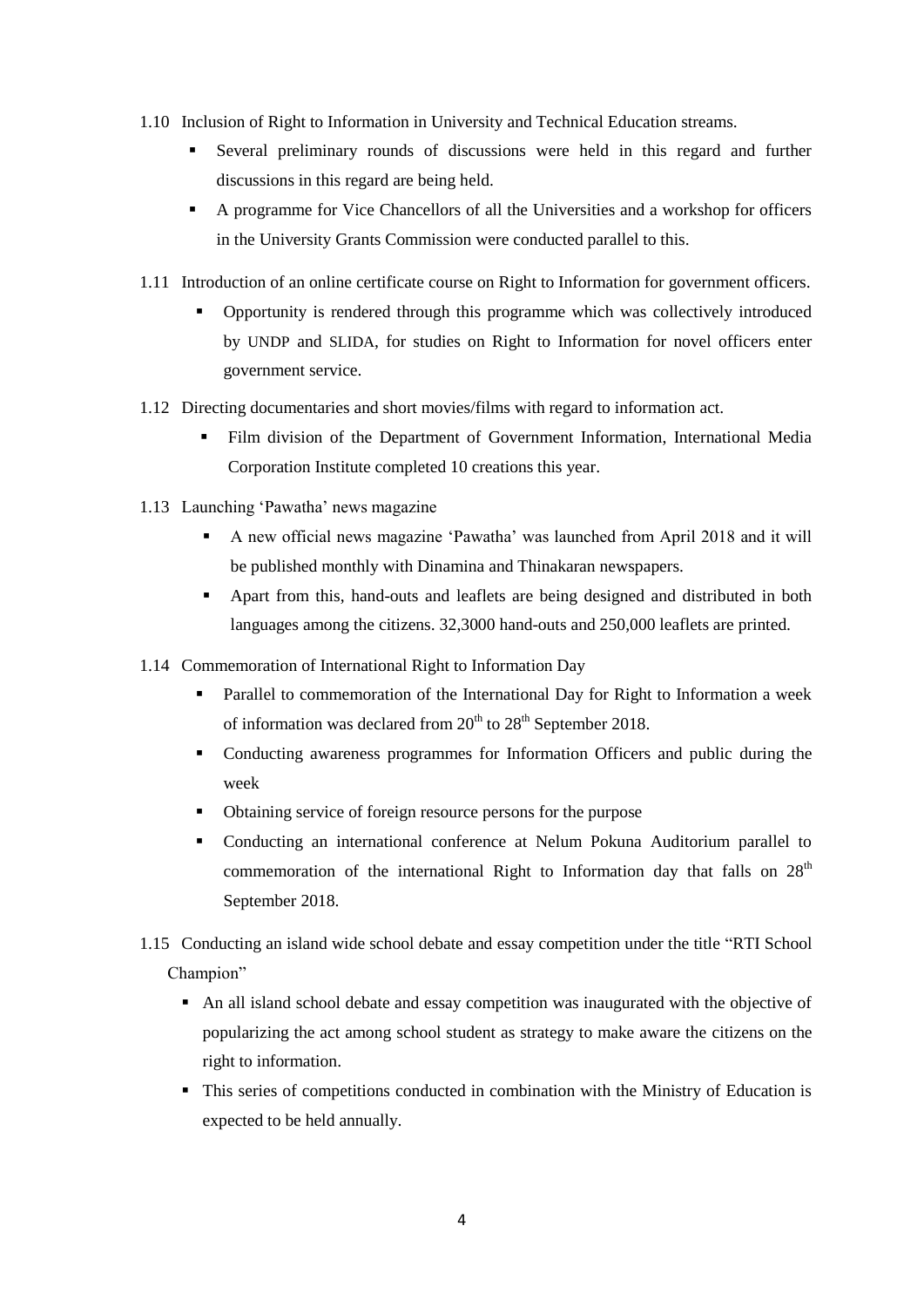- 1.10 Inclusion of Right to Information in University and Technical Education streams.
	- Several preliminary rounds of discussions were held in this regard and further discussions in this regard are being held.
	- A programme for Vice Chancellors of all the Universities and a workshop for officers in the University Grants Commission were conducted parallel to this.
- 1.11 Introduction of an online certificate course on Right to Information for government officers.
	- Opportunity is rendered through this programme which was collectively introduced by UNDP and SLIDA, for studies on Right to Information for novel officers enter government service.
- 1.12 Directing documentaries and short movies/films with regard to information act.
	- Film division of the Department of Government Information, International Media Corporation Institute completed 10 creations this year.
- 1.13 Launching "Pawatha" news magazine
	- A new official news magazine "Pawatha" was launched from April 2018 and it will be published monthly with Dinamina and Thinakaran newspapers.
	- Apart from this, hand-outs and leaflets are being designed and distributed in both languages among the citizens. 32,3000 hand-outs and 250,000 leaflets are printed.
- 1.14 Commemoration of International Right to Information Day
	- Parallel to commemoration of the International Day for Right to Information a week of information was declared from  $20^{th}$  to  $28^{th}$  September 2018.
	- Conducting awareness programmes for Information Officers and public during the week
	- Obtaining service of foreign resource persons for the purpose
	- Conducting an international conference at Nelum Pokuna Auditorium parallel to commemoration of the international Right to Information day that falls on 28<sup>th</sup> September 2018.
- 1.15 Conducting an island wide school debate and essay competition under the title "RTI School Champion"
	- An all island school debate and essay competition was inaugurated with the objective of popularizing the act among school student as strategy to make aware the citizens on the right to information.
	- This series of competitions conducted in combination with the Ministry of Education is expected to be held annually.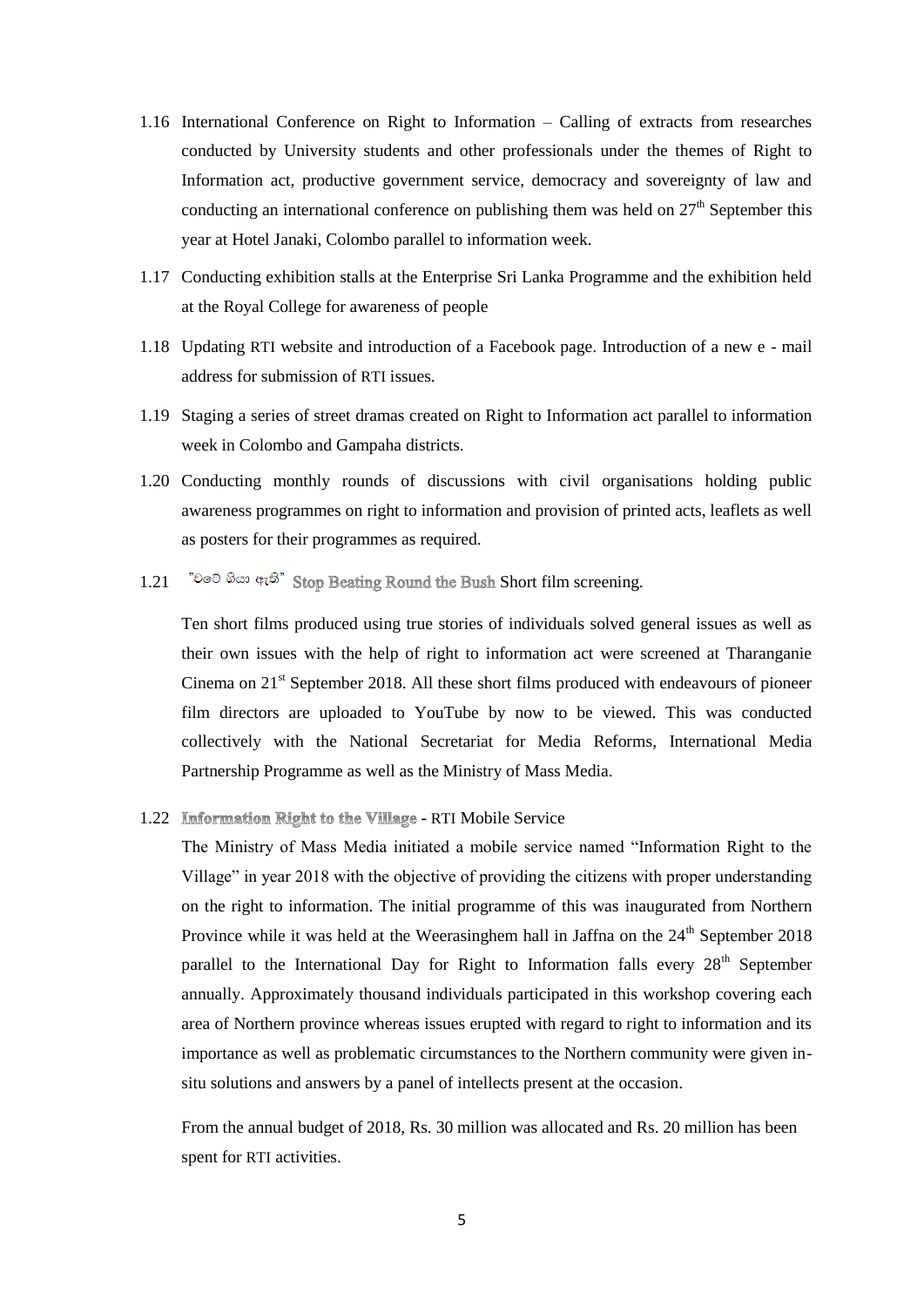- 1.16 International Conference on Right to Information Calling of extracts from researches conducted by University students and other professionals under the themes of Right to Information act, productive government service, democracy and sovereignty of law and conducting an international conference on publishing them was held on  $27<sup>th</sup>$  September this year at Hotel Janaki, Colombo parallel to information week.
- 1.17 Conducting exhibition stalls at the Enterprise Sri Lanka Programme and the exhibition held at the Royal College for awareness of people
- 1.18 Updating RTI website and introduction of a Facebook page. Introduction of a new e mail address for submission of RTI issues.
- 1.19 Staging a series of street dramas created on Right to Information act parallel to information week in Colombo and Gampaha districts.
- 1.20 Conducting monthly rounds of discussions with civil organisations holding public awareness programmes on right to information and provision of printed acts, leaflets as well as posters for their programmes as required.
- 1.21 "Do  $\partial$   $\partial \omega$  and  $\partial \overline{\partial}$ " Stop Beating Round the Bush Short film screening.

Ten short films produced using true stories of individuals solved general issues as well as their own issues with the help of right to information act were screened at Tharanganie Cinema on  $21<sup>st</sup>$  September 2018. All these short films produced with endeavours of pioneer film directors are uploaded to YouTube by now to be viewed. This was conducted collectively with the National Secretariat for Media Reforms, International Media Partnership Programme as well as the Ministry of Mass Media.

1.22 Information Right to the Village - RTI Mobile Service

The Ministry of Mass Media initiated a mobile service named "Information Right to the Village" in year 2018 with the objective of providing the citizens with proper understanding on the right to information. The initial programme of this was inaugurated from Northern Province while it was held at the Weerasinghem hall in Jaffna on the  $24<sup>th</sup>$  September 2018 parallel to the International Day for Right to Information falls every  $28<sup>th</sup>$  September annually. Approximately thousand individuals participated in this workshop covering each area of Northern province whereas issues erupted with regard to right to information and its importance as well as problematic circumstances to the Northern community were given insitu solutions and answers by a panel of intellects present at the occasion.

From the annual budget of 2018, Rs. 30 million was allocated and Rs. 20 million has been spent for RTI activities.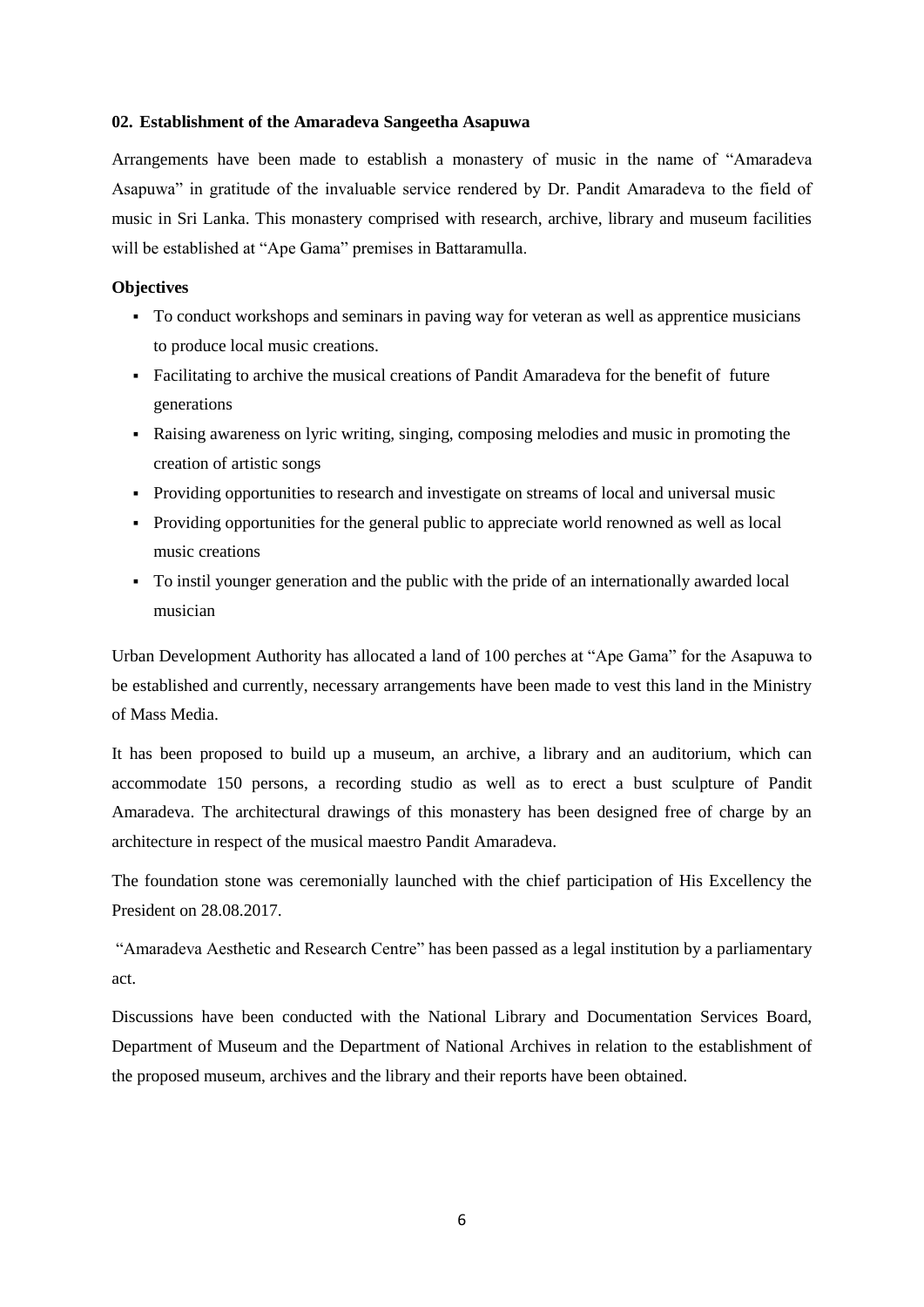#### **02. Establishment of the Amaradeva Sangeetha Asapuwa**

Arrangements have been made to establish a monastery of music in the name of "Amaradeva Asapuwa" in gratitude of the invaluable service rendered by Dr. Pandit Amaradeva to the field of music in Sri Lanka. This monastery comprised with research, archive, library and museum facilities will be established at "Ape Gama" premises in Battaramulla.

#### **Objectives**

- To conduct workshops and seminars in paving way for veteran as well as apprentice musicians to produce local music creations.
- Facilitating to archive the musical creations of Pandit Amaradeva for the benefit of future generations
- Raising awareness on lyric writing, singing, composing melodies and music in promoting the creation of artistic songs
- Providing opportunities to research and investigate on streams of local and universal music
- Providing opportunities for the general public to appreciate world renowned as well as local music creations
- To instil younger generation and the public with the pride of an internationally awarded local musician

Urban Development Authority has allocated a land of 100 perches at "Ape Gama" for the Asapuwa to be established and currently, necessary arrangements have been made to vest this land in the Ministry of Mass Media.

It has been proposed to build up a museum, an archive, a library and an auditorium, which can accommodate 150 persons, a recording studio as well as to erect a bust sculpture of Pandit Amaradeva. The architectural drawings of this monastery has been designed free of charge by an architecture in respect of the musical maestro Pandit Amaradeva.

The foundation stone was ceremonially launched with the chief participation of His Excellency the President on 28.08.2017.

"Amaradeva Aesthetic and Research Centre" has been passed as a legal institution by a parliamentary act.

Discussions have been conducted with the National Library and Documentation Services Board, Department of Museum and the Department of National Archives in relation to the establishment of the proposed museum, archives and the library and their reports have been obtained.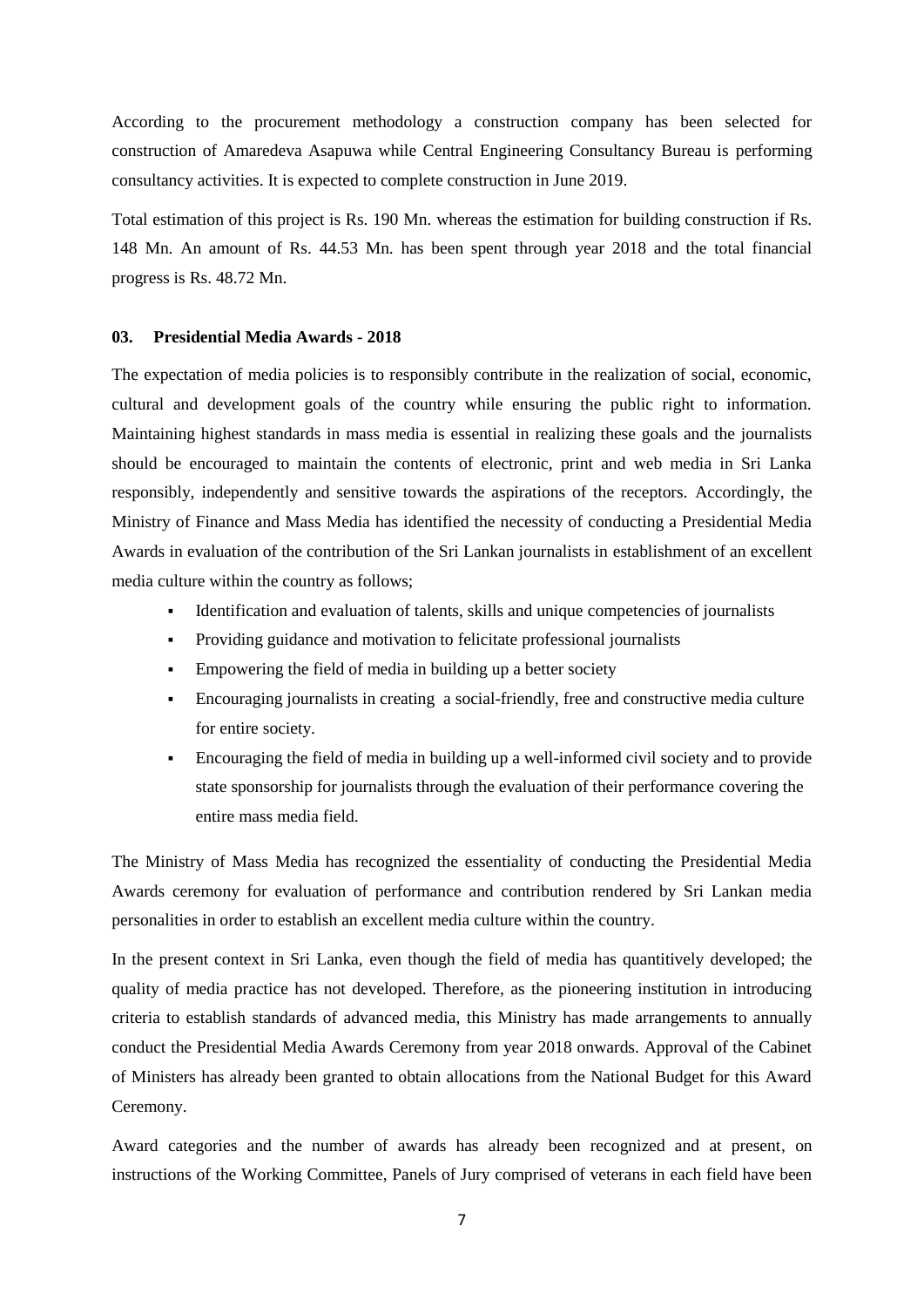According to the procurement methodology a construction company has been selected for construction of Amaredeva Asapuwa while Central Engineering Consultancy Bureau is performing consultancy activities. It is expected to complete construction in June 2019.

Total estimation of this project is Rs. 190 Mn. whereas the estimation for building construction if Rs. 148 Mn. An amount of Rs. 44.53 Mn. has been spent through year 2018 and the total financial progress is Rs. 48.72 Mn.

#### **03. Presidential Media Awards - 2018**

The expectation of media policies is to responsibly contribute in the realization of social, economic, cultural and development goals of the country while ensuring the public right to information. Maintaining highest standards in mass media is essential in realizing these goals and the journalists should be encouraged to maintain the contents of electronic, print and web media in Sri Lanka responsibly, independently and sensitive towards the aspirations of the receptors. Accordingly, the Ministry of Finance and Mass Media has identified the necessity of conducting a Presidential Media Awards in evaluation of the contribution of the Sri Lankan journalists in establishment of an excellent media culture within the country as follows;

- Identification and evaluation of talents, skills and unique competencies of journalists
- Providing guidance and motivation to felicitate professional journalists
- Empowering the field of media in building up a better society
- Encouraging journalists in creating a social-friendly, free and constructive media culture for entire society.
- Encouraging the field of media in building up a well-informed civil society and to provide state sponsorship for journalists through the evaluation of their performance covering the entire mass media field.

The Ministry of Mass Media has recognized the essentiality of conducting the Presidential Media Awards ceremony for evaluation of performance and contribution rendered by Sri Lankan media personalities in order to establish an excellent media culture within the country.

In the present context in Sri Lanka, even though the field of media has quantitively developed; the quality of media practice has not developed. Therefore, as the pioneering institution in introducing criteria to establish standards of advanced media, this Ministry has made arrangements to annually conduct the Presidential Media Awards Ceremony from year 2018 onwards. Approval of the Cabinet of Ministers has already been granted to obtain allocations from the National Budget for this Award Ceremony.

Award categories and the number of awards has already been recognized and at present, on instructions of the Working Committee, Panels of Jury comprised of veterans in each field have been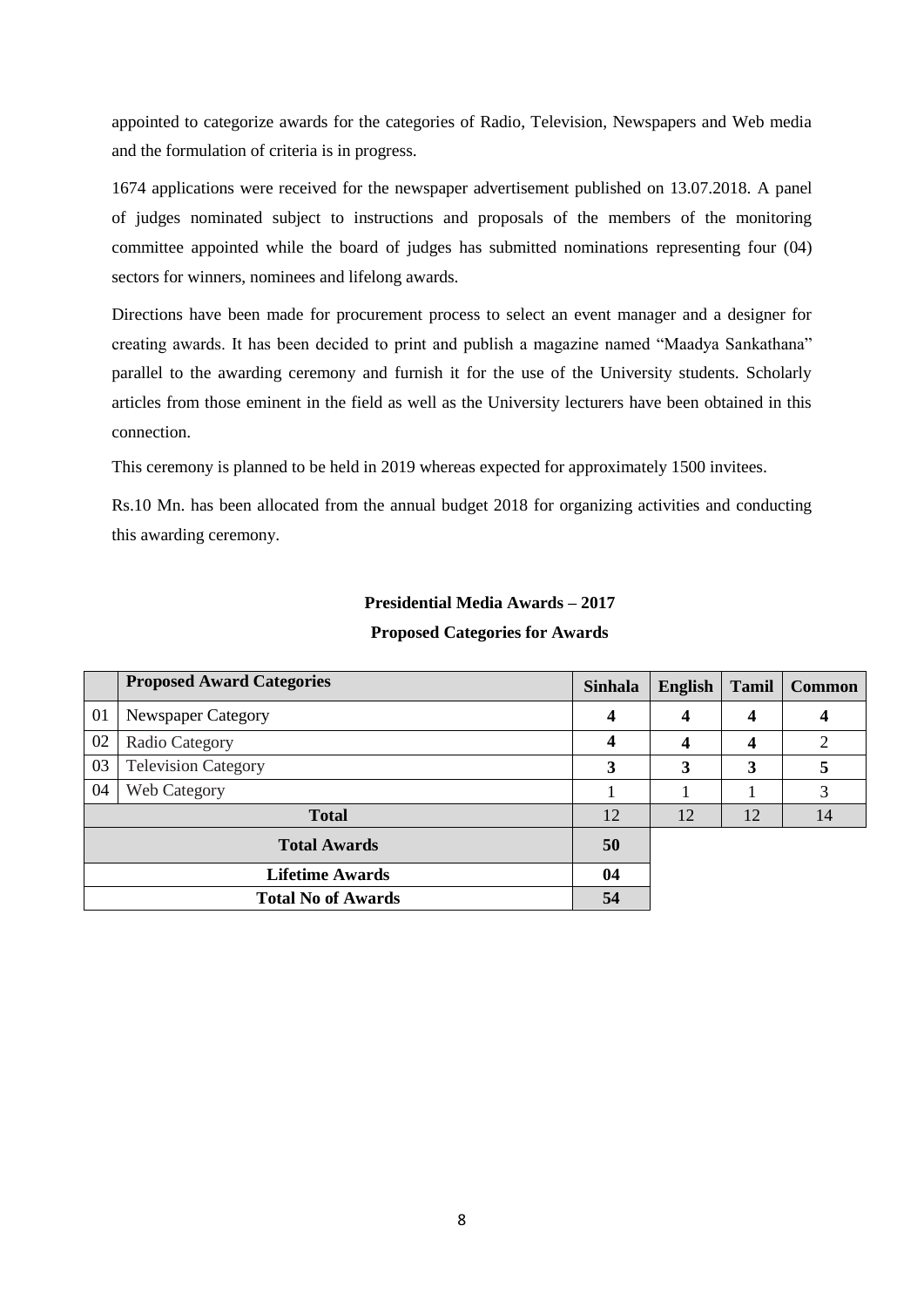appointed to categorize awards for the categories of Radio, Television, Newspapers and Web media and the formulation of criteria is in progress.

1674 applications were received for the newspaper advertisement published on 13.07.2018. A panel of judges nominated subject to instructions and proposals of the members of the monitoring committee appointed while the board of judges has submitted nominations representing four (04) sectors for winners, nominees and lifelong awards.

Directions have been made for procurement process to select an event manager and a designer for creating awards. It has been decided to print and publish a magazine named "Maadya Sankathana" parallel to the awarding ceremony and furnish it for the use of the University students. Scholarly articles from those eminent in the field as well as the University lecturers have been obtained in this connection.

This ceremony is planned to be held in 2019 whereas expected for approximately 1500 invitees.

Rs.10 Mn. has been allocated from the annual budget 2018 for organizing activities and conducting this awarding ceremony.

# **Presidential Media Awards – 2017 Proposed Categories for Awards**

|              | <b>Proposed Award Categories</b> | <b>Sinhala</b> | <b>English</b> | <b>Tamil</b> | <b>Common</b>  |
|--------------|----------------------------------|----------------|----------------|--------------|----------------|
| 01           | Newspaper Category               | 4              | 4              | 4            | 4              |
| 02           | Radio Category                   |                | 4              | 4            | $\overline{2}$ |
| 03           | <b>Television Category</b>       |                | 3              | 3            | 5              |
| 04           | <b>Web Category</b>              |                |                |              | 3              |
| <b>Total</b> |                                  | 12             | 12             | 12           | 14             |
|              | <b>Total Awards</b>              |                |                |              |                |
|              | <b>Lifetime Awards</b>           |                |                |              |                |
|              | <b>Total No of Awards</b>        | 54             |                |              |                |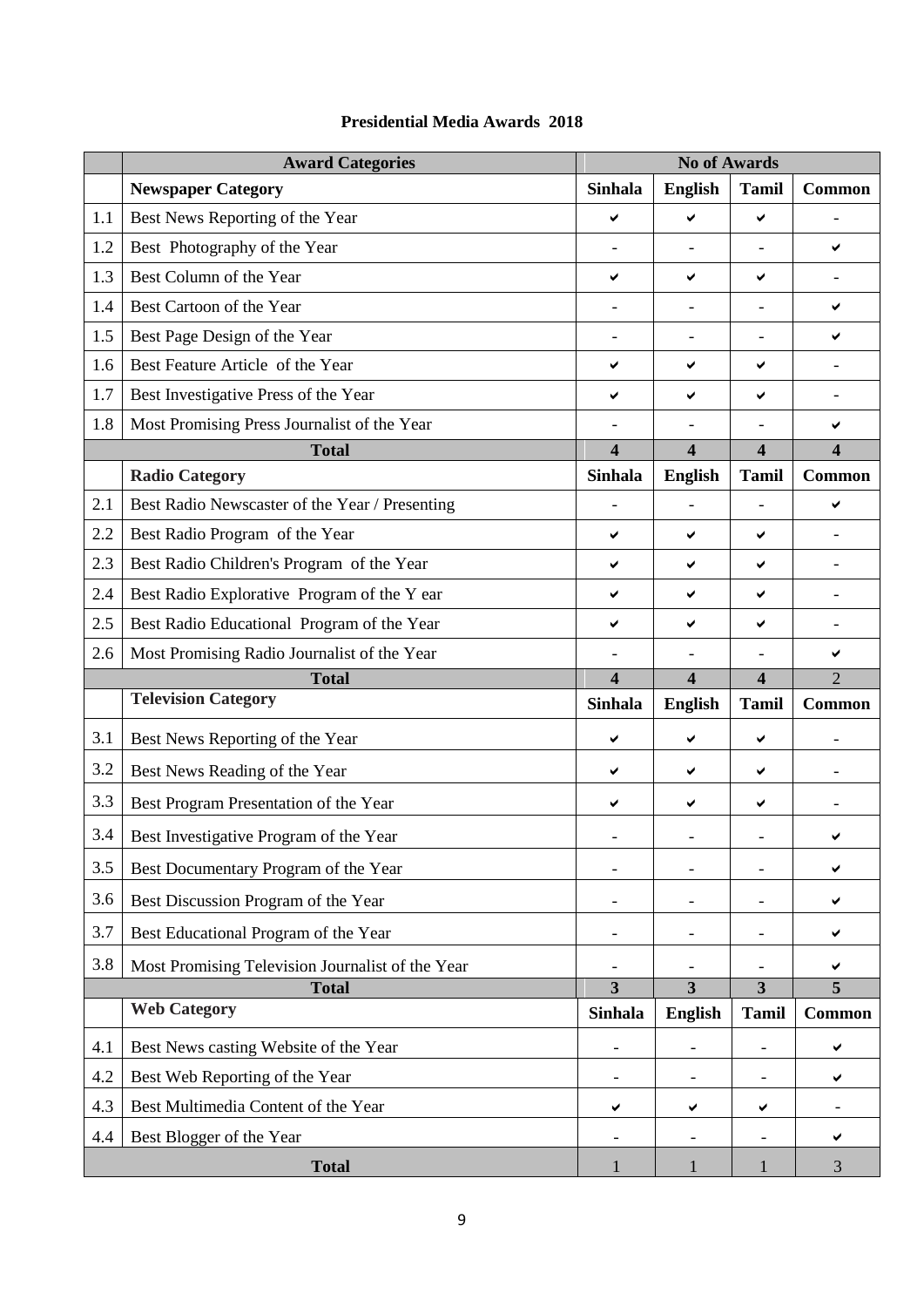|     | <b>Award Categories</b>                          | <b>No of Awards</b>      |                          |                          |                          |
|-----|--------------------------------------------------|--------------------------|--------------------------|--------------------------|--------------------------|
|     | <b>Newspaper Category</b>                        | <b>Sinhala</b>           | <b>English</b>           | <b>Tamil</b>             | Common                   |
| 1.1 | Best News Reporting of the Year                  | ✔                        | ✔                        | ✔                        |                          |
| 1.2 | Best Photography of the Year                     |                          |                          |                          | ✔                        |
| 1.3 | Best Column of the Year                          | ✔                        | ✔                        | ✔                        |                          |
| 1.4 | Best Cartoon of the Year                         |                          |                          |                          | ✔                        |
| 1.5 | Best Page Design of the Year                     |                          |                          |                          | ✔                        |
| 1.6 | Best Feature Article of the Year                 | ✔                        | ✔                        | ✔                        |                          |
| 1.7 | Best Investigative Press of the Year<br>✔<br>✔   |                          | ✔                        | $\overline{\phantom{a}}$ |                          |
| 1.8 | Most Promising Press Journalist of the Year      |                          |                          |                          | ✔                        |
|     | <b>Total</b>                                     | $\overline{\mathbf{4}}$  | $\overline{\mathbf{4}}$  | $\overline{\mathbf{4}}$  | $\overline{\mathbf{4}}$  |
|     | <b>Radio Category</b>                            | <b>Sinhala</b>           | <b>English</b>           | <b>Tamil</b>             | <b>Common</b>            |
| 2.1 | Best Radio Newscaster of the Year / Presenting   |                          |                          | $\overline{\phantom{0}}$ | ✔                        |
| 2.2 | Best Radio Program of the Year                   | ✔                        | ✔                        | ✔                        |                          |
| 2.3 | Best Radio Children's Program of the Year        | ✔                        | ✔                        | ✔                        |                          |
| 2.4 | Best Radio Explorative Program of the Y ear      | ✔                        | ✔                        | ✔                        |                          |
| 2.5 | Best Radio Educational Program of the Year       | ✔                        | ✔                        | ✔                        |                          |
| 2.6 | Most Promising Radio Journalist of the Year      |                          |                          |                          | ✔                        |
|     |                                                  |                          |                          |                          |                          |
|     | <b>Total</b>                                     | $\overline{\mathbf{4}}$  | $\overline{\mathbf{4}}$  | $\overline{\mathbf{4}}$  | $\overline{2}$           |
|     | <b>Television Category</b>                       | <b>Sinhala</b>           | <b>English</b>           | <b>Tamil</b>             | <b>Common</b>            |
| 3.1 | Best News Reporting of the Year                  | ✔                        | ✔                        | ✔                        |                          |
| 3.2 | Best News Reading of the Year                    | ✔                        | ✔                        | ✔                        |                          |
| 3.3 | Best Program Presentation of the Year            | ✔                        | ✔                        | ✔                        | $\overline{\phantom{0}}$ |
| 3.4 | Best Investigative Program of the Year           |                          |                          |                          |                          |
| 3.5 | Best Documentary Program of the Year             | $\qquad \qquad -$        | $\overline{\phantom{a}}$ | $\overline{\phantom{a}}$ | ✔                        |
| 3.6 | Best Discussion Program of the Year              |                          |                          |                          | ✔                        |
| 3.7 | Best Educational Program of the Year             | $\overline{\phantom{a}}$ | $\overline{\phantom{a}}$ | $\overline{\phantom{a}}$ | ✔                        |
| 3.8 | Most Promising Television Journalist of the Year |                          |                          |                          | ✔                        |
|     | <b>Total</b>                                     | $\overline{\mathbf{3}}$  | $\overline{3}$           | 3                        | 5                        |
|     | <b>Web Category</b>                              | <b>Sinhala</b>           | <b>English</b>           | <b>Tamil</b>             | <b>Common</b>            |
| 4.1 | Best News casting Website of the Year            |                          |                          |                          | ✔                        |
| 4.2 | Best Web Reporting of the Year                   | $\overline{\phantom{a}}$ |                          |                          | ✔                        |
| 4.3 | Best Multimedia Content of the Year              | ✔                        | ✔                        | ✔                        |                          |
| 4.4 | Best Blogger of the Year                         | $\overline{\phantom{a}}$ |                          | $\overline{\phantom{a}}$ | ✔                        |

# **Presidential Media Awards 2018**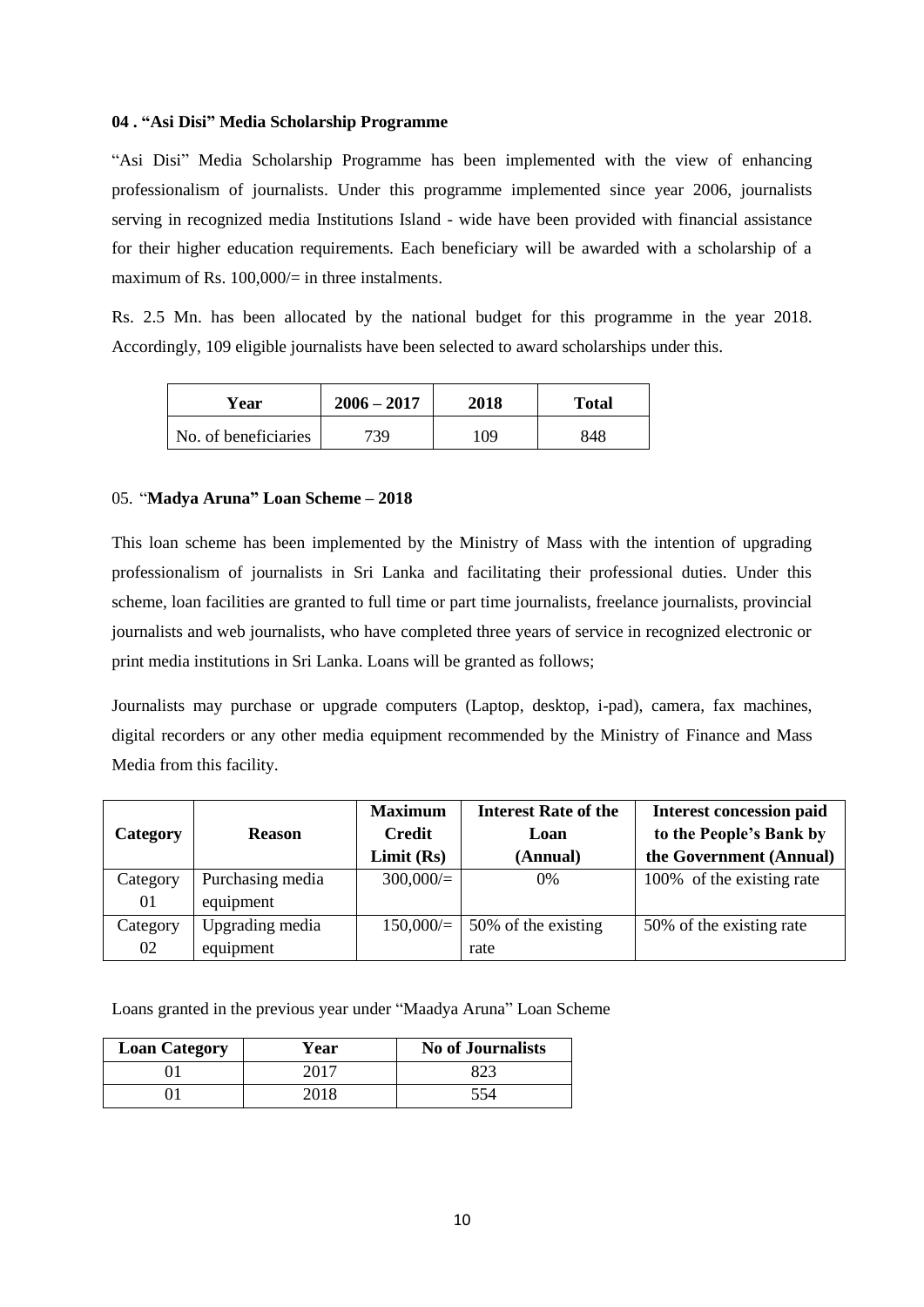#### **04 . "Asi Disi" Media Scholarship Programme**

"Asi Disi" Media Scholarship Programme has been implemented with the view of enhancing professionalism of journalists. Under this programme implemented since year 2006, journalists serving in recognized media Institutions Island - wide have been provided with financial assistance for their higher education requirements. Each beneficiary will be awarded with a scholarship of a maximum of Rs.  $100,000/=\text{in three instalments.}$ 

Rs. 2.5 Mn. has been allocated by the national budget for this programme in the year 2018. Accordingly, 109 eligible journalists have been selected to award scholarships under this.

| Year                 | $2006 - 2017$ | 2018 | <b>Total</b> |
|----------------------|---------------|------|--------------|
| No. of beneficiaries | 739           | 109  | 848          |

#### 05. "**Madya Aruna" Loan Scheme – 2018**

This loan scheme has been implemented by the Ministry of Mass with the intention of upgrading professionalism of journalists in Sri Lanka and facilitating their professional duties. Under this scheme, loan facilities are granted to full time or part time journalists, freelance journalists, provincial journalists and web journalists, who have completed three years of service in recognized electronic or print media institutions in Sri Lanka. Loans will be granted as follows;

Journalists may purchase or upgrade computers (Laptop, desktop, i-pad), camera, fax machines, digital recorders or any other media equipment recommended by the Ministry of Finance and Mass Media from this facility.

|                 |                  | <b>Maximum</b> | <b>Interest Rate of the</b> | <b>Interest concession paid</b> |
|-----------------|------------------|----------------|-----------------------------|---------------------------------|
| <b>Category</b> | <b>Reason</b>    | <b>Credit</b>  | Loan                        | to the People's Bank by         |
|                 |                  | Limit(Rs)      | (Annual)                    | the Government (Annual)         |
| Category        | Purchasing media | $300,000/=$    | $0\%$                       | 100% of the existing rate       |
| 01              | equipment        |                |                             |                                 |
| Category        | Upgrading media  | 150,000/       | 50% of the existing         | 50% of the existing rate        |
| 02              | equipment        |                | rate                        |                                 |

Loans granted in the previous year under "Maadya Aruna" Loan Scheme

| <b>Loan Category</b> | Year | <b>No of Journalists</b> |
|----------------------|------|--------------------------|
|                      | 2017 |                          |
|                      | 2018 | 554                      |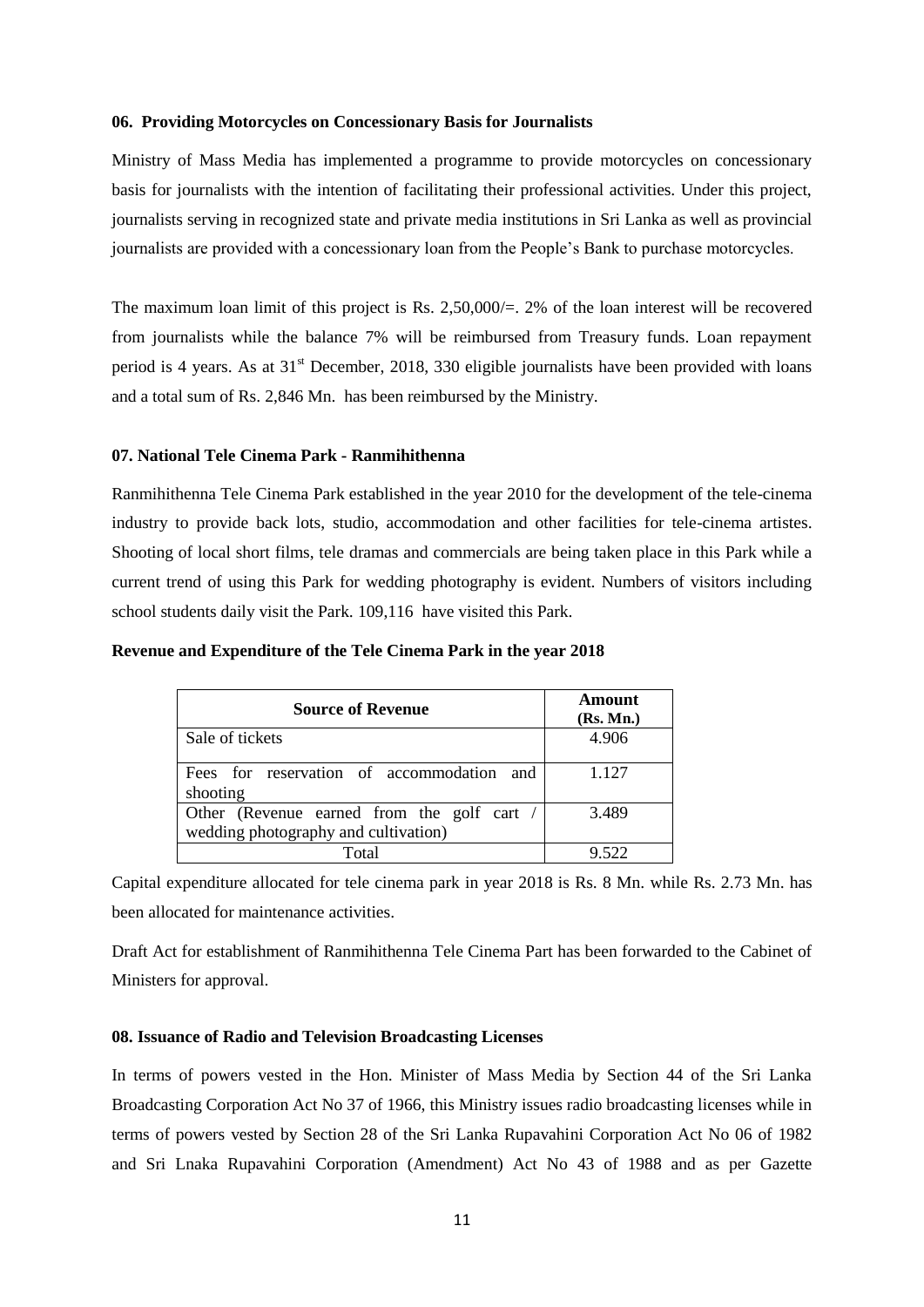#### **06. Providing Motorcycles on Concessionary Basis for Journalists**

Ministry of Mass Media has implemented a programme to provide motorcycles on concessionary basis for journalists with the intention of facilitating their professional activities. Under this project, journalists serving in recognized state and private media institutions in Sri Lanka as well as provincial journalists are provided with a concessionary loan from the People"s Bank to purchase motorcycles.

The maximum loan limit of this project is Rs. 2,50,000/=. 2% of the loan interest will be recovered from journalists while the balance 7% will be reimbursed from Treasury funds. Loan repayment period is 4 years. As at  $31<sup>st</sup>$  December, 2018, 330 eligible journalists have been provided with loans and a total sum of Rs. 2,846 Mn. has been reimbursed by the Ministry.

#### **07. National Tele Cinema Park - Ranmihithenna**

Ranmihithenna Tele Cinema Park established in the year 2010 for the development of the tele-cinema industry to provide back lots, studio, accommodation and other facilities for tele-cinema artistes. Shooting of local short films, tele dramas and commercials are being taken place in this Park while a current trend of using this Park for wedding photography is evident. Numbers of visitors including school students daily visit the Park. 109,116 have visited this Park.

| <b>Source of Revenue</b>                                                           | Amount<br>(Rs. Mn.) |
|------------------------------------------------------------------------------------|---------------------|
| Sale of tickets                                                                    | 4.906               |
| Fees for reservation of accommodation and<br>shooting                              | 1.127               |
| Other (Revenue earned from the golf cart /<br>wedding photography and cultivation) | 3.489               |
| Total                                                                              |                     |

#### **Revenue and Expenditure of the Tele Cinema Park in the year 2018**

Capital expenditure allocated for tele cinema park in year 2018 is Rs. 8 Mn. while Rs. 2.73 Mn. has been allocated for maintenance activities.

Draft Act for establishment of Ranmihithenna Tele Cinema Part has been forwarded to the Cabinet of Ministers for approval.

#### **08. Issuance of Radio and Television Broadcasting Licenses**

In terms of powers vested in the Hon. Minister of Mass Media by Section 44 of the Sri Lanka Broadcasting Corporation Act No 37 of 1966, this Ministry issues radio broadcasting licenses while in terms of powers vested by Section 28 of the Sri Lanka Rupavahini Corporation Act No 06 of 1982 and Sri Lnaka Rupavahini Corporation (Amendment) Act No 43 of 1988 and as per Gazette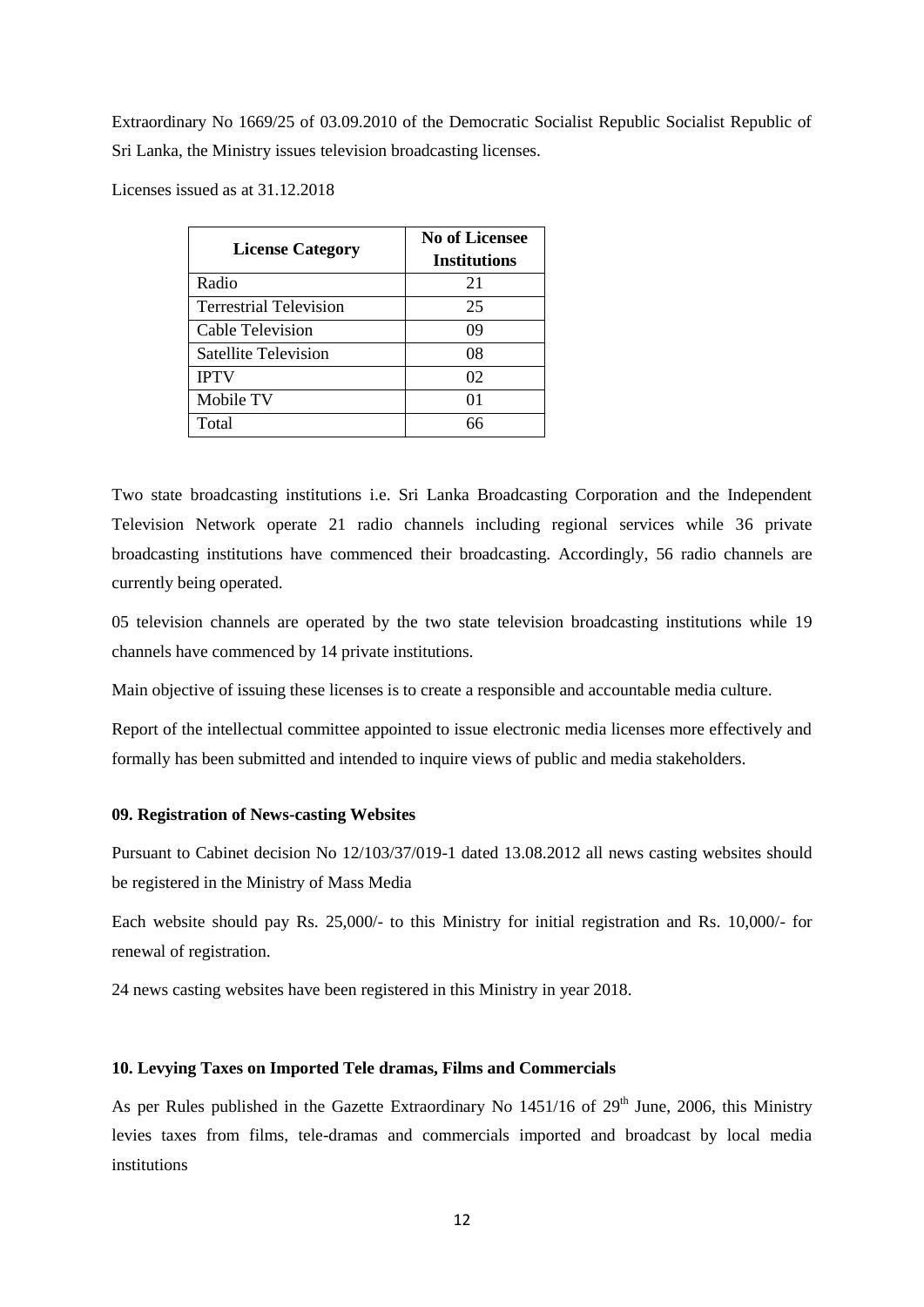Extraordinary No 1669/25 of 03.09.2010 of the Democratic Socialist Republic Socialist Republic of Sri Lanka, the Ministry issues television broadcasting licenses.

Licenses issued as at 31.12.2018

| <b>License Category</b>       | <b>No of Licensee</b><br><b>Institutions</b> |
|-------------------------------|----------------------------------------------|
| Radio                         | 21                                           |
| <b>Terrestrial Television</b> | 25                                           |
| Cable Television              | 09                                           |
| <b>Satellite Television</b>   | 08                                           |
| <b>IPTV</b>                   | 02                                           |
| Mobile TV                     | ሰ1                                           |
| Total                         | 66                                           |

Two state broadcasting institutions i.e. Sri Lanka Broadcasting Corporation and the Independent Television Network operate 21 radio channels including regional services while 36 private broadcasting institutions have commenced their broadcasting. Accordingly, 56 radio channels are currently being operated.

05 television channels are operated by the two state television broadcasting institutions while 19 channels have commenced by 14 private institutions.

Main objective of issuing these licenses is to create a responsible and accountable media culture.

Report of the intellectual committee appointed to issue electronic media licenses more effectively and formally has been submitted and intended to inquire views of public and media stakeholders.

#### **09. Registration of News-casting Websites**

Pursuant to Cabinet decision No 12/103/37/019-1 dated 13.08.2012 all news casting websites should be registered in the Ministry of Mass Media

Each website should pay Rs. 25,000/- to this Ministry for initial registration and Rs. 10,000/- for renewal of registration.

24 news casting websites have been registered in this Ministry in year 2018.

#### **10. Levying Taxes on Imported Tele dramas, Films and Commercials**

As per Rules published in the Gazette Extraordinary No  $1451/16$  of  $29<sup>th</sup>$  June, 2006, this Ministry levies taxes from films, tele-dramas and commercials imported and broadcast by local media institutions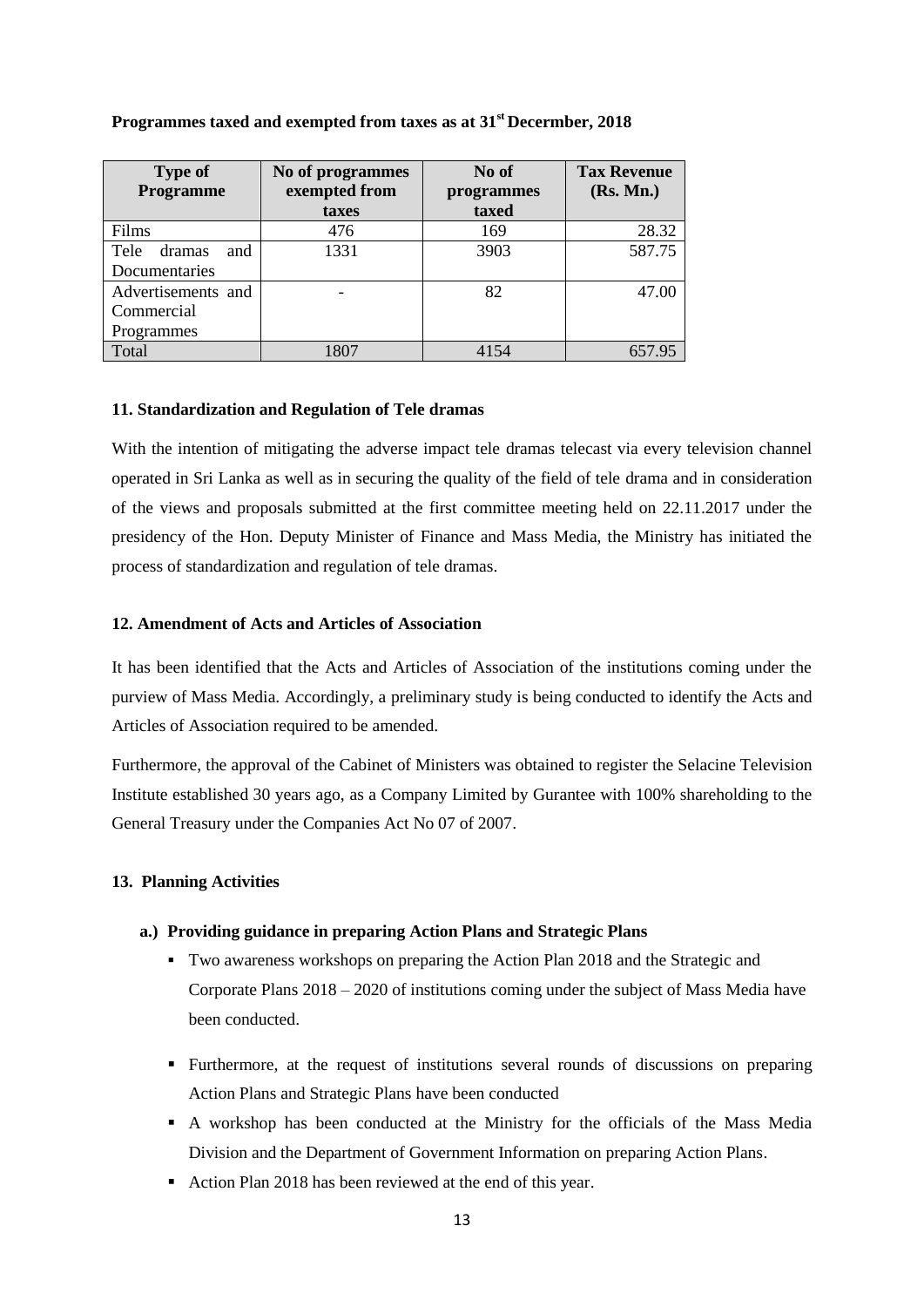| <b>Type of</b><br>Programme | No of programmes<br>exempted from | No of<br>programmes | <b>Tax Revenue</b><br>(Rs. Mn.) |
|-----------------------------|-----------------------------------|---------------------|---------------------------------|
|                             | taxes                             | taxed               |                                 |
| Films                       | 476                               | 169                 | 28.32                           |
| Tele<br>and<br>dramas       | 1331                              | 3903                | 587.75                          |
| Documentaries               |                                   |                     |                                 |
| Advertisements and          |                                   | 82                  | 47.00                           |
| Commercial                  |                                   |                     |                                 |
| Programmes                  |                                   |                     |                                 |
| Total                       | 1807                              | 4154                |                                 |

#### **Programmes taxed and exempted from taxes as at 31st Decermber, 2018**

#### **11. Standardization and Regulation of Tele dramas**

With the intention of mitigating the adverse impact tele dramas telecast via every television channel operated in Sri Lanka as well as in securing the quality of the field of tele drama and in consideration of the views and proposals submitted at the first committee meeting held on 22.11.2017 under the presidency of the Hon. Deputy Minister of Finance and Mass Media, the Ministry has initiated the process of standardization and regulation of tele dramas.

#### **12. Amendment of Acts and Articles of Association**

It has been identified that the Acts and Articles of Association of the institutions coming under the purview of Mass Media. Accordingly, a preliminary study is being conducted to identify the Acts and Articles of Association required to be amended.

Furthermore, the approval of the Cabinet of Ministers was obtained to register the Selacine Television Institute established 30 years ago, as a Company Limited by Gurantee with 100% shareholding to the General Treasury under the Companies Act No 07 of 2007.

#### **13. Planning Activities**

#### **a.) Providing guidance in preparing Action Plans and Strategic Plans**

- Two awareness workshops on preparing the Action Plan 2018 and the Strategic and Corporate Plans 2018 – 2020 of institutions coming under the subject of Mass Media have been conducted.
- Furthermore, at the request of institutions several rounds of discussions on preparing Action Plans and Strategic Plans have been conducted
- A workshop has been conducted at the Ministry for the officials of the Mass Media Division and the Department of Government Information on preparing Action Plans.
- Action Plan 2018 has been reviewed at the end of this year.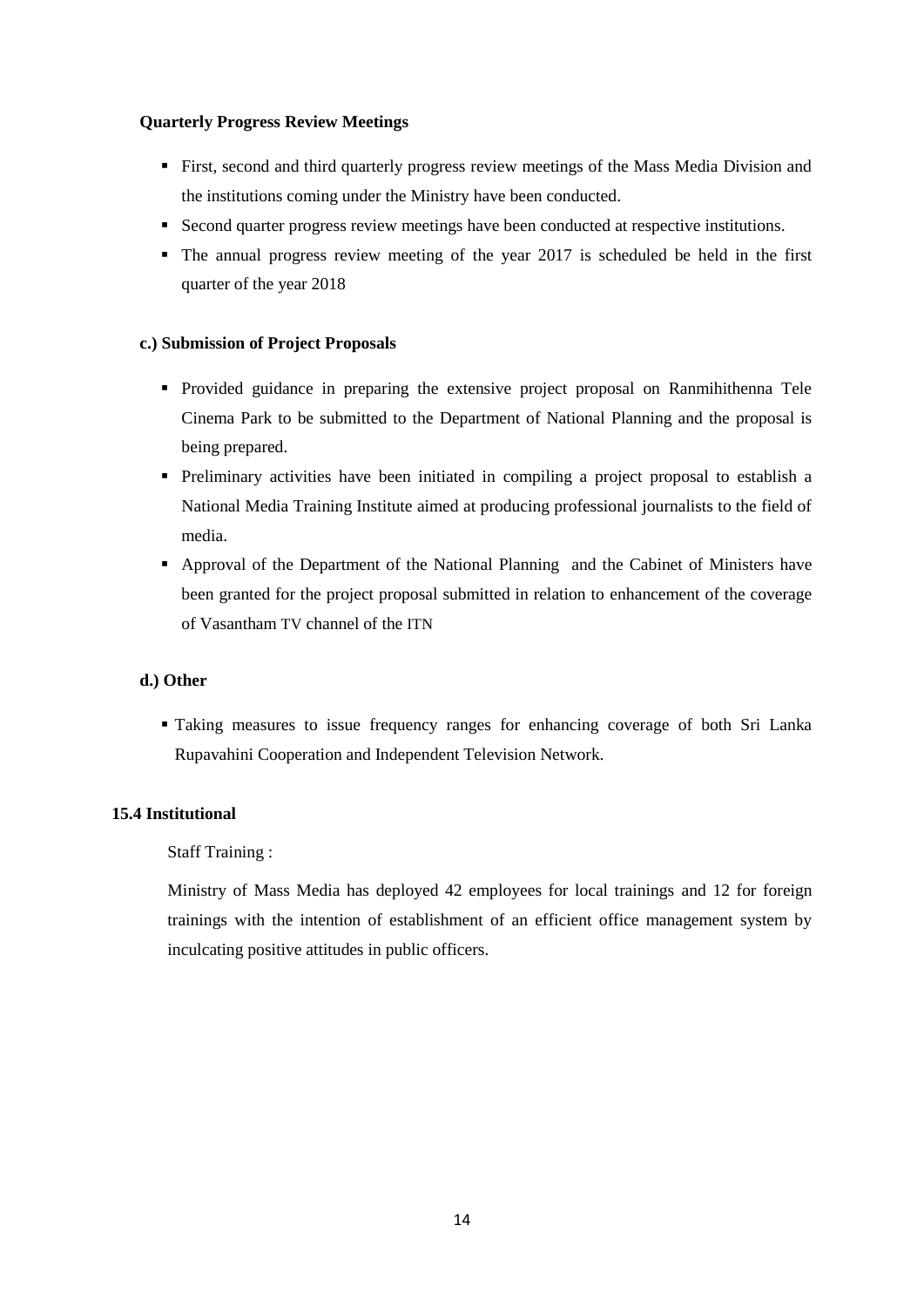#### **Quarterly Progress Review Meetings**

- First, second and third quarterly progress review meetings of the Mass Media Division and the institutions coming under the Ministry have been conducted.
- Second quarter progress review meetings have been conducted at respective institutions.
- The annual progress review meeting of the year 2017 is scheduled be held in the first quarter of the year 2018

#### **c.) Submission of Project Proposals**

- Provided guidance in preparing the extensive project proposal on Ranmihithenna Tele Cinema Park to be submitted to the Department of National Planning and the proposal is being prepared.
- Preliminary activities have been initiated in compiling a project proposal to establish a National Media Training Institute aimed at producing professional journalists to the field of media.
- Approval of the Department of the National Planning and the Cabinet of Ministers have been granted for the project proposal submitted in relation to enhancement of the coverage of Vasantham TV channel of the ITN

#### **d.) Other**

 Taking measures to issue frequency ranges for enhancing coverage of both Sri Lanka Rupavahini Cooperation and Independent Television Network.

# **15.4 Institutional**

# Staff Training :

Ministry of Mass Media has deployed 42 employees for local trainings and 12 for foreign trainings with the intention of establishment of an efficient office management system by inculcating positive attitudes in public officers.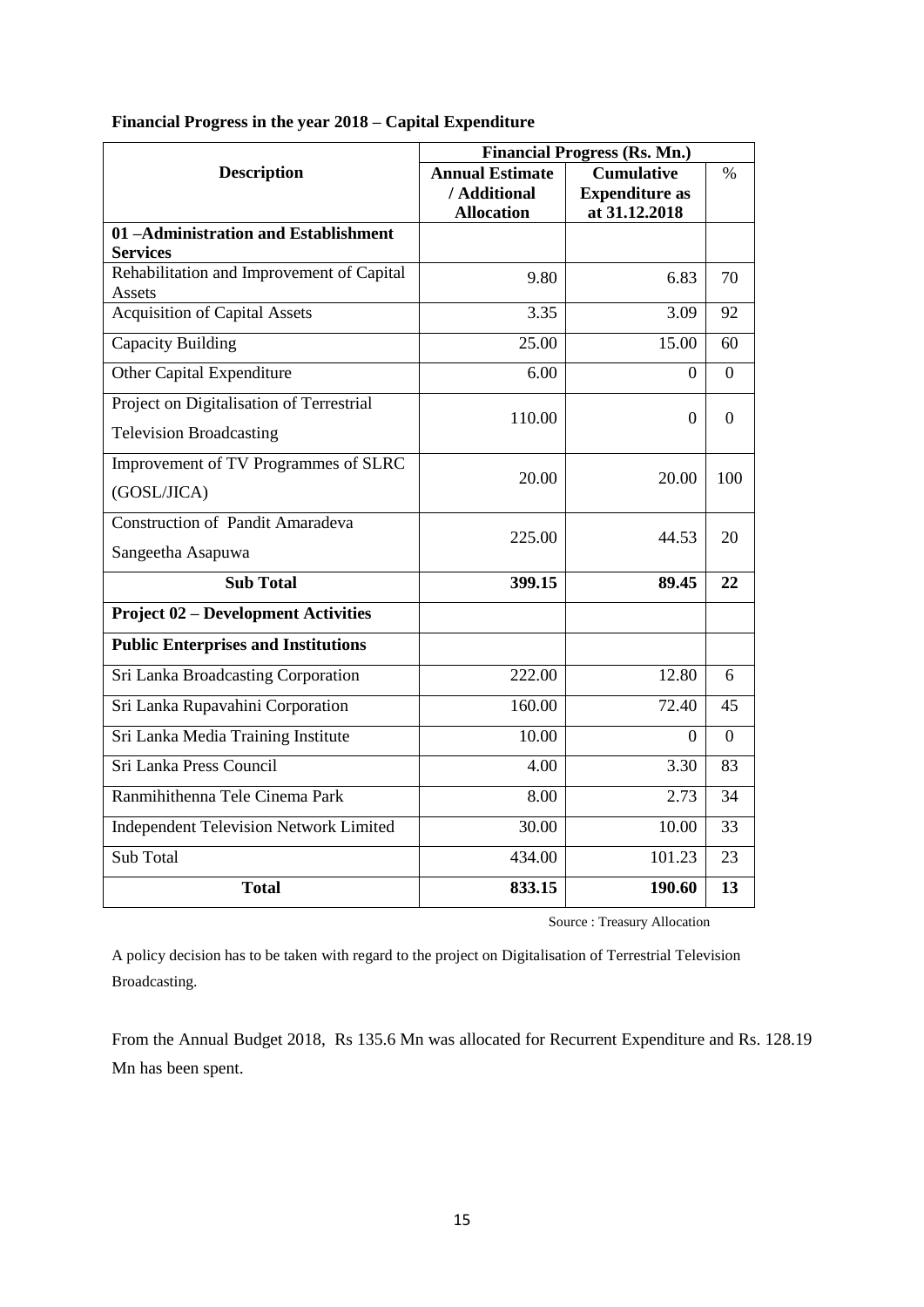|                                                     | <b>Financial Progress (Rs. Mn.)</b> |                       |          |
|-----------------------------------------------------|-------------------------------------|-----------------------|----------|
| <b>Description</b>                                  | <b>Annual Estimate</b>              | <b>Cumulative</b>     | $\%$     |
|                                                     | / Additional                        | <b>Expenditure as</b> |          |
|                                                     | <b>Allocation</b>                   | at 31.12.2018         |          |
| 01-Administration and Establishment                 |                                     |                       |          |
| <b>Services</b>                                     |                                     |                       |          |
| Rehabilitation and Improvement of Capital<br>Assets | 9.80                                | 6.83                  | 70       |
| <b>Acquisition of Capital Assets</b>                | 3.35                                | 3.09                  | 92       |
| <b>Capacity Building</b>                            | 25.00                               | 15.00                 | 60       |
| Other Capital Expenditure                           | 6.00                                | $\Omega$              | $\Omega$ |
| Project on Digitalisation of Terrestrial            | 110.00                              | 0                     | $\Omega$ |
| <b>Television Broadcasting</b>                      |                                     |                       |          |
| Improvement of TV Programmes of SLRC                | 20.00                               | 20.00                 | 100      |
| (GOSL/JICA)                                         |                                     |                       |          |
| <b>Construction of Pandit Amaradeva</b>             | 225.00                              | 44.53                 | 20       |
| Sangeetha Asapuwa                                   |                                     |                       |          |
| <b>Sub Total</b>                                    | 399.15                              | 89.45                 | 22       |
| <b>Project 02 – Development Activities</b>          |                                     |                       |          |
| <b>Public Enterprises and Institutions</b>          |                                     |                       |          |
| Sri Lanka Broadcasting Corporation                  | 222.00                              | 12.80                 | 6        |
| Sri Lanka Rupavahini Corporation                    | 160.00                              | 72.40                 | 45       |
| Sri Lanka Media Training Institute                  | 10.00                               | 0                     | $\Omega$ |
| Sri Lanka Press Council                             | 4.00                                | 3.30                  | 83       |
| Ranmihithenna Tele Cinema Park                      | 8.00                                | 2.73                  | 34       |
| <b>Independent Television Network Limited</b>       | 30.00                               | 10.00                 | 33       |
| Sub Total                                           | 434.00                              | 101.23                | 23       |
| <b>Total</b>                                        | 833.15                              | 190.60                | 13       |

# **Financial Progress in the year 2018 – Capital Expenditure**

Source : Treasury Allocation

A policy decision has to be taken with regard to the project on Digitalisation of Terrestrial Television Broadcasting.

From the Annual Budget 2018, Rs 135.6 Mn was allocated for Recurrent Expenditure and Rs. 128.19 Mn has been spent.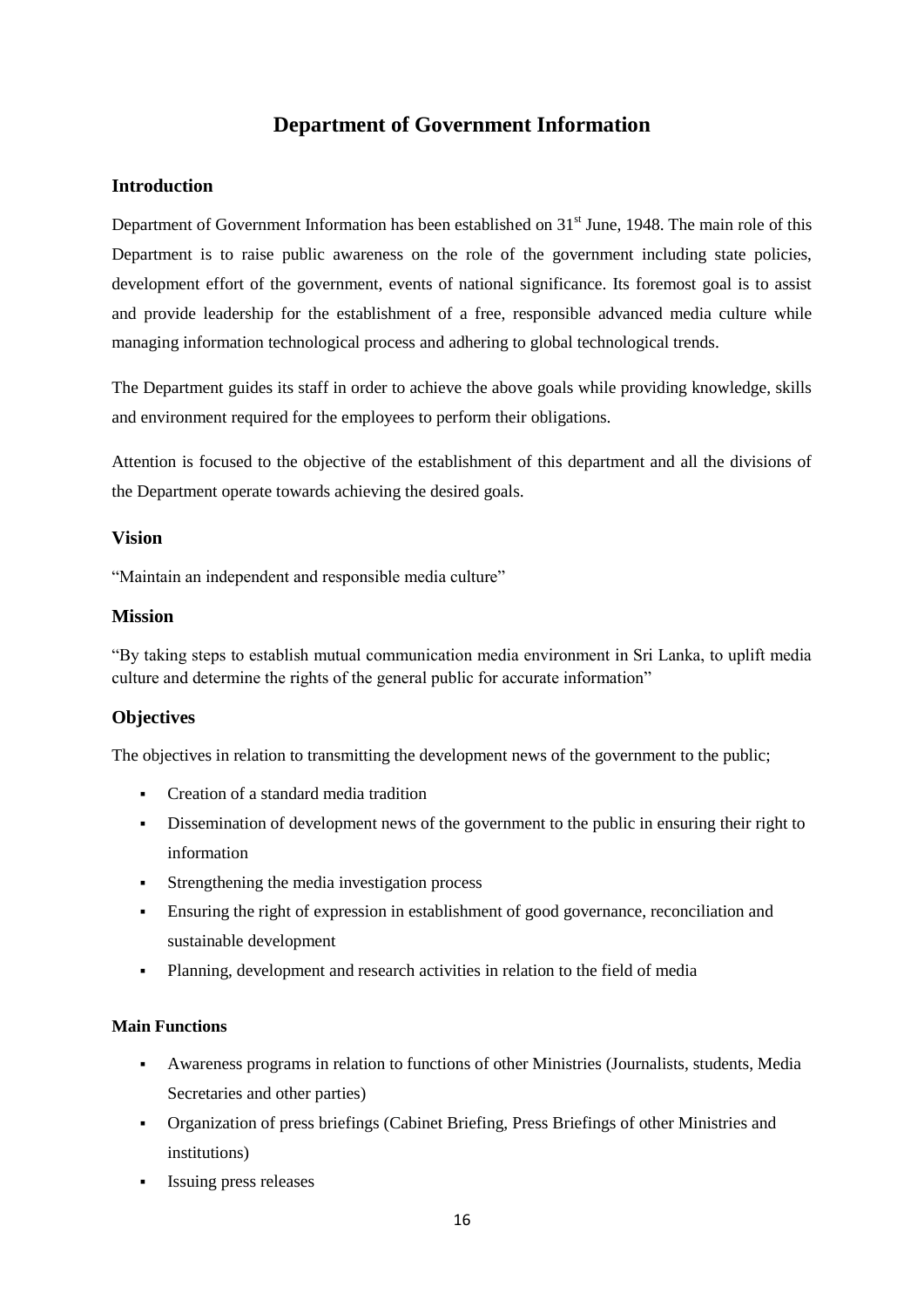# **Department of Government Information**

# **Introduction**

Department of Government Information has been established on  $31<sup>st</sup>$  June, 1948. The main role of this Department is to raise public awareness on the role of the government including state policies, development effort of the government, events of national significance. Its foremost goal is to assist and provide leadership for the establishment of a free, responsible advanced media culture while managing information technological process and adhering to global technological trends.

The Department guides its staff in order to achieve the above goals while providing knowledge, skills and environment required for the employees to perform their obligations.

Attention is focused to the objective of the establishment of this department and all the divisions of the Department operate towards achieving the desired goals.

#### **Vision**

"Maintain an independent and responsible media culture"

#### **Mission**

"By taking steps to establish mutual communication media environment in Sri Lanka, to uplift media culture and determine the rights of the general public for accurate information"

# **Objectives**

The objectives in relation to transmitting the development news of the government to the public;

- Creation of a standard media tradition
- Dissemination of development news of the government to the public in ensuring their right to information
- Strengthening the media investigation process
- Ensuring the right of expression in establishment of good governance, reconciliation and sustainable development
- Planning, development and research activities in relation to the field of media

#### **Main Functions**

- Awareness programs in relation to functions of other Ministries (Journalists, students, Media Secretaries and other parties)
- Organization of press briefings (Cabinet Briefing, Press Briefings of other Ministries and institutions)
- Issuing press releases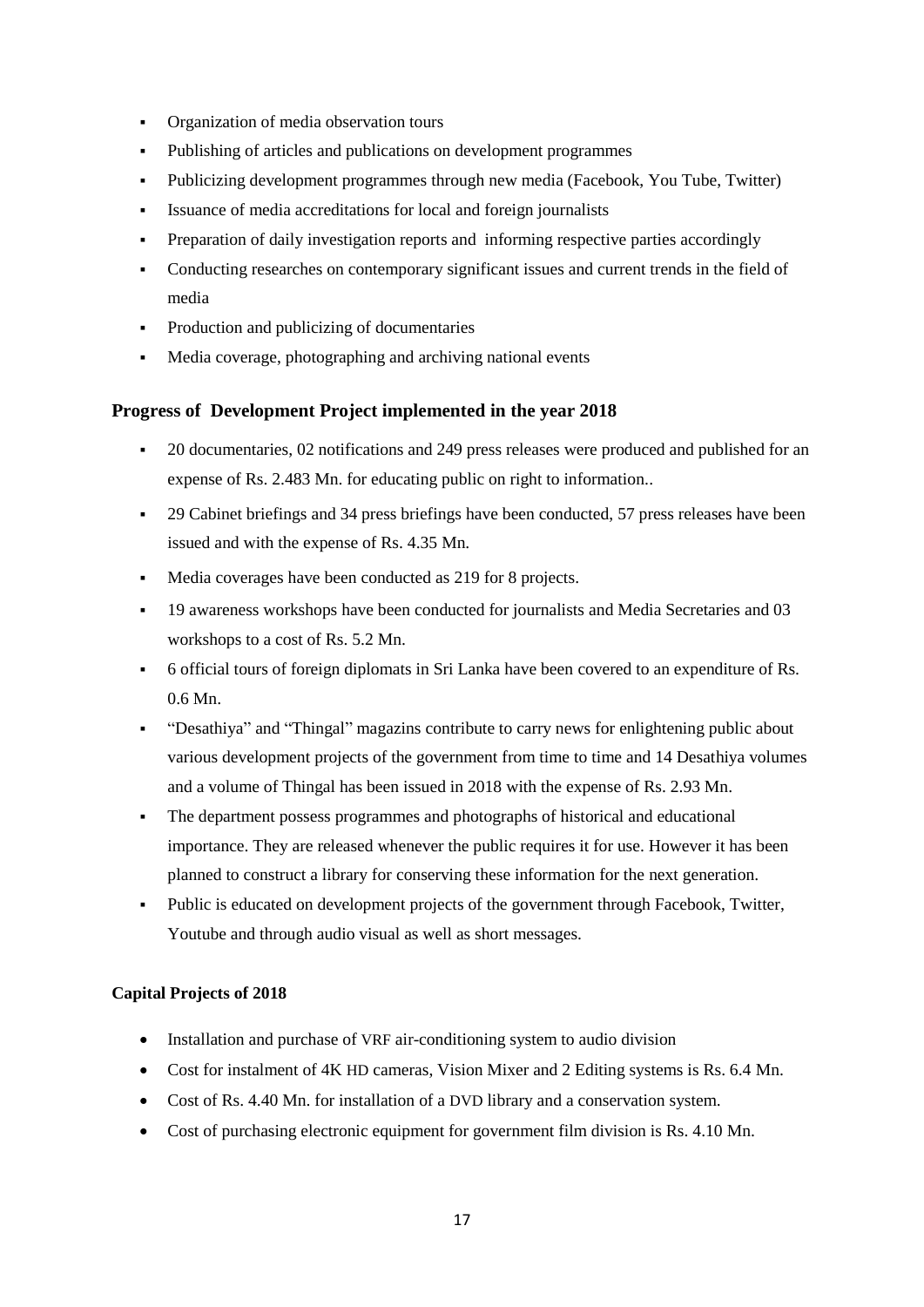- Organization of media observation tours
- Publishing of articles and publications on development programmes
- Publicizing development programmes through new media (Facebook, You Tube, Twitter)
- Issuance of media accreditations for local and foreign journalists
- Preparation of daily investigation reports and informing respective parties accordingly
- Conducting researches on contemporary significant issues and current trends in the field of media
- Production and publicizing of documentaries
- Media coverage, photographing and archiving national events

# **Progress of Development Project implemented in the year 2018**

- 20 documentaries, 02 notifications and 249 press releases were produced and published for an expense of Rs. 2.483 Mn. for educating public on right to information..
- 29 Cabinet briefings and 34 press briefings have been conducted, 57 press releases have been issued and with the expense of Rs. 4.35 Mn.
- Media coverages have been conducted as 219 for 8 projects.
- 19 awareness workshops have been conducted for journalists and Media Secretaries and 03 workshops to a cost of Rs. 5.2 Mn.
- 6 official tours of foreign diplomats in Sri Lanka have been covered to an expenditure of Rs. 0.6 Mn.
- "Desathiya" and "Thingal" magazins contribute to carry news for enlightening public about various development projects of the government from time to time and 14 Desathiya volumes and a volume of Thingal has been issued in 2018 with the expense of Rs. 2.93 Mn.
- The department possess programmes and photographs of historical and educational importance. They are released whenever the public requires it for use. However it has been planned to construct a library for conserving these information for the next generation.
- Public is educated on development projects of the government through Facebook, Twitter, Youtube and through audio visual as well as short messages.

# **Capital Projects of 2018**

- Installation and purchase of VRF air-conditioning system to audio division
- Cost for instalment of 4K HD cameras, Vision Mixer and 2 Editing systems is Rs. 6.4 Mn.
- Cost of Rs. 4.40 Mn. for installation of a DVD library and a conservation system.
- Cost of purchasing electronic equipment for government film division is Rs. 4.10 Mn.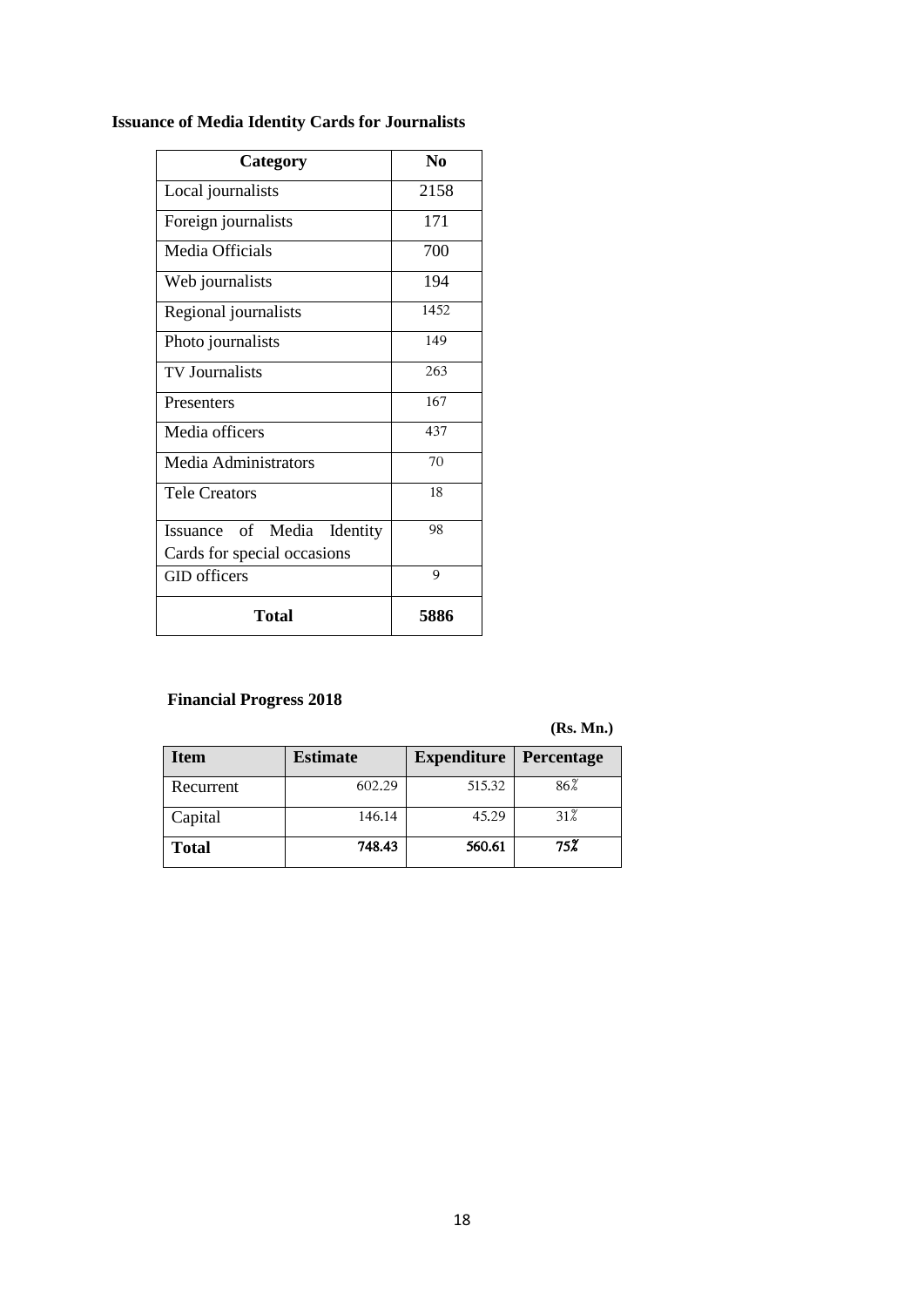| Category                      | N <sub>0</sub> |
|-------------------------------|----------------|
| Local journalists             | 2158           |
| Foreign journalists           | 171            |
| Media Officials               | 700            |
| Web journalists               | 194            |
| Regional journalists          | 1452           |
| Photo journalists             | 149            |
| <b>TV</b> Journalists         | 263            |
| Presenters                    | 167            |
| Media officers                | 437            |
| Media Administrators          | 70             |
| <b>Tele Creators</b>          | 18             |
| Issuance of Media<br>Identity | 98             |
| Cards for special occasions   |                |
| <b>GID</b> officers           | 9              |
| Total                         | 5886           |

# **Issuance of Media Identity Cards for Journalists**

# **Financial Progress 2018**

**(Rs. Mn.)**

| <b>Item</b>  | <b>Estimate</b> | <b>Expenditure   Percentage</b> |     |
|--------------|-----------------|---------------------------------|-----|
| Recurrent    | 602.29          | 515.32                          | 86% |
| Capital      | 146.14          | 45.29                           | 31% |
| <b>Total</b> | 748.43          | 560.61                          | 75% |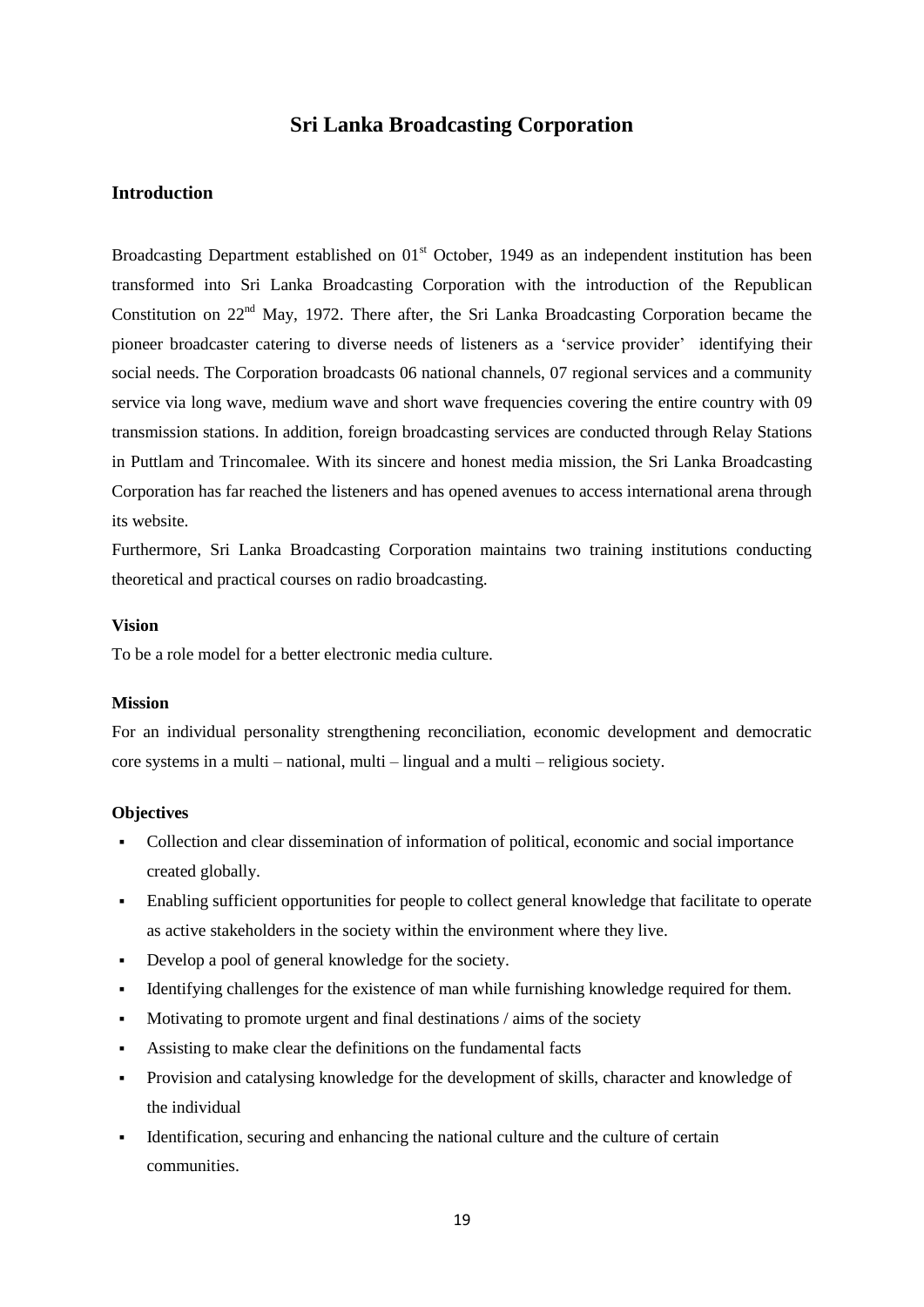# **Sri Lanka Broadcasting Corporation**

#### **Introduction**

Broadcasting Department established on  $01<sup>st</sup>$  October, 1949 as an independent institution has been transformed into Sri Lanka Broadcasting Corporation with the introduction of the Republican Constitution on  $22<sup>nd</sup>$  May, 1972. There after, the Sri Lanka Broadcasting Corporation became the pioneer broadcaster catering to diverse needs of listeners as a "service provider" identifying their social needs. The Corporation broadcasts 06 national channels, 07 regional services and a community service via long wave, medium wave and short wave frequencies covering the entire country with 09 transmission stations. In addition, foreign broadcasting services are conducted through Relay Stations in Puttlam and Trincomalee. With its sincere and honest media mission, the Sri Lanka Broadcasting Corporation has far reached the listeners and has opened avenues to access international arena through its website.

Furthermore, Sri Lanka Broadcasting Corporation maintains two training institutions conducting theoretical and practical courses on radio broadcasting.

#### **Vision**

To be a role model for a better electronic media culture.

#### **Mission**

For an individual personality strengthening reconciliation, economic development and democratic core systems in a multi – national, multi – lingual and a multi – religious society.

#### **Objectives**

- Collection and clear dissemination of information of political, economic and social importance created globally.
- Enabling sufficient opportunities for people to collect general knowledge that facilitate to operate as active stakeholders in the society within the environment where they live.
- Develop a pool of general knowledge for the society.
- Identifying challenges for the existence of man while furnishing knowledge required for them.
- Motivating to promote urgent and final destinations / aims of the society
- Assisting to make clear the definitions on the fundamental facts
- Provision and catalysing knowledge for the development of skills, character and knowledge of the individual
- Identification, securing and enhancing the national culture and the culture of certain communities.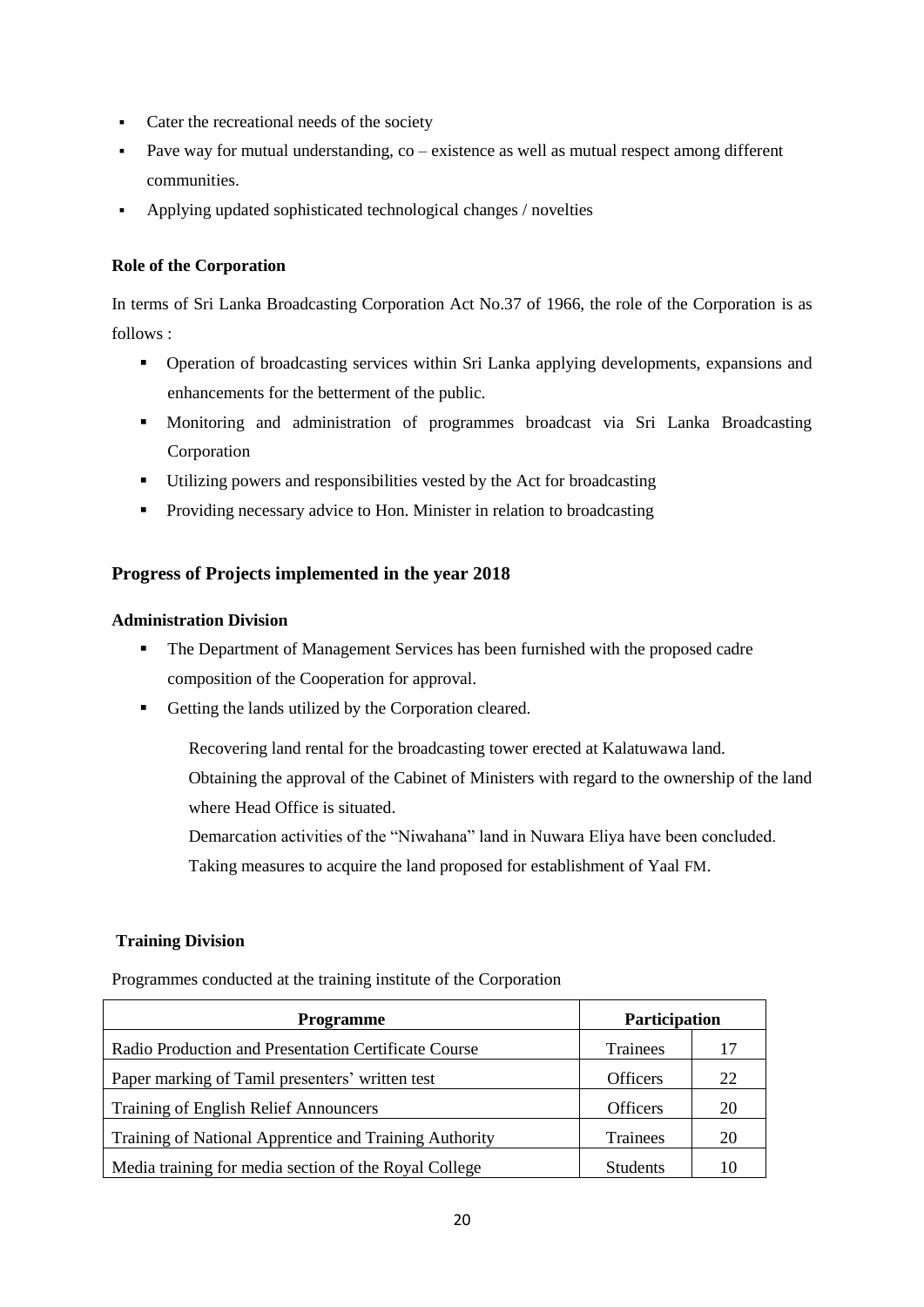- Cater the recreational needs of the society
- Pave way for mutual understanding,  $\cos$  existence as well as mutual respect among different communities.
- Applying updated sophisticated technological changes / novelties

#### **Role of the Corporation**

In terms of Sri Lanka Broadcasting Corporation Act No.37 of 1966, the role of the Corporation is as follows :

- Operation of broadcasting services within Sri Lanka applying developments, expansions and enhancements for the betterment of the public.
- Monitoring and administration of programmes broadcast via Sri Lanka Broadcasting Corporation
- Utilizing powers and responsibilities vested by the Act for broadcasting
- **Providing necessary advice to Hon. Minister in relation to broadcasting**

# **Progress of Projects implemented in the year 2018**

#### **Administration Division**

- The Department of Management Services has been furnished with the proposed cadre composition of the Cooperation for approval.
- Getting the lands utilized by the Corporation cleared.

Recovering land rental for the broadcasting tower erected at Kalatuwawa land. Obtaining the approval of the Cabinet of Ministers with regard to the ownership of the land where Head Office is situated.

Demarcation activities of the "Niwahana" land in Nuwara Eliya have been concluded. Taking measures to acquire the land proposed for establishment of Yaal FM.

# **Training Division**

Programmes conducted at the training institute of the Corporation

| <b>Programme</b>                                       | <b>Participation</b> |    |  |
|--------------------------------------------------------|----------------------|----|--|
| Radio Production and Presentation Certificate Course   | <b>Trainees</b>      | 17 |  |
| Paper marking of Tamil presenters' written test        | <b>Officers</b>      | 22 |  |
| <b>Training of English Relief Announcers</b>           | <b>Officers</b>      | 20 |  |
| Training of National Apprentice and Training Authority | <b>Trainees</b>      | 20 |  |
| Media training for media section of the Royal College  | <b>Students</b>      | 10 |  |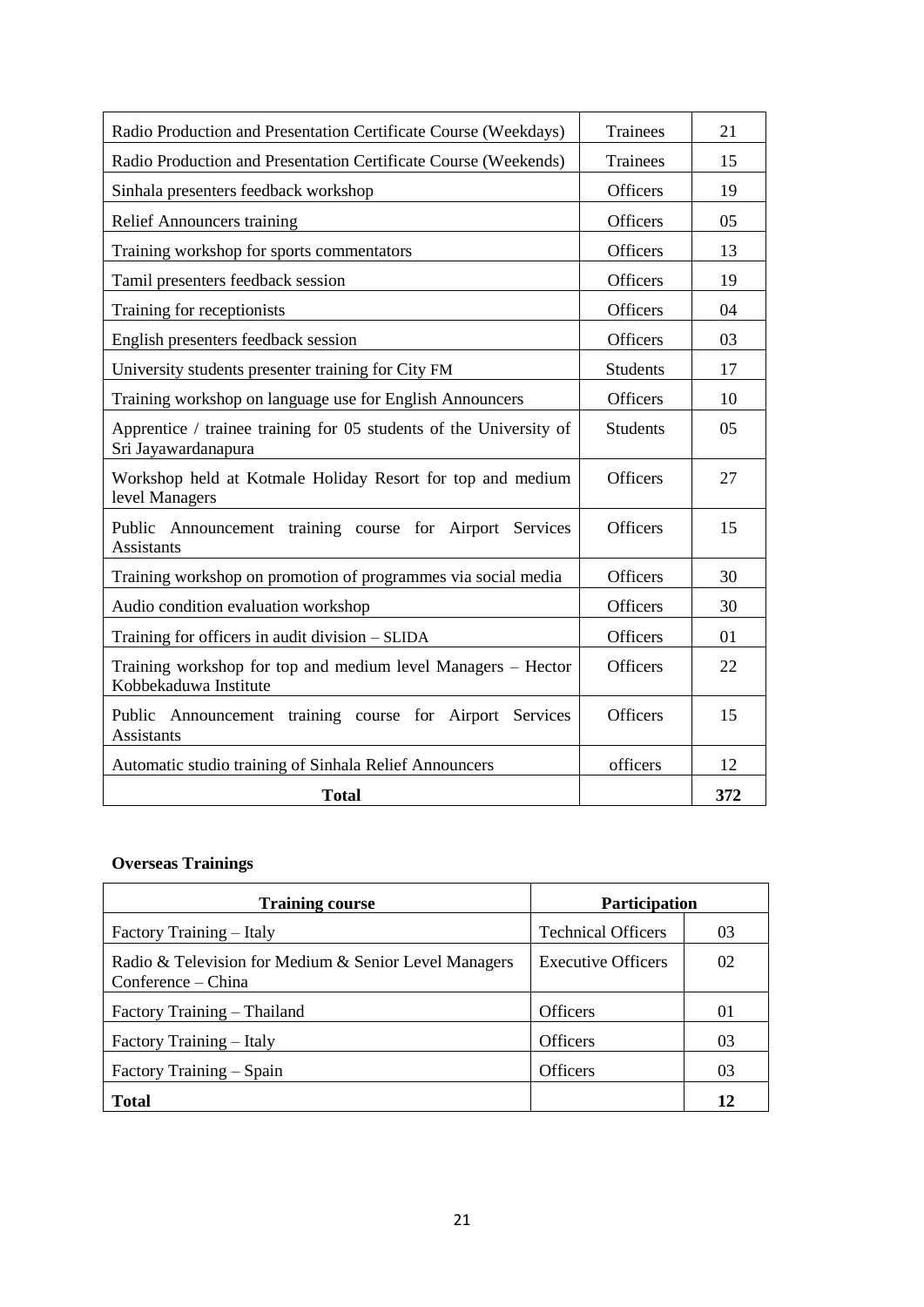| Radio Production and Presentation Certificate Course (Weekdays)                           | <b>Trainees</b> | 21  |
|-------------------------------------------------------------------------------------------|-----------------|-----|
| Radio Production and Presentation Certificate Course (Weekends)                           | Trainees        | 15  |
| Sinhala presenters feedback workshop                                                      | <b>Officers</b> | 19  |
| <b>Relief Announcers training</b>                                                         | <b>Officers</b> | 05  |
| Training workshop for sports commentators                                                 | <b>Officers</b> | 13  |
| Tamil presenters feedback session                                                         | <b>Officers</b> | 19  |
| Training for receptionists                                                                | <b>Officers</b> | 04  |
| English presenters feedback session                                                       | <b>Officers</b> | 03  |
| University students presenter training for City FM                                        | <b>Students</b> | 17  |
| Training workshop on language use for English Announcers                                  | <b>Officers</b> | 10  |
| Apprentice / trainee training for 05 students of the University of<br>Sri Jayawardanapura | <b>Students</b> | 05  |
| Workshop held at Kotmale Holiday Resort for top and medium<br>level Managers              | <b>Officers</b> | 27  |
| Public Announcement training course for Airport Services<br>Assistants                    | <b>Officers</b> | 15  |
| Training workshop on promotion of programmes via social media                             | <b>Officers</b> | 30  |
| Audio condition evaluation workshop                                                       | <b>Officers</b> | 30  |
| Training for officers in audit division - SLIDA                                           | <b>Officers</b> | 01  |
| Training workshop for top and medium level Managers - Hector<br>Kobbekaduwa Institute     | <b>Officers</b> | 22  |
| Public Announcement training course for Airport Services<br>Assistants                    | <b>Officers</b> | 15  |
| Automatic studio training of Sinhala Relief Announcers                                    | officers        | 12  |
| <b>Total</b>                                                                              |                 | 372 |

# **Overseas Trainings**

| <b>Training course</b>                                                      | <b>Participation</b>      |         |
|-----------------------------------------------------------------------------|---------------------------|---------|
| Factory Training – Italy                                                    | <b>Technical Officers</b> | 03      |
| Radio & Television for Medium & Senior Level Managers<br>Conference – China | <b>Executive Officers</b> | 02      |
| Factory Training – Thailand                                                 | <b>Officers</b>           | $_{01}$ |
| Factory Training - Italy                                                    | <b>Officers</b>           | 03      |
| Factory Training – Spain                                                    | <b>Officers</b>           | 03      |
| <b>Total</b>                                                                |                           | 12      |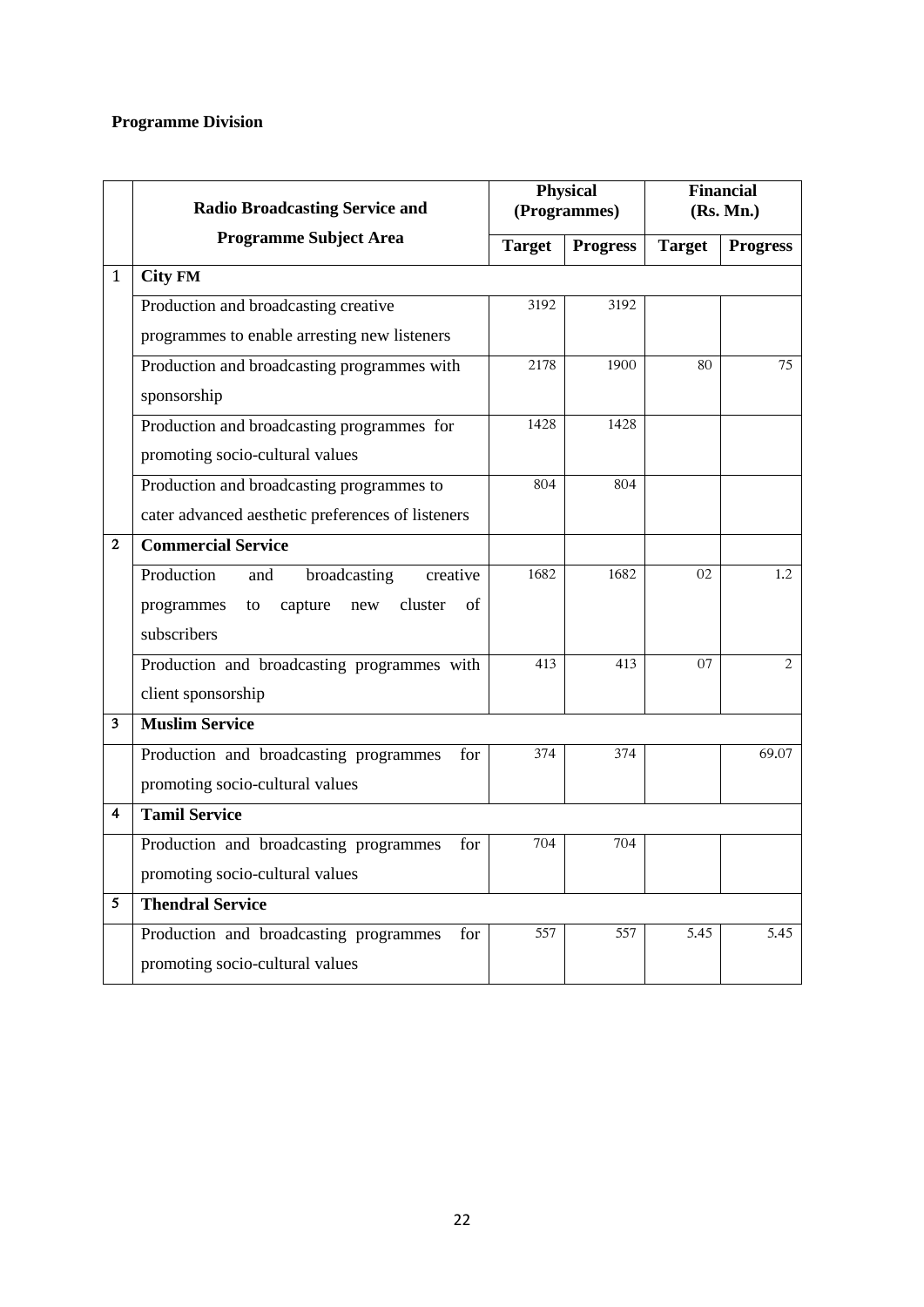# **Programme Division**

|              | <b>Radio Broadcasting Service and</b>               | <b>Physical</b><br>(Programmes) |                 |               | <b>Financial</b><br>(Rs. Mn.) |
|--------------|-----------------------------------------------------|---------------------------------|-----------------|---------------|-------------------------------|
|              | <b>Programme Subject Area</b>                       | <b>Target</b>                   | <b>Progress</b> | <b>Target</b> | <b>Progress</b>               |
| $\mathbf{1}$ | <b>City FM</b>                                      |                                 |                 |               |                               |
|              | Production and broadcasting creative                | 3192                            | 3192            |               |                               |
|              | programmes to enable arresting new listeners        |                                 |                 |               |                               |
|              | Production and broadcasting programmes with         | 2178                            | 1900            | 80            | 75                            |
|              | sponsorship                                         |                                 |                 |               |                               |
|              | Production and broadcasting programmes for          | 1428                            | 1428            |               |                               |
|              | promoting socio-cultural values                     |                                 |                 |               |                               |
|              | Production and broadcasting programmes to           | 804                             | 804             |               |                               |
|              | cater advanced aesthetic preferences of listeners   |                                 |                 |               |                               |
| $\mathbf{2}$ | <b>Commercial Service</b>                           |                                 |                 |               |                               |
|              | Production<br>broadcasting<br>creative<br>and       | 1682                            | 1682            | 02            | 1.2                           |
|              | programmes<br>capture<br>cluster<br>of<br>new<br>to |                                 |                 |               |                               |
|              | subscribers                                         |                                 |                 |               |                               |
|              | Production and broadcasting programmes with         | 413                             | 413             | 07            | $\mathbf{2}$                  |
|              | client sponsorship                                  |                                 |                 |               |                               |
| 3            | <b>Muslim Service</b>                               |                                 |                 |               |                               |
|              | Production and broadcasting programmes<br>for       | 374                             | 374             |               | 69.07                         |
|              | promoting socio-cultural values                     |                                 |                 |               |                               |
| 4            | <b>Tamil Service</b>                                |                                 |                 |               |                               |
|              | Production and broadcasting programmes<br>for       | 704                             | 704             |               |                               |
|              | promoting socio-cultural values                     |                                 |                 |               |                               |
| 5            | <b>Thendral Service</b>                             |                                 |                 |               |                               |
|              | Production and broadcasting programmes<br>for       | 557                             | 557             | 5.45          | 5.45                          |
|              | promoting socio-cultural values                     |                                 |                 |               |                               |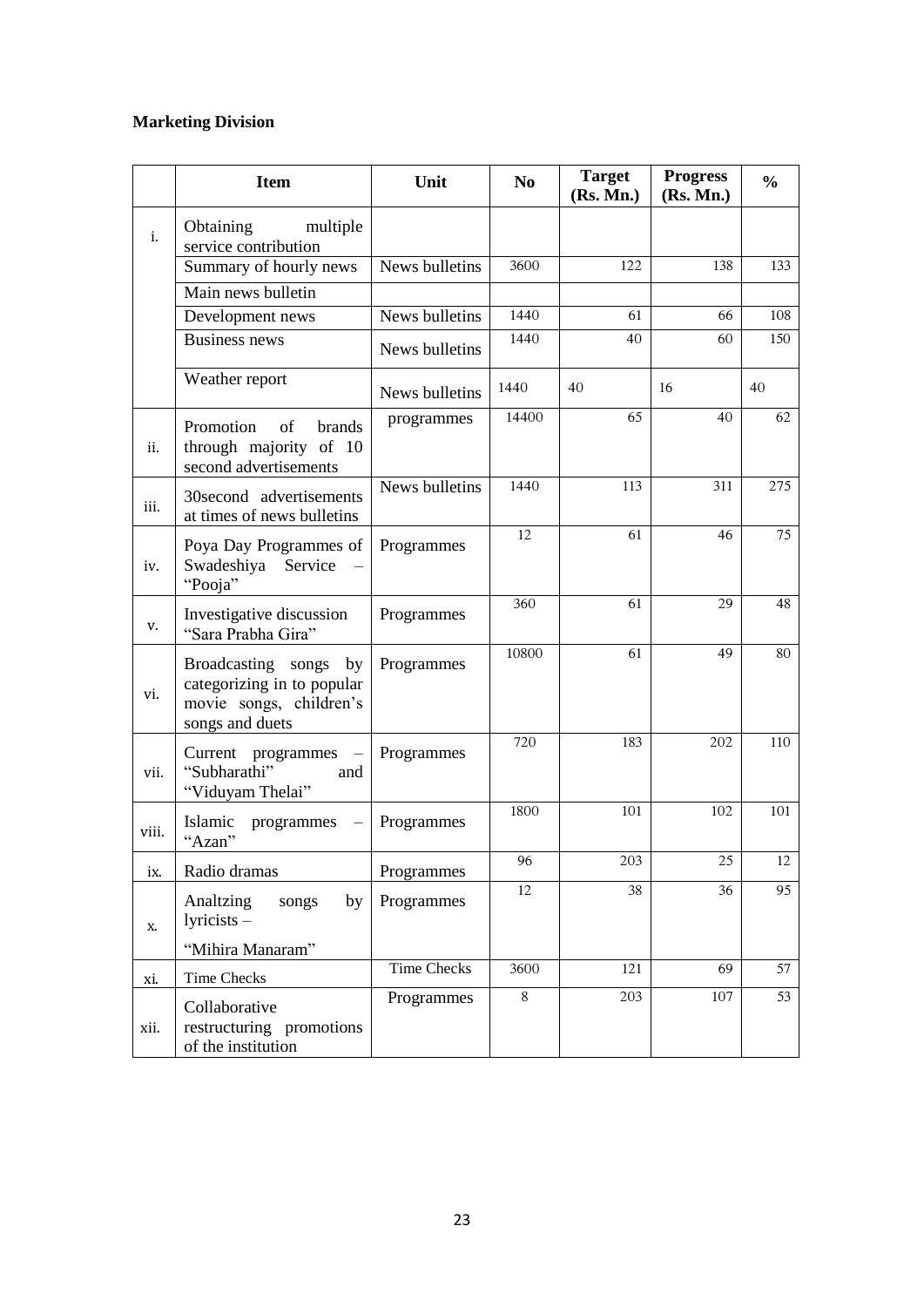# **Marketing Division**

|                | <b>Item</b>                                                                                       | Unit           | N <sub>0</sub> | <b>Target</b><br>(Rs. Mn.) | <b>Progress</b><br>(Rs. Mn.) | $\frac{0}{0}$ |
|----------------|---------------------------------------------------------------------------------------------------|----------------|----------------|----------------------------|------------------------------|---------------|
| $\mathbf{i}$ . | <b>Obtaining</b><br>multiple<br>service contribution                                              |                |                |                            |                              |               |
|                | Summary of hourly news                                                                            | News bulletins | 3600           | 122                        | 138                          | 133           |
|                | Main news bulletin                                                                                |                |                |                            |                              |               |
|                | Development news                                                                                  | News bulletins | 1440           | 61                         | 66                           | 108           |
|                | <b>Business news</b>                                                                              | News bulletins | 1440           | 40                         | 60                           | 150           |
|                | Weather report                                                                                    | News bulletins | 1440           | 40                         | 16                           | 40            |
| ii.            | Promotion<br>of<br><b>brands</b><br>through majority of 10<br>second advertisements               | programmes     | 14400          | 65                         | 40                           | 62            |
| iii.           | 30second advertisements<br>at times of news bulletins                                             | News bulletins | 1440           | 113                        | 311                          | 275           |
| iv.            | Poya Day Programmes of<br>Swadeshiya Service<br>"Pooja"                                           | Programmes     | 12             | 61                         | 46                           | 75            |
| V.             | Investigative discussion<br>"Sara Prabha Gira"                                                    | Programmes     | 360            | 61                         | 29                           | 48            |
| vi.            | Broadcasting songs by<br>categorizing in to popular<br>movie songs, children's<br>songs and duets | Programmes     | 10800          | 61                         | 49                           | 80            |
| vii.           | Current programmes<br>"Subharathi"<br>and<br>"Viduyam Thelai"                                     | Programmes     | 720            | 183                        | 202                          | 110           |
| viii.          | Islamic<br>programmes<br>"Azan"                                                                   | Programmes     | 1800           | 101                        | 102                          | 101           |
| ix.            | Radio dramas                                                                                      | Programmes     | 96             | 203                        | $\overline{25}$              | 12            |
| Х.             | Analtzing<br>songs<br>by<br>$1$ yricists $-$                                                      | Programmes     | 12             | 38                         | 36                           | 95            |
|                | "Mihira Manaram"                                                                                  |                |                |                            |                              |               |
| xi.            | <b>Time Checks</b>                                                                                | Time Checks    | 3600           | 121                        | 69                           | 57            |
| xii.           | Collaborative<br>restructuring promotions<br>of the institution                                   | Programmes     | 8              | 203                        | 107                          | 53            |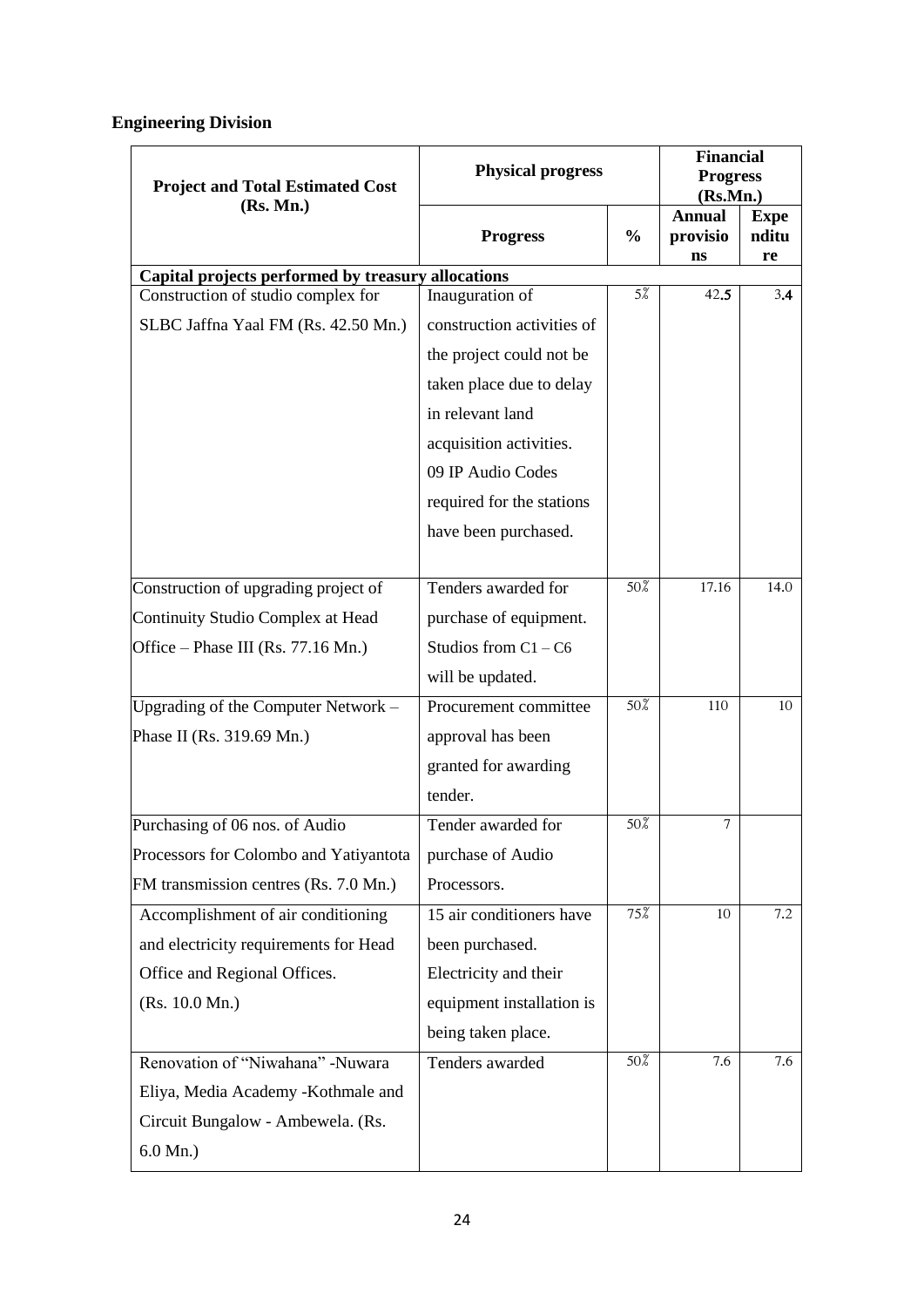# **Engineering Division**

| <b>Project and Total Estimated Cost</b>            | <b>Physical progress</b>   |               |                                 |                            | <b>Financial</b><br><b>Progress</b><br>(Rs.Mn.) |  |  |
|----------------------------------------------------|----------------------------|---------------|---------------------------------|----------------------------|-------------------------------------------------|--|--|
| (Rs. Mn.)                                          | <b>Progress</b>            | $\frac{0}{0}$ | <b>Annual</b><br>provisio<br>ns | <b>Expe</b><br>nditu<br>re |                                                 |  |  |
| Capital projects performed by treasury allocations |                            |               |                                 |                            |                                                 |  |  |
| Construction of studio complex for                 | Inauguration of            | $5\%$         | 42.5                            | 3.4                        |                                                 |  |  |
| SLBC Jaffna Yaal FM (Rs. 42.50 Mn.)                | construction activities of |               |                                 |                            |                                                 |  |  |
|                                                    | the project could not be   |               |                                 |                            |                                                 |  |  |
|                                                    | taken place due to delay   |               |                                 |                            |                                                 |  |  |
|                                                    | in relevant land           |               |                                 |                            |                                                 |  |  |
|                                                    | acquisition activities.    |               |                                 |                            |                                                 |  |  |
|                                                    | 09 IP Audio Codes          |               |                                 |                            |                                                 |  |  |
|                                                    | required for the stations  |               |                                 |                            |                                                 |  |  |
|                                                    | have been purchased.       |               |                                 |                            |                                                 |  |  |
| Construction of upgrading project of               | Tenders awarded for        | 50%           | 17.16                           | 14.0                       |                                                 |  |  |
| Continuity Studio Complex at Head                  | purchase of equipment.     |               |                                 |                            |                                                 |  |  |
| Office – Phase III (Rs. 77.16 Mn.)                 | Studios from $C1 - C6$     |               |                                 |                            |                                                 |  |  |
|                                                    | will be updated.           |               |                                 |                            |                                                 |  |  |
| Upgrading of the Computer Network -                | Procurement committee      | 50%           | 110                             | 10                         |                                                 |  |  |
| Phase II (Rs. 319.69 Mn.)                          | approval has been          |               |                                 |                            |                                                 |  |  |
|                                                    | granted for awarding       |               |                                 |                            |                                                 |  |  |
|                                                    | tender.                    |               |                                 |                            |                                                 |  |  |
| Purchasing of 06 nos. of Audio                     | Tender awarded for         | 50%           | 7                               |                            |                                                 |  |  |
| Processors for Colombo and Yatiyantota             | purchase of Audio          |               |                                 |                            |                                                 |  |  |
| FM transmission centres (Rs. 7.0 Mn.)              | Processors.                |               |                                 |                            |                                                 |  |  |
| Accomplishment of air conditioning                 | 15 air conditioners have   | 75%           | 10                              | 7.2                        |                                                 |  |  |
| and electricity requirements for Head              | been purchased.            |               |                                 |                            |                                                 |  |  |
| Office and Regional Offices.                       | Electricity and their      |               |                                 |                            |                                                 |  |  |
| (Rs. 10.0 Mn.)                                     | equipment installation is  |               |                                 |                            |                                                 |  |  |
|                                                    | being taken place.         |               |                                 |                            |                                                 |  |  |
| Renovation of "Niwahana" -Nuwara                   | Tenders awarded            | 50%           | 7.6                             | 7.6                        |                                                 |  |  |
| Eliya, Media Academy -Kothmale and                 |                            |               |                                 |                            |                                                 |  |  |
| Circuit Bungalow - Ambewela. (Rs.                  |                            |               |                                 |                            |                                                 |  |  |
| $6.0 \text{ Mn.}$ )                                |                            |               |                                 |                            |                                                 |  |  |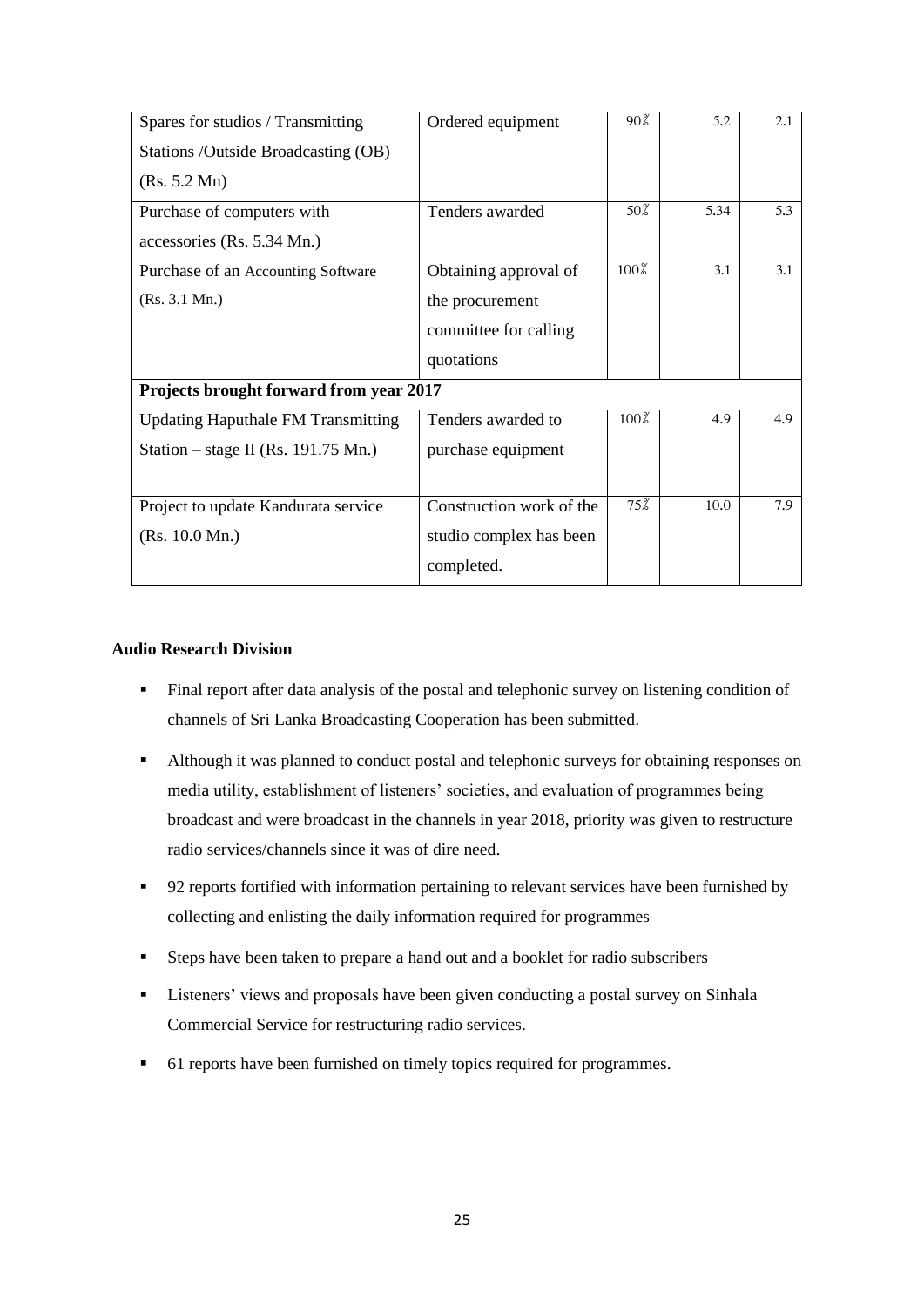| Spares for studios / Transmitting         | Ordered equipment        | $90\%$ | 5.2  | 2.1 |
|-------------------------------------------|--------------------------|--------|------|-----|
| Stations /Outside Broadcasting (OB)       |                          |        |      |     |
| (Rs. 5.2 Mn)                              |                          |        |      |     |
| Purchase of computers with                | Tenders awarded          | $50\%$ | 5.34 | 5.3 |
| accessories (Rs. 5.34 Mn.)                |                          |        |      |     |
| Purchase of an Accounting Software        | Obtaining approval of    | 100%   | 3.1  | 3.1 |
| (Rs. 3.1 Mn.)                             | the procurement          |        |      |     |
|                                           | committee for calling    |        |      |     |
|                                           | quotations               |        |      |     |
| Projects brought forward from year 2017   |                          |        |      |     |
| <b>Updating Haputhale FM Transmitting</b> | Tenders awarded to       | 100%   | 4.9  | 4.9 |
| Station – stage II (Rs. 191.75 Mn.)       | purchase equipment       |        |      |     |
|                                           |                          |        |      |     |
| Project to update Kandurata service       | Construction work of the | 75%    | 10.0 | 7.9 |
| (Rs. 10.0 Mn.)                            | studio complex has been  |        |      |     |
|                                           | completed.               |        |      |     |

#### **Audio Research Division**

- Final report after data analysis of the postal and telephonic survey on listening condition of channels of Sri Lanka Broadcasting Cooperation has been submitted.
- Although it was planned to conduct postal and telephonic surveys for obtaining responses on media utility, establishment of listeners" societies, and evaluation of programmes being broadcast and were broadcast in the channels in year 2018, priority was given to restructure radio services/channels since it was of dire need.
- 92 reports fortified with information pertaining to relevant services have been furnished by collecting and enlisting the daily information required for programmes
- Steps have been taken to prepare a hand out and a booklet for radio subscribers
- **EXECUTE:** Listeners' views and proposals have been given conducting a postal survey on Sinhala Commercial Service for restructuring radio services.
- <sup>•</sup> 61 reports have been furnished on timely topics required for programmes.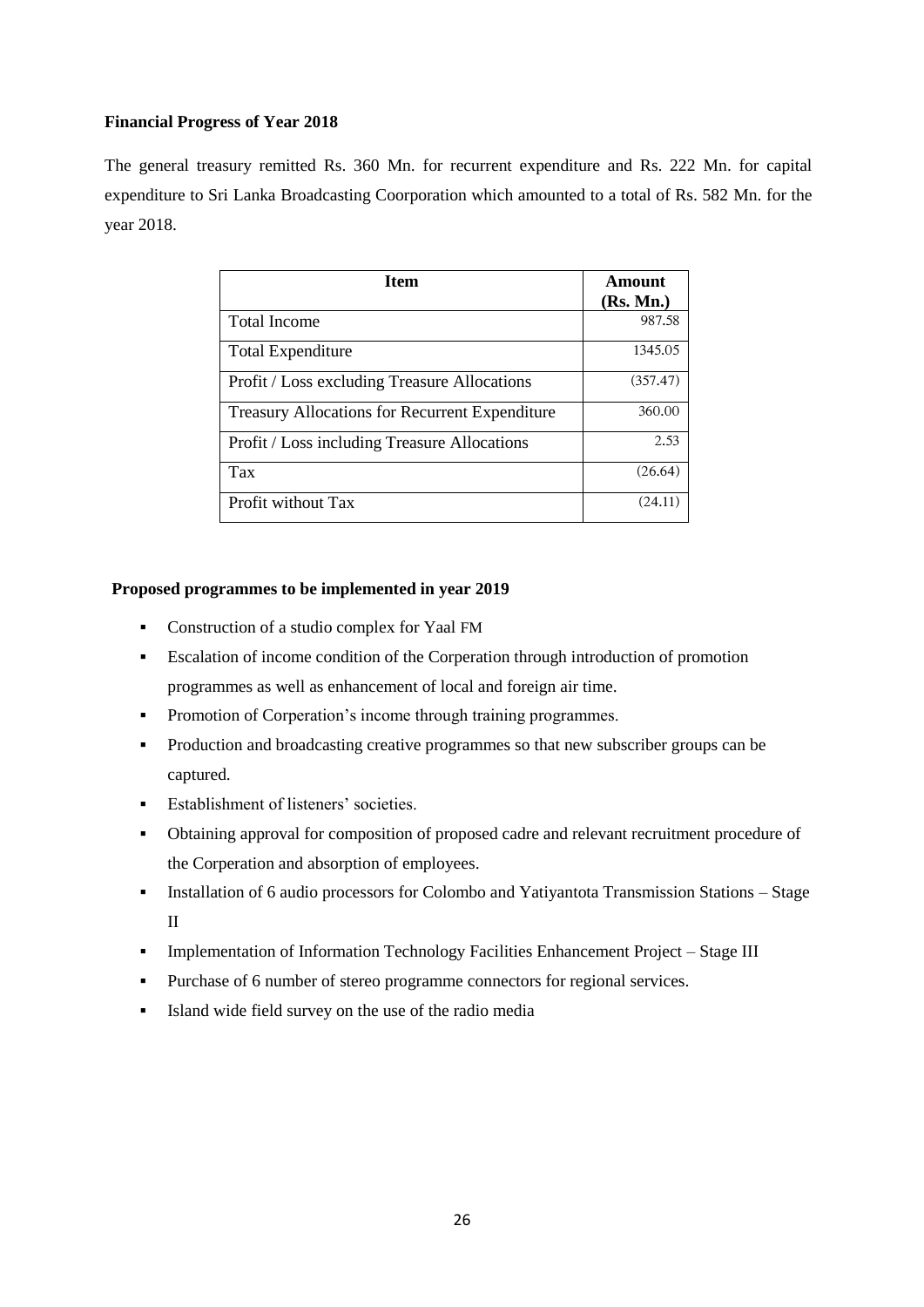### **Financial Progress of Year 2018**

The general treasury remitted Rs. 360 Mn. for recurrent expenditure and Rs. 222 Mn. for capital expenditure to Sri Lanka Broadcasting Coorporation which amounted to a total of Rs. 582 Mn. for the year 2018.

| <b>Item</b>                                           | Amount    |
|-------------------------------------------------------|-----------|
|                                                       | (Rs. Mn.) |
| <b>Total Income</b>                                   | 987.58    |
| <b>Total Expenditure</b>                              | 1345.05   |
| Profit / Loss excluding Treasure Allocations          | (357.47)  |
| <b>Treasury Allocations for Recurrent Expenditure</b> | 360.00    |
| Profit / Loss including Treasure Allocations          | 2.53      |
| Tax                                                   | (26.64)   |
| Profit without Tax                                    | (24.11)   |

#### **Proposed programmes to be implemented in year 2019**

- Construction of a studio complex for Yaal FM
- Escalation of income condition of the Corperation through introduction of promotion programmes as well as enhancement of local and foreign air time.
- Promotion of Corperation's income through training programmes.
- Production and broadcasting creative programmes so that new subscriber groups can be captured.
- **Establishment of listeners' societies.**
- Obtaining approval for composition of proposed cadre and relevant recruitment procedure of the Corperation and absorption of employees.
- Installation of 6 audio processors for Colombo and Yatiyantota Transmission Stations Stage II
- Implementation of Information Technology Facilities Enhancement Project Stage III
- Purchase of 6 number of stereo programme connectors for regional services.
- Island wide field survey on the use of the radio media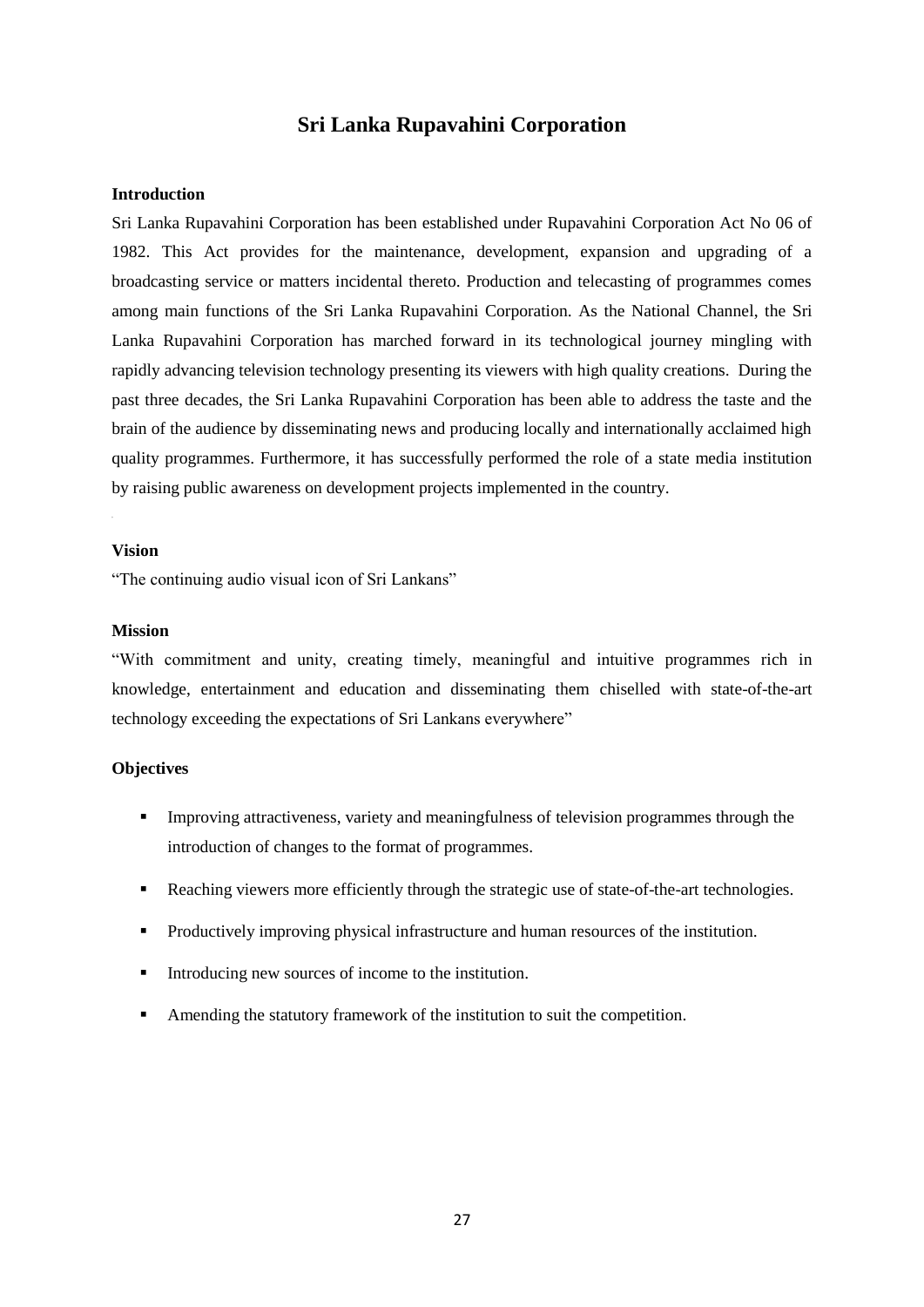# **Sri Lanka Rupavahini Corporation**

#### **Introduction**

Sri Lanka Rupavahini Corporation has been established under Rupavahini Corporation Act No 06 of 1982. This Act provides for the maintenance, development, expansion and upgrading of a broadcasting service or matters incidental thereto. Production and telecasting of programmes comes among main functions of the Sri Lanka Rupavahini Corporation. As the National Channel, the Sri Lanka Rupavahini Corporation has marched forward in its technological journey mingling with rapidly advancing television technology presenting its viewers with high quality creations. During the past three decades, the Sri Lanka Rupavahini Corporation has been able to address the taste and the brain of the audience by disseminating news and producing locally and internationally acclaimed high quality programmes. Furthermore, it has successfully performed the role of a state media institution by raising public awareness on development projects implemented in the country.

#### **Vision**

"The continuing audio visual icon of Sri Lankans"

#### **Mission**

"With commitment and unity, creating timely, meaningful and intuitive programmes rich in knowledge, entertainment and education and disseminating them chiselled with state-of-the-art technology exceeding the expectations of Sri Lankans everywhere"

#### **Objectives**

- **Improving attractiveness, variety and meaningfulness of television programmes through the** introduction of changes to the format of programmes.
- Reaching viewers more efficiently through the strategic use of state-of-the-art technologies.
- Productively improving physical infrastructure and human resources of the institution.
- Introducing new sources of income to the institution.
- Amending the statutory framework of the institution to suit the competition.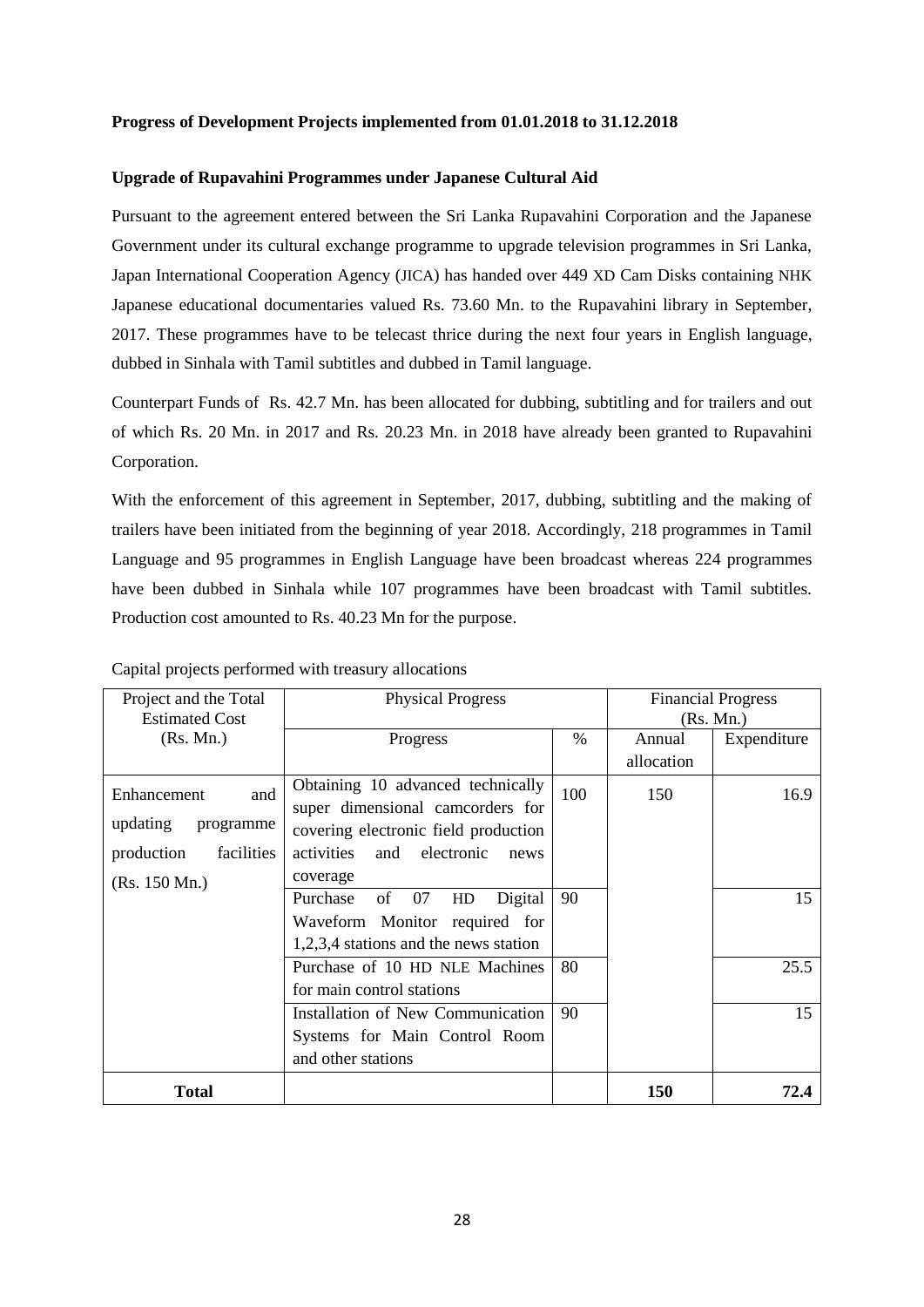#### **Progress of Development Projects implemented from 01.01.2018 to 31.12.2018**

#### **Upgrade of Rupavahini Programmes under Japanese Cultural Aid**

Pursuant to the agreement entered between the Sri Lanka Rupavahini Corporation and the Japanese Government under its cultural exchange programme to upgrade television programmes in Sri Lanka, Japan International Cooperation Agency (JICA) has handed over 449 XD Cam Disks containing NHK Japanese educational documentaries valued Rs. 73.60 Mn. to the Rupavahini library in September, 2017. These programmes have to be telecast thrice during the next four years in English language, dubbed in Sinhala with Tamil subtitles and dubbed in Tamil language.

Counterpart Funds of Rs. 42.7 Mn. has been allocated for dubbing, subtitling and for trailers and out of which Rs. 20 Mn. in 2017 and Rs. 20.23 Mn. in 2018 have already been granted to Rupavahini Corporation.

With the enforcement of this agreement in September, 2017, dubbing, subtitling and the making of trailers have been initiated from the beginning of year 2018. Accordingly, 218 programmes in Tamil Language and 95 programmes in English Language have been broadcast whereas 224 programmes have been dubbed in Sinhala while 107 programmes have been broadcast with Tamil subtitles. Production cost amounted to Rs. 40.23 Mn for the purpose.

| Project and the Total<br><b>Estimated Cost</b>                                           | <b>Physical Progress</b>                                                                                                                                       | <b>Financial Progress</b><br>(Rs. Mn.) |                      |             |
|------------------------------------------------------------------------------------------|----------------------------------------------------------------------------------------------------------------------------------------------------------------|----------------------------------------|----------------------|-------------|
| (Rs. Mn.)                                                                                | Progress                                                                                                                                                       | $\%$                                   | Annual<br>allocation | Expenditure |
| Enhancement<br>and<br>updating<br>programme<br>production<br>facilities<br>(Rs. 150 Mn.) | Obtaining 10 advanced technically<br>super dimensional camcorders for<br>covering electronic field production<br>activities and electronic<br>news<br>coverage | 100                                    | 150                  | 16.9        |
|                                                                                          | Purchase<br>of<br>07<br>Digital<br>HD<br>Waveform Monitor required for<br>1,2,3,4 stations and the news station                                                | 90                                     |                      | 15          |
|                                                                                          | Purchase of 10 HD NLE Machines<br>for main control stations                                                                                                    | 80                                     |                      | 25.5        |
|                                                                                          | Installation of New Communication<br>Systems for Main Control Room<br>and other stations                                                                       | 90                                     |                      | 15          |
| <b>Total</b>                                                                             |                                                                                                                                                                |                                        | 150                  | 72.4        |

Capital projects performed with treasury allocations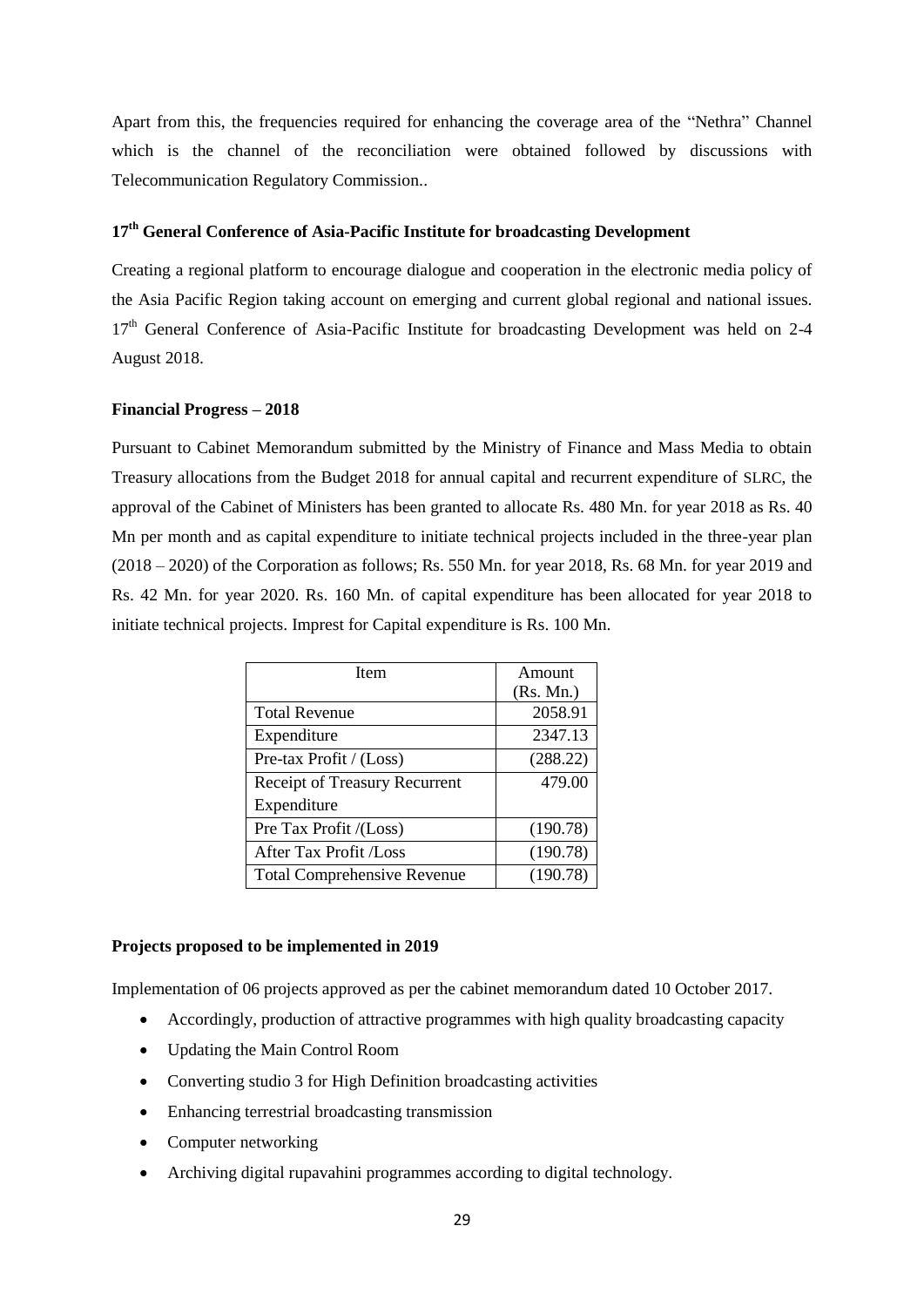Apart from this, the frequencies required for enhancing the coverage area of the "Nethra" Channel which is the channel of the reconciliation were obtained followed by discussions with Telecommunication Regulatory Commission..

# **17th General Conference of Asia-Pacific Institute for broadcasting Development**

Creating a regional platform to encourage dialogue and cooperation in the electronic media policy of the Asia Pacific Region taking account on emerging and current global regional and national issues. 17<sup>th</sup> General Conference of Asia-Pacific Institute for broadcasting Development was held on 2-4 August 2018.

#### **Financial Progress – 2018**

Pursuant to Cabinet Memorandum submitted by the Ministry of Finance and Mass Media to obtain Treasury allocations from the Budget 2018 for annual capital and recurrent expenditure of SLRC, the approval of the Cabinet of Ministers has been granted to allocate Rs. 480 Mn. for year 2018 as Rs. 40 Mn per month and as capital expenditure to initiate technical projects included in the three-year plan (2018 – 2020) of the Corporation as follows; Rs. 550 Mn. for year 2018, Rs. 68 Mn. for year 2019 and Rs. 42 Mn. for year 2020. Rs. 160 Mn. of capital expenditure has been allocated for year 2018 to initiate technical projects. Imprest for Capital expenditure is Rs. 100 Mn.

| Item                               | Amount    |
|------------------------------------|-----------|
|                                    | (Rs. Mn.) |
| <b>Total Revenue</b>               | 2058.91   |
| Expenditure                        | 2347.13   |
| Pre-tax Profit / (Loss)            | (288.22)  |
| Receipt of Treasury Recurrent      | 479.00    |
| Expenditure                        |           |
| Pre Tax Profit /(Loss)             | (190.78)  |
| After Tax Profit /Loss             | (190.78)  |
| <b>Total Comprehensive Revenue</b> | (190.78)  |

#### **Projects proposed to be implemented in 2019**

Implementation of 06 projects approved as per the cabinet memorandum dated 10 October 2017.

- Accordingly, production of attractive programmes with high quality broadcasting capacity
- Updating the Main Control Room
- Converting studio 3 for High Definition broadcasting activities
- Enhancing terrestrial broadcasting transmission
- Computer networking
- Archiving digital rupavahini programmes according to digital technology.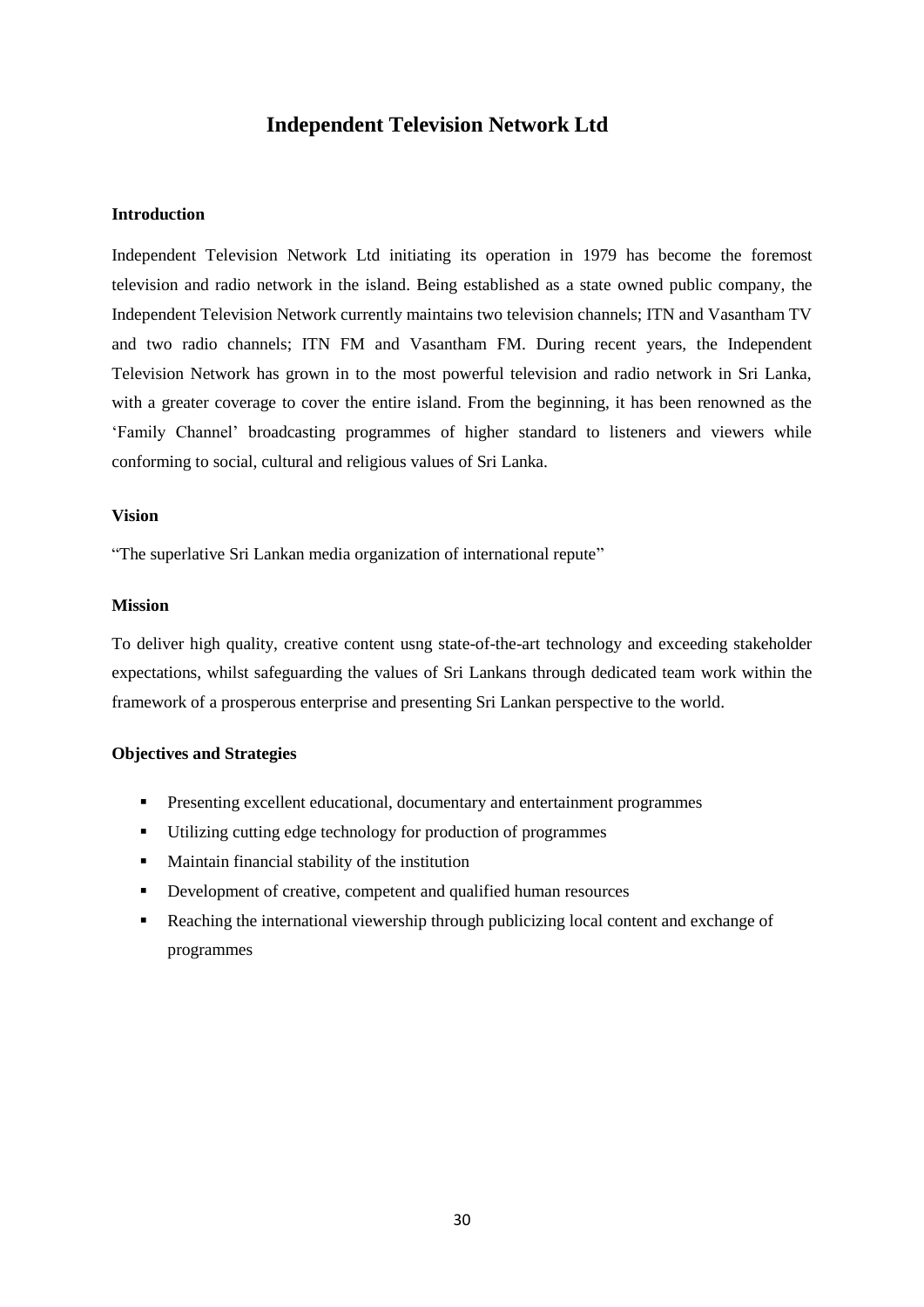# **Independent Television Network Ltd**

#### **Introduction**

Independent Television Network Ltd initiating its operation in 1979 has become the foremost television and radio network in the island. Being established as a state owned public company, the Independent Television Network currently maintains two television channels; ITN and Vasantham TV and two radio channels; ITN FM and Vasantham FM. During recent years, the Independent Television Network has grown in to the most powerful television and radio network in Sri Lanka, with a greater coverage to cover the entire island. From the beginning, it has been renowned as the "Family Channel" broadcasting programmes of higher standard to listeners and viewers while conforming to social, cultural and religious values of Sri Lanka.

#### **Vision**

"The superlative Sri Lankan media organization of international repute"

#### **Mission**

To deliver high quality, creative content usng state-of-the-art technology and exceeding stakeholder expectations, whilst safeguarding the values of Sri Lankans through dedicated team work within the framework of a prosperous enterprise and presenting Sri Lankan perspective to the world.

#### **Objectives and Strategies**

- **Presenting excellent educational, documentary and entertainment programmes**
- Utilizing cutting edge technology for production of programmes
- Maintain financial stability of the institution
- Development of creative, competent and qualified human resources
- **Reaching the international viewership through publicizing local content and exchange of** programmes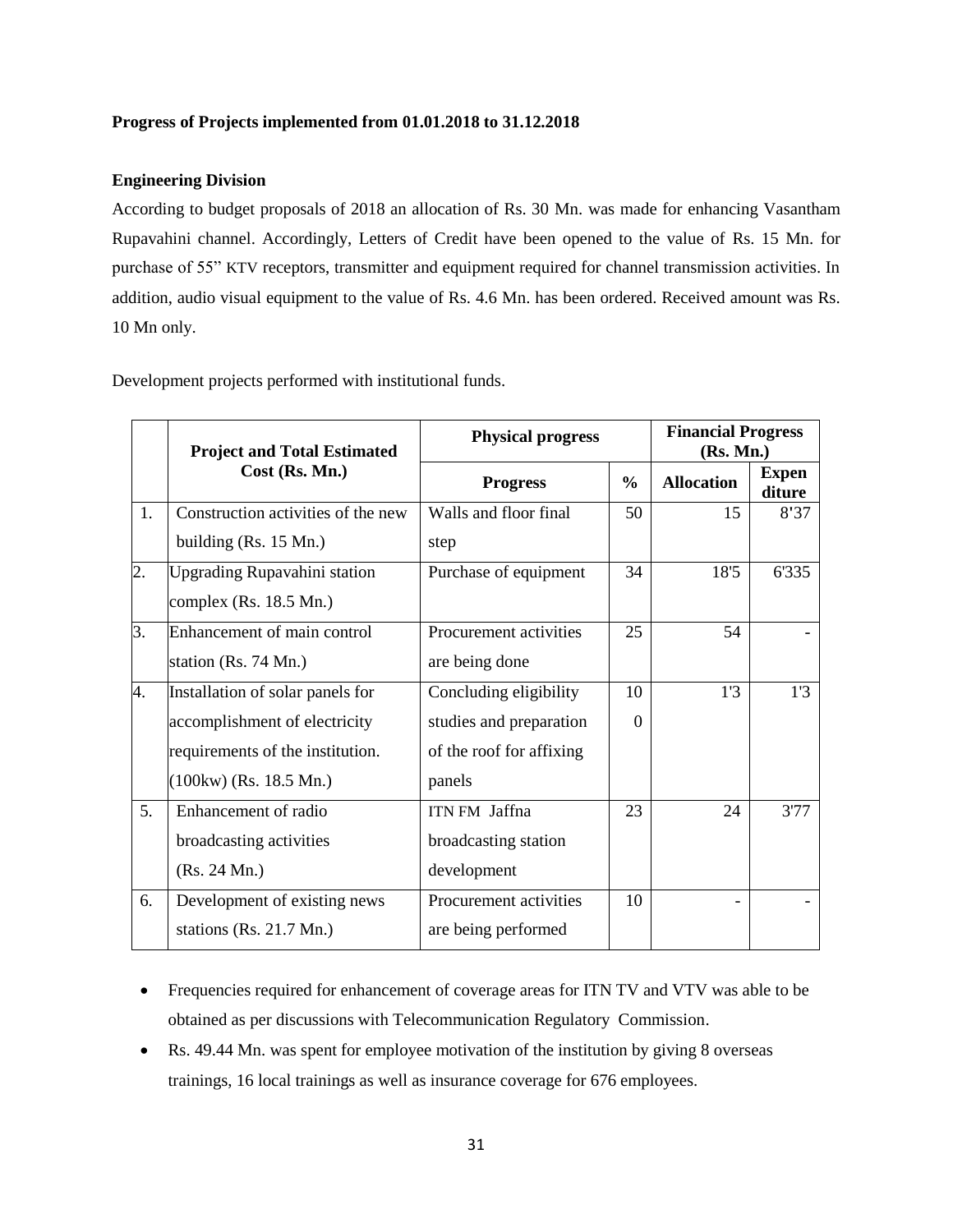#### **Progress of Projects implemented from 01.01.2018 to 31.12.2018**

#### **Engineering Division**

According to budget proposals of 2018 an allocation of Rs. 30 Mn. was made for enhancing Vasantham Rupavahini channel. Accordingly, Letters of Credit have been opened to the value of Rs. 15 Mn. for purchase of 55" KTV receptors, transmitter and equipment required for channel transmission activities. In addition, audio visual equipment to the value of Rs. 4.6 Mn. has been ordered. Received amount was Rs. 10 Mn only.

Development projects performed with institutional funds.

|    | <b>Project and Total Estimated</b>  | <b>Physical progress</b> |               | <b>Financial Progress</b><br>(Rs. Mn.) |                        |
|----|-------------------------------------|--------------------------|---------------|----------------------------------------|------------------------|
|    | Cost (Rs. Mn.)                      | <b>Progress</b>          | $\frac{0}{0}$ | <b>Allocation</b>                      | <b>Expen</b><br>diture |
| 1. | Construction activities of the new  | Walls and floor final    | 50            | 15                                     | 8'37                   |
|    | building $(Rs. 15 \text{ Mn.})$     | step                     |               |                                        |                        |
| 2. | <b>Upgrading Rupavahini station</b> | Purchase of equipment    | 34            | 18'5                                   | 6'335                  |
|    | complex $(Rs. 18.5 Mn.)$            |                          |               |                                        |                        |
| 3. | Enhancement of main control         | Procurement activities   | 25            | 54                                     |                        |
|    | station (Rs. 74 Mn.)                | are being done           |               |                                        |                        |
| 4. | Installation of solar panels for    | Concluding eligibility   | 10            | 1'3                                    | 1'3                    |
|    | accomplishment of electricity       | studies and preparation  | $\Omega$      |                                        |                        |
|    | requirements of the institution.    | of the roof for affixing |               |                                        |                        |
|    | $(100kw)$ (Rs. 18.5 Mn.)            | panels                   |               |                                        |                        |
| 5. | Enhancement of radio                | ITN FM Jaffna            | 23            | 24                                     | 3'77                   |
|    | broadcasting activities             | broadcasting station     |               |                                        |                        |
|    | (Rs. 24 Mn.)                        | development              |               |                                        |                        |
| 6. | Development of existing news        | Procurement activities   | 10            |                                        |                        |
|    | stations (Rs. 21.7 Mn.)             | are being performed      |               |                                        |                        |

- Frequencies required for enhancement of coverage areas for ITN TV and VTV was able to be obtained as per discussions with Telecommunication Regulatory Commission.
- Rs. 49.44 Mn. was spent for employee motivation of the institution by giving 8 overseas trainings, 16 local trainings as well as insurance coverage for 676 employees.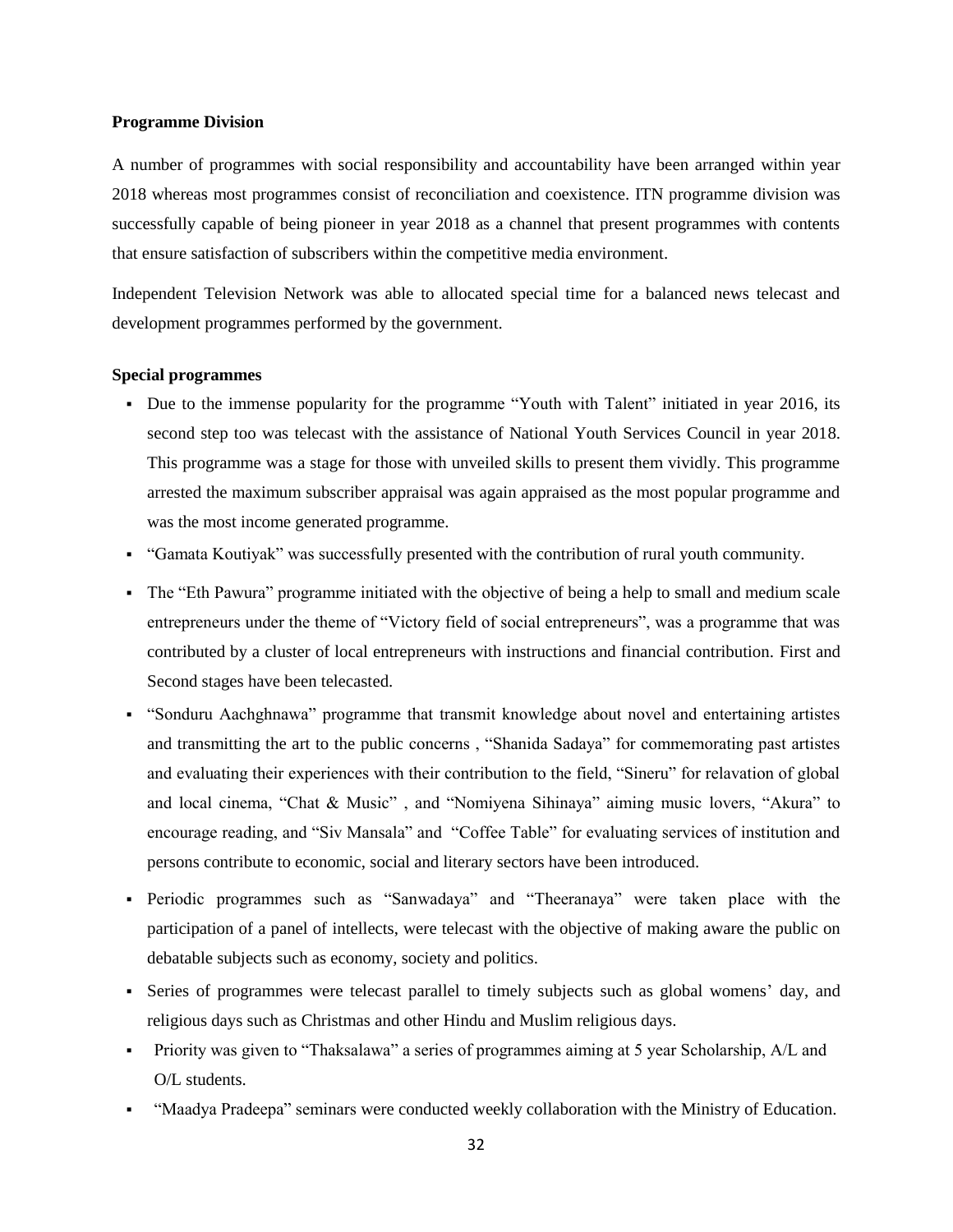#### **Programme Division**

A number of programmes with social responsibility and accountability have been arranged within year 2018 whereas most programmes consist of reconciliation and coexistence. ITN programme division was successfully capable of being pioneer in year 2018 as a channel that present programmes with contents that ensure satisfaction of subscribers within the competitive media environment.

Independent Television Network was able to allocated special time for a balanced news telecast and development programmes performed by the government.

#### **Special programmes**

- Due to the immense popularity for the programme "Youth with Talent" initiated in year 2016, its second step too was telecast with the assistance of National Youth Services Council in year 2018. This programme was a stage for those with unveiled skills to present them vividly. This programme arrested the maximum subscriber appraisal was again appraised as the most popular programme and was the most income generated programme.
- "Gamata Koutiyak" was successfully presented with the contribution of rural youth community.
- The "Eth Pawura" programme initiated with the objective of being a help to small and medium scale entrepreneurs under the theme of "Victory field of social entrepreneurs", was a programme that was contributed by a cluster of local entrepreneurs with instructions and financial contribution. First and Second stages have been telecasted.
- "Sonduru Aachghnawa" programme that transmit knowledge about novel and entertaining artistes and transmitting the art to the public concerns , "Shanida Sadaya" for commemorating past artistes and evaluating their experiences with their contribution to the field, "Sineru" for relavation of global and local cinema, "Chat & Music" , and "Nomiyena Sihinaya" aiming music lovers, "Akura" to encourage reading, and "Siv Mansala" and "Coffee Table" for evaluating services of institution and persons contribute to economic, social and literary sectors have been introduced.
- Periodic programmes such as "Sanwadaya" and "Theeranaya" were taken place with the participation of a panel of intellects, were telecast with the objective of making aware the public on debatable subjects such as economy, society and politics.
- Series of programmes were telecast parallel to timely subjects such as global womens" day, and religious days such as Christmas and other Hindu and Muslim religious days.
- Priority was given to "Thaksalawa" a series of programmes aiming at 5 year Scholarship, A/L and O/L students.
- "Maadya Pradeepa" seminars were conducted weekly collaboration with the Ministry of Education.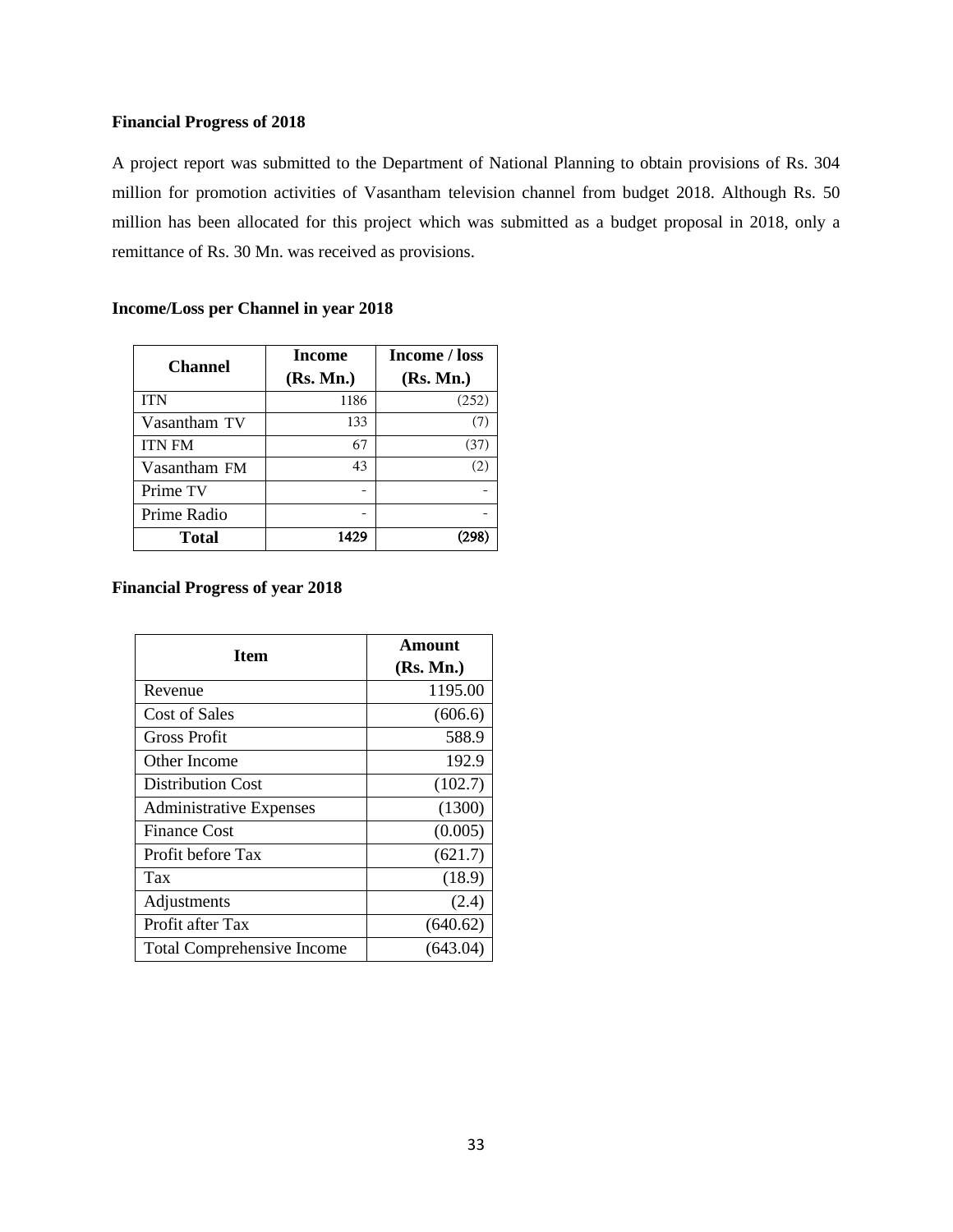#### **Financial Progress of 2018**

A project report was submitted to the Department of National Planning to obtain provisions of Rs. 304 million for promotion activities of Vasantham television channel from budget 2018. Although Rs. 50 million has been allocated for this project which was submitted as a budget proposal in 2018, only a remittance of Rs. 30 Mn. was received as provisions.

| <b>Channel</b> | Income<br>(Rs. Mn.) | Income / loss<br>(Rs. Mn.) |
|----------------|---------------------|----------------------------|
| <b>ITN</b>     | 1186                | (252)                      |
| Vasantham TV   | 133                 | (7)                        |
| <b>ITN FM</b>  | 67                  | (37)                       |
| Vasantham FM   | 43                  | (2)                        |
| Prime TV       |                     |                            |
| Prime Radio    |                     |                            |
| Total          | 1429                |                            |

#### **Income/Loss per Channel in year 2018**

#### **Financial Progress of year 2018**

| <b>Item</b>                       | Amount    |  |  |
|-----------------------------------|-----------|--|--|
|                                   | (Rs. Mn.) |  |  |
| Revenue                           | 1195.00   |  |  |
| <b>Cost of Sales</b>              | (606.6)   |  |  |
| Gross Profit                      | 588.9     |  |  |
| Other Income                      | 192.9     |  |  |
| <b>Distribution Cost</b>          | (102.7)   |  |  |
| <b>Administrative Expenses</b>    | (1300)    |  |  |
| <b>Finance Cost</b>               | (0.005)   |  |  |
| Profit before Tax                 | (621.7)   |  |  |
| Tax                               | (18.9)    |  |  |
| Adjustments                       | (2.4)     |  |  |
| Profit after Tax                  | (640.62)  |  |  |
| <b>Total Comprehensive Income</b> | (643.04)  |  |  |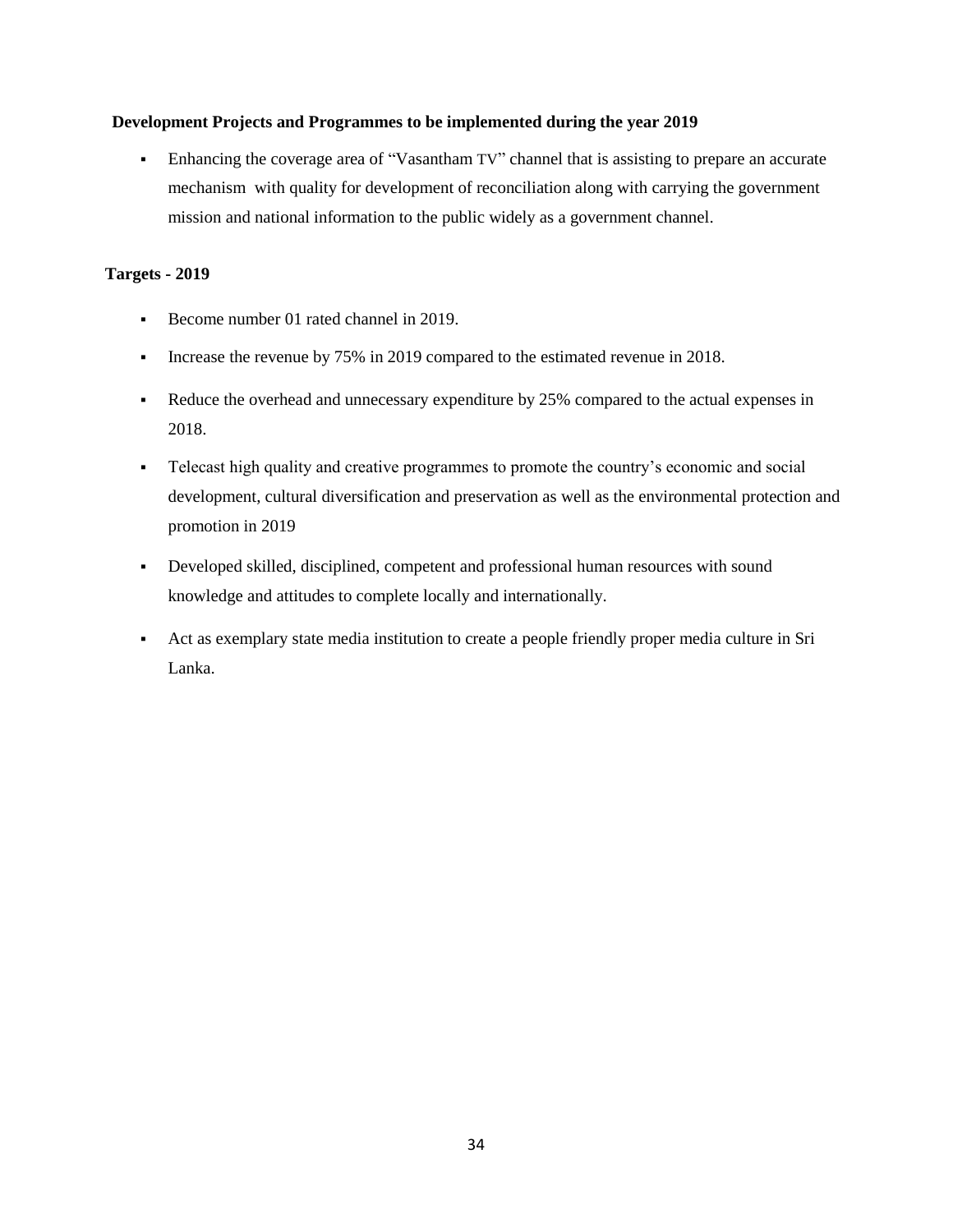#### **Development Projects and Programmes to be implemented during the year 2019**

 Enhancing the coverage area of "Vasantham TV" channel that is assisting to prepare an accurate mechanism with quality for development of reconciliation along with carrying the government mission and national information to the public widely as a government channel.

#### **Targets - 2019**

- Become number 01 rated channel in 2019.
- Increase the revenue by 75% in 2019 compared to the estimated revenue in 2018.
- Reduce the overhead and unnecessary expenditure by 25% compared to the actual expenses in 2018.
- Telecast high quality and creative programmes to promote the country"s economic and social development, cultural diversification and preservation as well as the environmental protection and promotion in 2019
- Developed skilled, disciplined, competent and professional human resources with sound knowledge and attitudes to complete locally and internationally.
- Act as exemplary state media institution to create a people friendly proper media culture in Sri Lanka.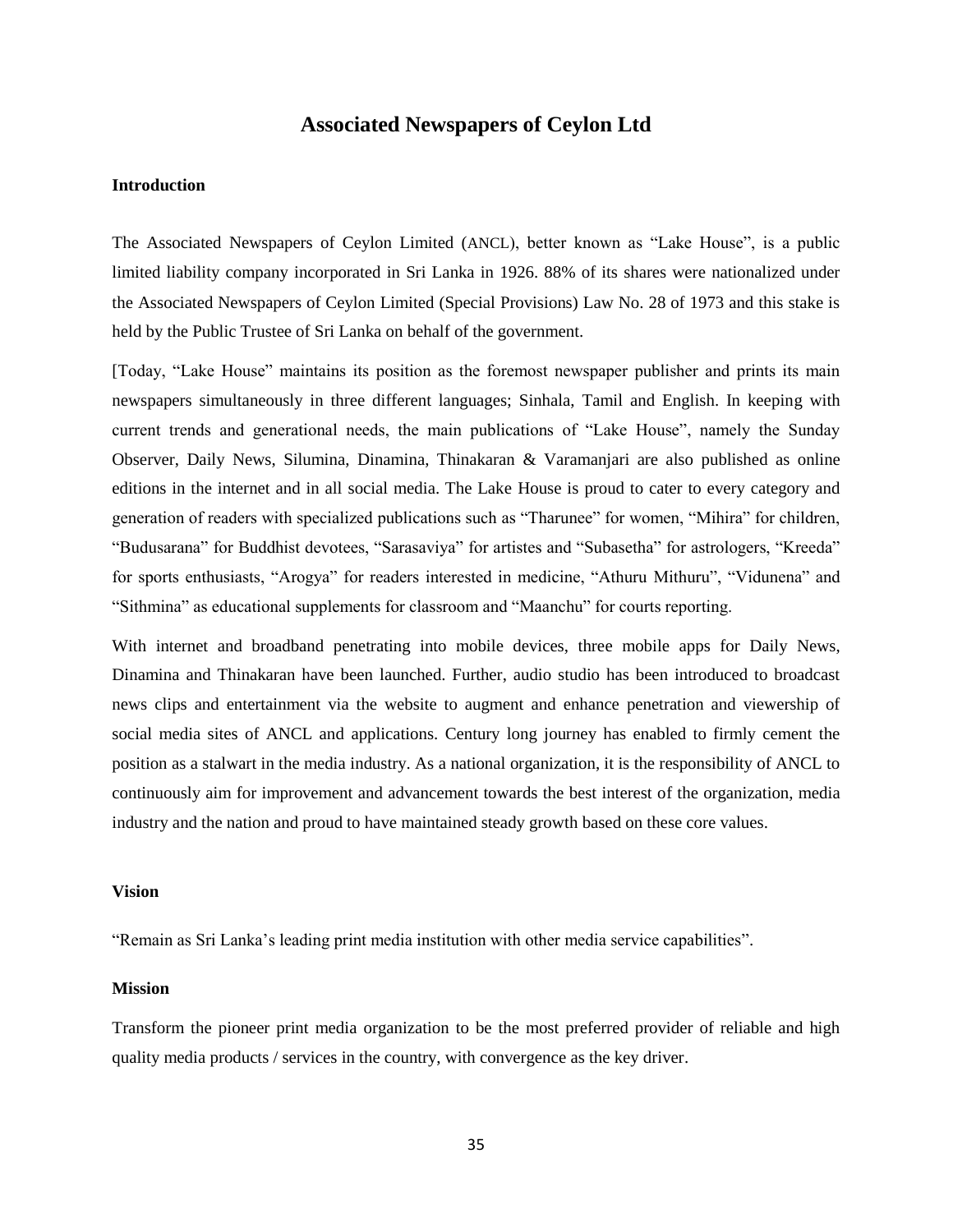# **Associated Newspapers of Ceylon Ltd**

#### **Introduction**

The Associated Newspapers of Ceylon Limited (ANCL), better known as "Lake House", is a public limited liability company incorporated in Sri Lanka in 1926. 88% of its shares were nationalized under the Associated Newspapers of Ceylon Limited (Special Provisions) Law No. 28 of 1973 and this stake is held by the Public Trustee of Sri Lanka on behalf of the government.

[Today, "Lake House" maintains its position as the foremost newspaper publisher and prints its main newspapers simultaneously in three different languages; Sinhala, Tamil and English. In keeping with current trends and generational needs, the main publications of "Lake House", namely the Sunday Observer, Daily News, Silumina, Dinamina, Thinakaran & Varamanjari are also published as online editions in the internet and in all social media. The Lake House is proud to cater to every category and generation of readers with specialized publications such as "Tharunee" for women, "Mihira" for children, "Budusarana" for Buddhist devotees, "Sarasaviya" for artistes and "Subasetha" for astrologers, "Kreeda" for sports enthusiasts, "Arogya" for readers interested in medicine, "Athuru Mithuru", "Vidunena" and "Sithmina" as educational supplements for classroom and "Maanchu" for courts reporting.

With internet and broadband penetrating into mobile devices, three mobile apps for Daily News, Dinamina and Thinakaran have been launched. Further, audio studio has been introduced to broadcast news clips and entertainment via the website to augment and enhance penetration and viewership of social media sites of ANCL and applications. Century long journey has enabled to firmly cement the position as a stalwart in the media industry. As a national organization, it is the responsibility of ANCL to continuously aim for improvement and advancement towards the best interest of the organization, media industry and the nation and proud to have maintained steady growth based on these core values.

#### **Vision**

"Remain as Sri Lanka"s leading print media institution with other media service capabilities".

#### **Mission**

Transform the pioneer print media organization to be the most preferred provider of reliable and high quality media products / services in the country, with convergence as the key driver.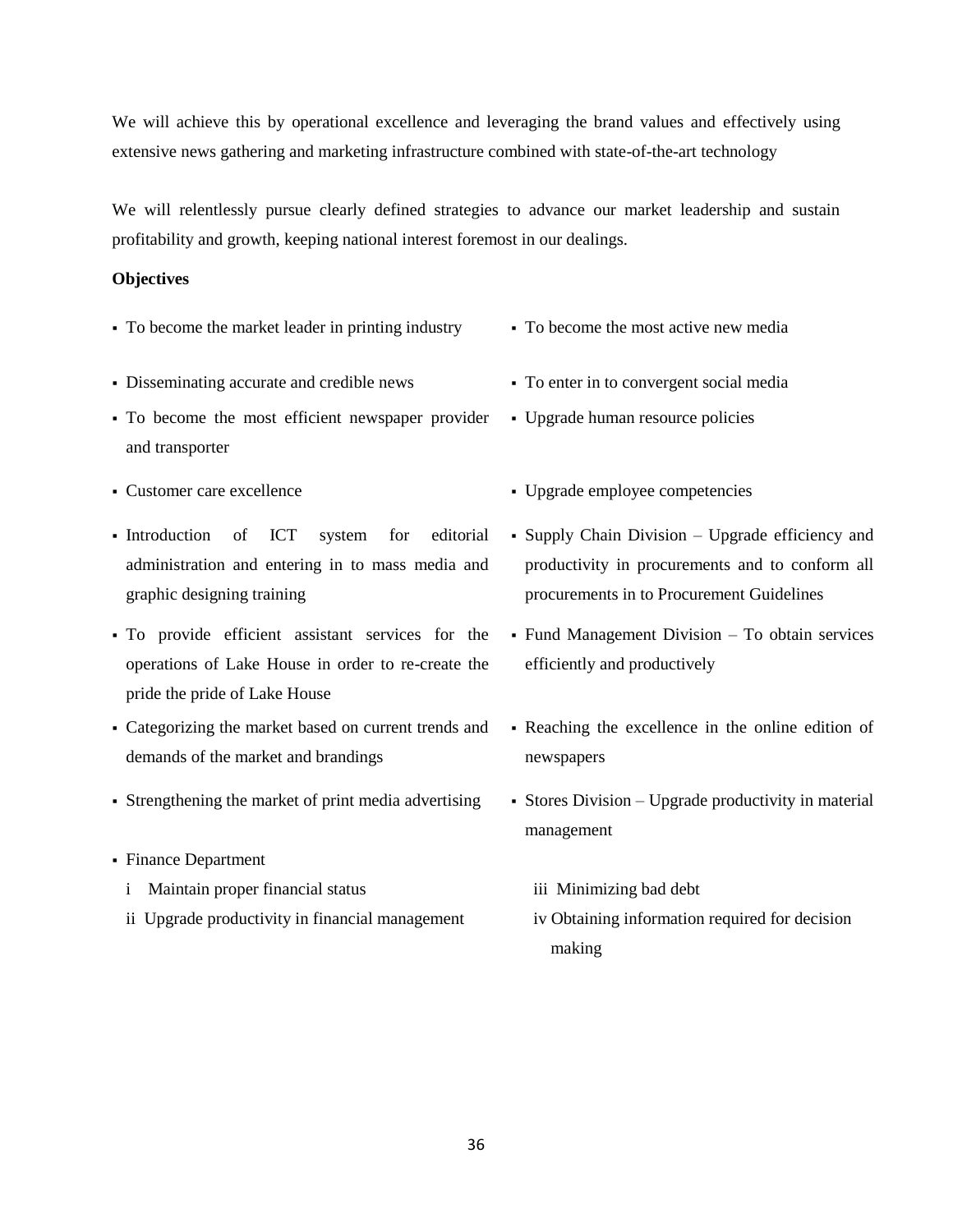We will achieve this by operational excellence and leveraging the brand values and effectively using extensive news gathering and marketing infrastructure combined with state-of-the-art technology

We will relentlessly pursue clearly defined strategies to advance our market leadership and sustain profitability and growth, keeping national interest foremost in our dealings.

#### **Objectives**

- To become the market leader in printing industry To become the most active new media
- Disseminating accurate and credible news To enter in to convergent social media
- To become the most efficient newspaper provider and transporter
- 
- Introduction of ICT system for editorial administration and entering in to mass media and graphic designing training
- To provide efficient assistant services for the operations of Lake House in order to re-create the pride the pride of Lake House
- Categorizing the market based on current trends and demands of the market and brandings
- Strengthening the market of print media advertising Stores Division Upgrade productivity in material
- Finance Department
	- i Maintain proper financial status
	- ii Upgrade productivity in financial management
- 
- 
- Upgrade human resource policies
- Customer care excellence Upgrade employee competencies
	- Supply Chain Division Upgrade efficiency and productivity in procurements and to conform all procurements in to Procurement Guidelines
	- Fund Management Division To obtain services efficiently and productively
	- Reaching the excellence in the online edition of newspapers
	- management
		- iii Minimizing bad debt
		- iv Obtaining information required for decision making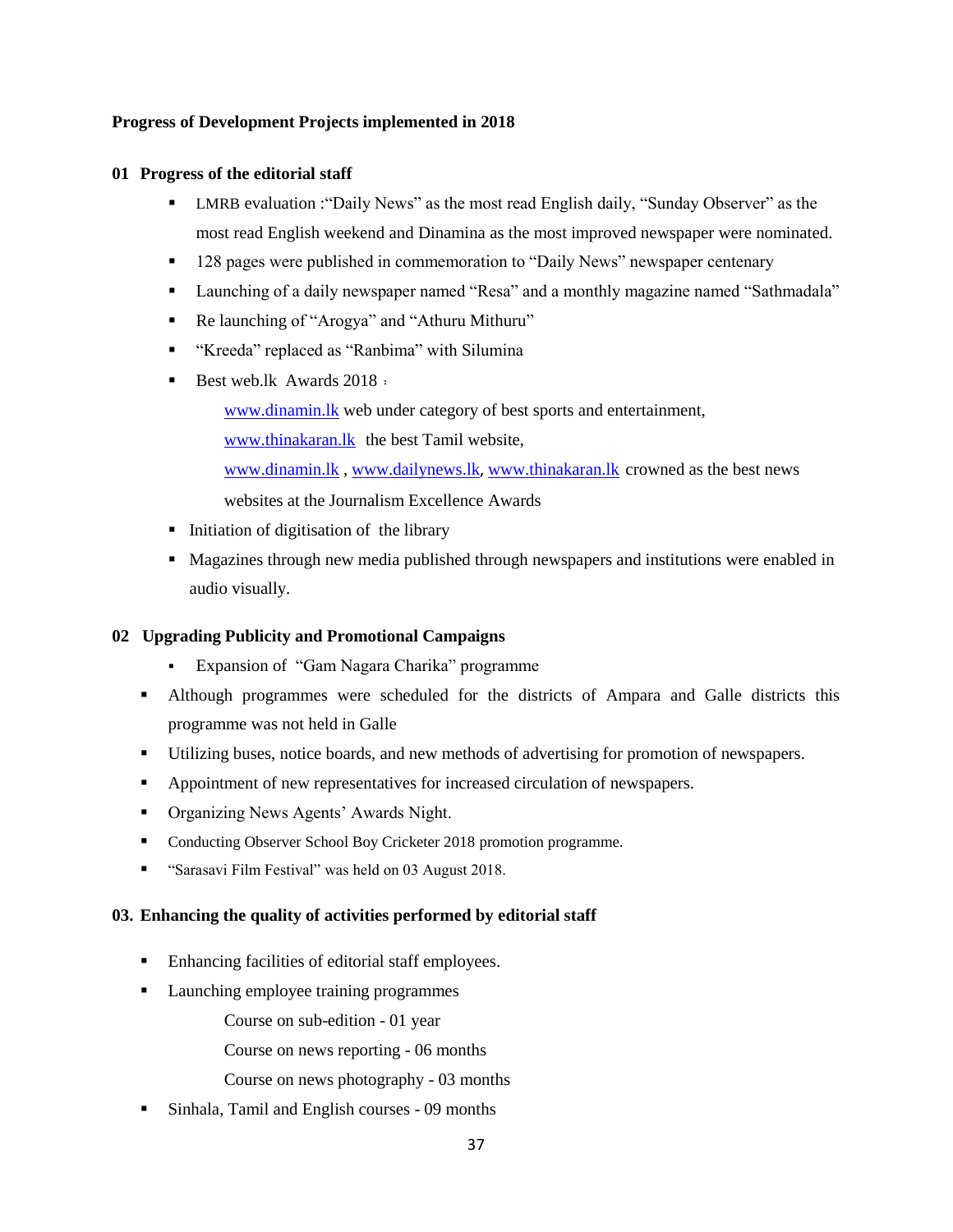#### **Progress of Development Projects implemented in 2018**

#### **01 Progress of the editorial staff**

- **EXECT** LMRB evaluation : "Daily News" as the most read English daily, "Sunday Observer" as the most read English weekend and Dinamina as the most improved newspaper were nominated.
- 128 pages were published in commemoration to "Daily News" newspaper centenary
- Launching of a daily newspaper named "Resa" and a monthly magazine named "Sathmadala"
- Re launching of "Arogya" and "Athuru Mithuru"
- "Kreeda" replaced as "Ranbima" with Silumina
- Best web.lk Awards  $2018:$

[www.dinamin.lk](http://www.dinamin.lk/) web under category of best sports and entertainment, [www.thinakaran.lk](http://www.thinakaran.lk/) the best Tamil website, [www.dinamin.lk](http://www.dinamin.lk/) , [www.dailynews.lk](http://www.dailynews.lk/), [www.thinakaran.lk](http://www.thinakaran.lk/) crowned as the best news websites at the Journalism Excellence Awards

- Initiation of digitisation of the library
- Magazines through new media published through newspapers and institutions were enabled in audio visually.

# **02 Upgrading Publicity and Promotional Campaigns**

- Expansion of "Gam Nagara Charika" programme
- Although programmes were scheduled for the districts of Ampara and Galle districts this programme was not held in Galle
- Utilizing buses, notice boards, and new methods of advertising for promotion of newspapers.
- Appointment of new representatives for increased circulation of newspapers.
- Organizing News Agents' Awards Night.
- Conducting Observer School Boy Cricketer 2018 promotion programme.
- **"** "Sarasavi Film Festival" was held on 03 August 2018.

#### **03. Enhancing the quality of activities performed by editorial staff**

- Enhancing facilities of editorial staff employees.
- **Launching employee training programmes**

Course on sub-edition - 01 year

Course on news reporting - 06 months

- Course on news photography 03 months
- Sinhala, Tamil and English courses 09 months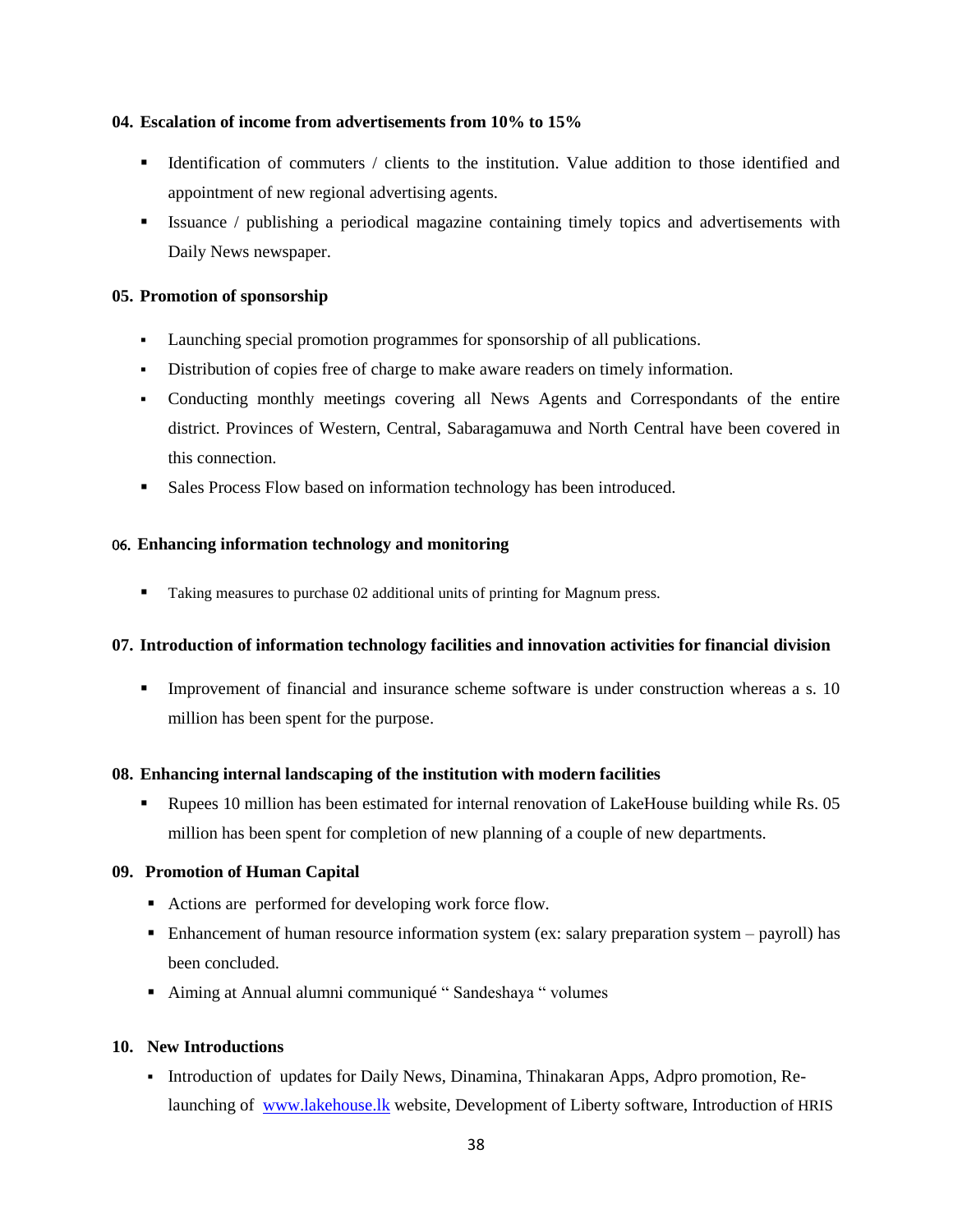#### **04. Escalation of income from advertisements from 10% to 15%**

- Identification of commuters / clients to the institution. Value addition to those identified and appointment of new regional advertising agents.
- Issuance / publishing a periodical magazine containing timely topics and advertisements with Daily News newspaper.

#### **05. Promotion of sponsorship**

- Launching special promotion programmes for sponsorship of all publications.
- Distribution of copies free of charge to make aware readers on timely information.
- Conducting monthly meetings covering all News Agents and Correspondants of the entire district. Provinces of Western, Central, Sabaragamuwa and North Central have been covered in this connection.
- Sales Process Flow based on information technology has been introduced.

#### 06' **Enhancing information technology and monitoring**

■ Taking measures to purchase 02 additional units of printing for Magnum press.

#### **07. Introduction of information technology facilities and innovation activities for financial division**

 Improvement of financial and insurance scheme software is under construction whereas a s. 10 million has been spent for the purpose.

#### **08. Enhancing internal landscaping of the institution with modern facilities**

**•** Rupees 10 million has been estimated for internal renovation of LakeHouse building while Rs. 05 million has been spent for completion of new planning of a couple of new departments.

#### **09. Promotion of Human Capital**

- Actions are performed for developing work force flow.
- Enhancement of human resource information system (ex: salary preparation system payroll) has been concluded.
- Aiming at Annual alumni communiqué " Sandeshaya " volumes

#### **10. New Introductions**

Introduction of updates for Daily News, Dinamina, Thinakaran Apps, Adpro promotion, Relaunching of [www.lakehouse.lk](http://www.lakehouse.lk/) website, Development of Liberty software, Introduction of HRIS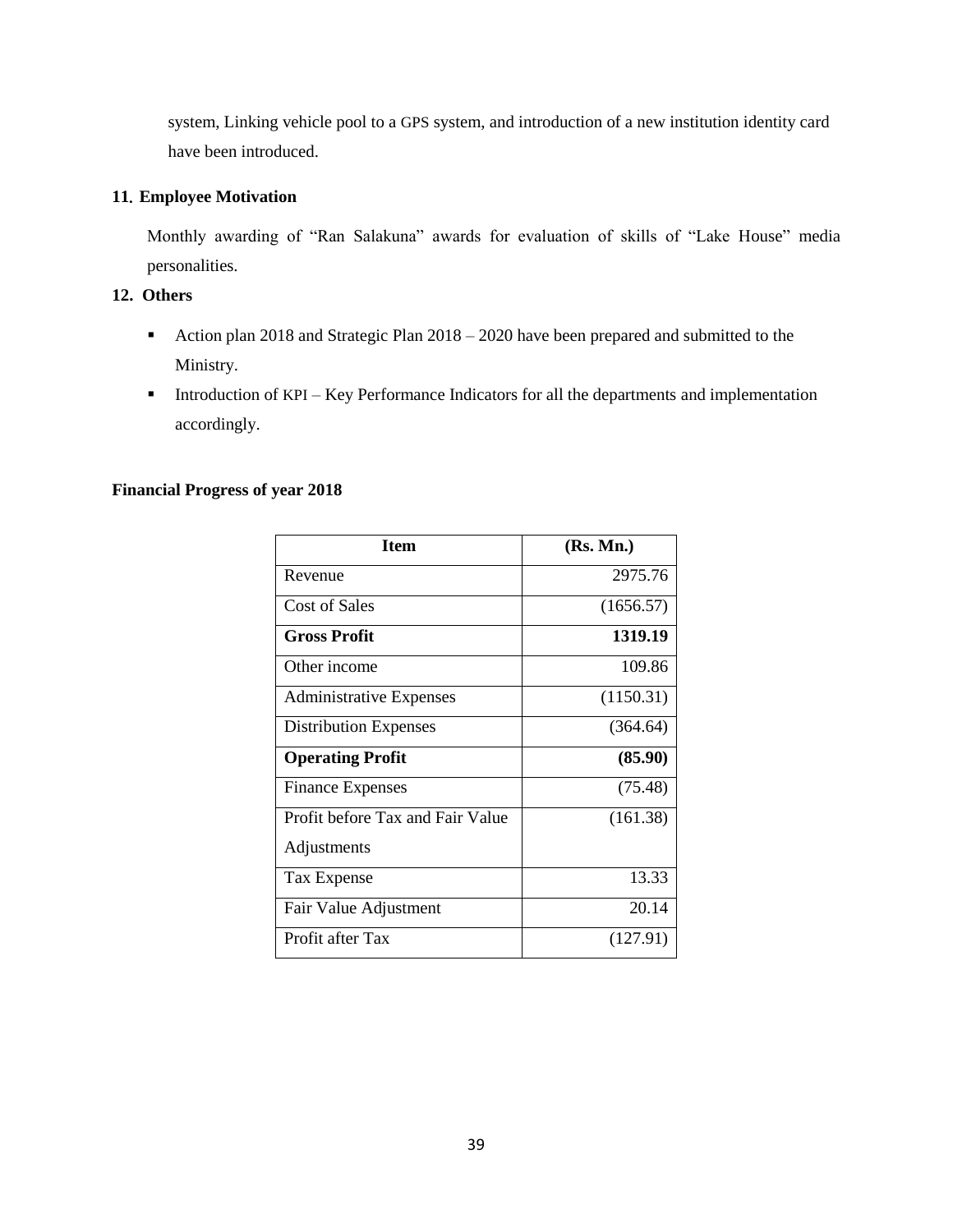system, Linking vehicle pool to a GPS system, and introduction of a new institution identity card have been introduced.

# **11**' **Employee Motivation**

Monthly awarding of "Ran Salakuna" awards for evaluation of skills of "Lake House" media personalities.

# **12. Others**

- Action plan 2018 and Strategic Plan 2018 2020 have been prepared and submitted to the Ministry.
- Introduction of KPI Key Performance Indicators for all the departments and implementation accordingly.

#### **Financial Progress of year 2018**

| <b>Item</b>                      | (Rs. Mn.) |
|----------------------------------|-----------|
| Revenue                          | 2975.76   |
| <b>Cost of Sales</b>             | (1656.57) |
| <b>Gross Profit</b>              | 1319.19   |
| Other income                     | 109.86    |
| <b>Administrative Expenses</b>   | (1150.31) |
| <b>Distribution Expenses</b>     | (364.64)  |
| <b>Operating Profit</b>          | (85.90)   |
| <b>Finance Expenses</b>          | (75.48)   |
| Profit before Tax and Fair Value | (161.38)  |
| Adjustments                      |           |
| Tax Expense                      | 13.33     |
| Fair Value Adjustment            | 20.14     |
| Profit after Tax                 | (127.91)  |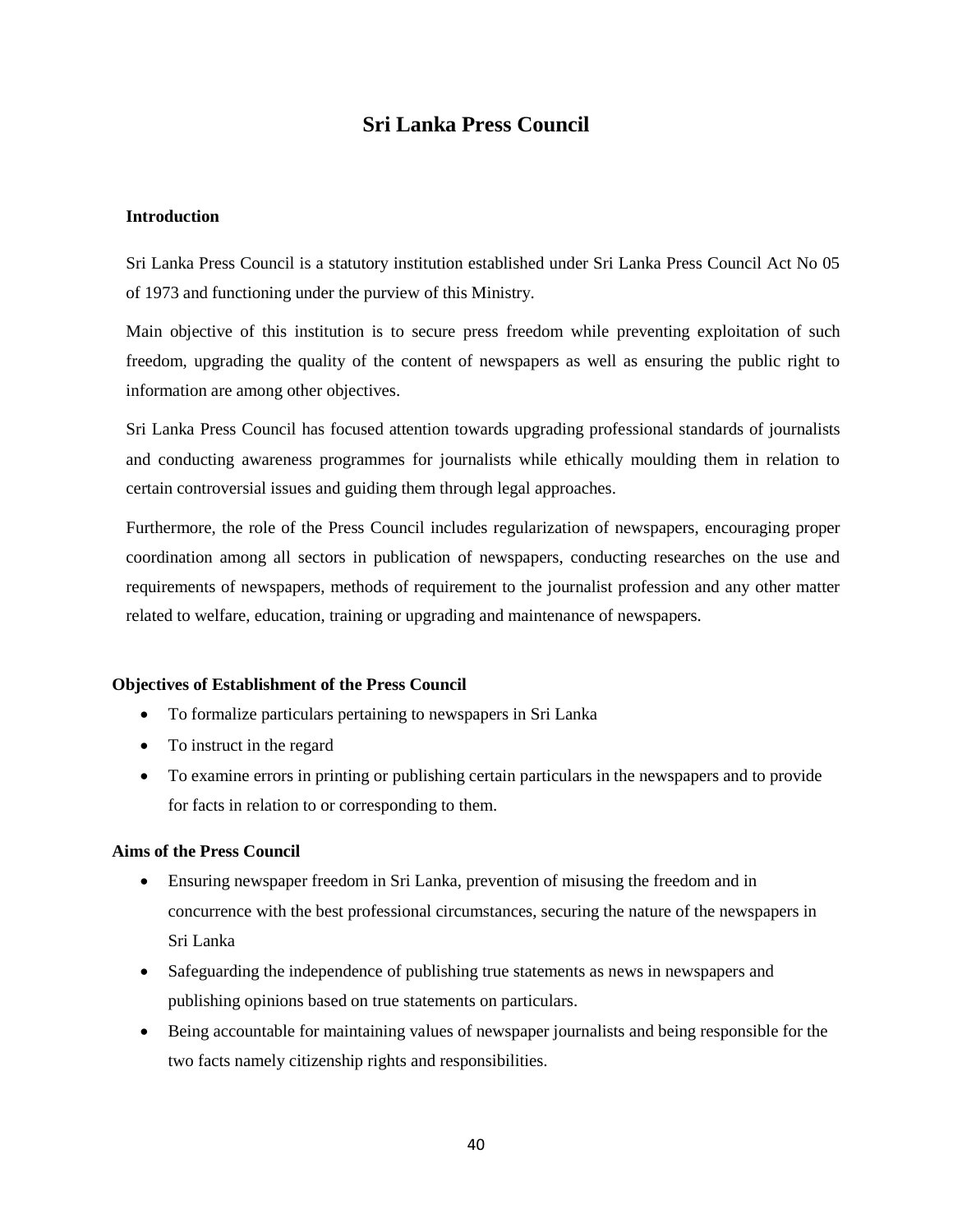# **Sri Lanka Press Council**

#### **Introduction**

Sri Lanka Press Council is a statutory institution established under Sri Lanka Press Council Act No 05 of 1973 and functioning under the purview of this Ministry.

Main objective of this institution is to secure press freedom while preventing exploitation of such freedom, upgrading the quality of the content of newspapers as well as ensuring the public right to information are among other objectives.

Sri Lanka Press Council has focused attention towards upgrading professional standards of journalists and conducting awareness programmes for journalists while ethically moulding them in relation to certain controversial issues and guiding them through legal approaches.

Furthermore, the role of the Press Council includes regularization of newspapers, encouraging proper coordination among all sectors in publication of newspapers, conducting researches on the use and requirements of newspapers, methods of requirement to the journalist profession and any other matter related to welfare, education, training or upgrading and maintenance of newspapers.

#### **Objectives of Establishment of the Press Council**

- To formalize particulars pertaining to newspapers in Sri Lanka
- To instruct in the regard
- To examine errors in printing or publishing certain particulars in the newspapers and to provide for facts in relation to or corresponding to them.

#### **Aims of the Press Council**

- Ensuring newspaper freedom in Sri Lanka, prevention of misusing the freedom and in concurrence with the best professional circumstances, securing the nature of the newspapers in Sri Lanka
- Safeguarding the independence of publishing true statements as news in newspapers and publishing opinions based on true statements on particulars.
- Being accountable for maintaining values of newspaper journalists and being responsible for the two facts namely citizenship rights and responsibilities.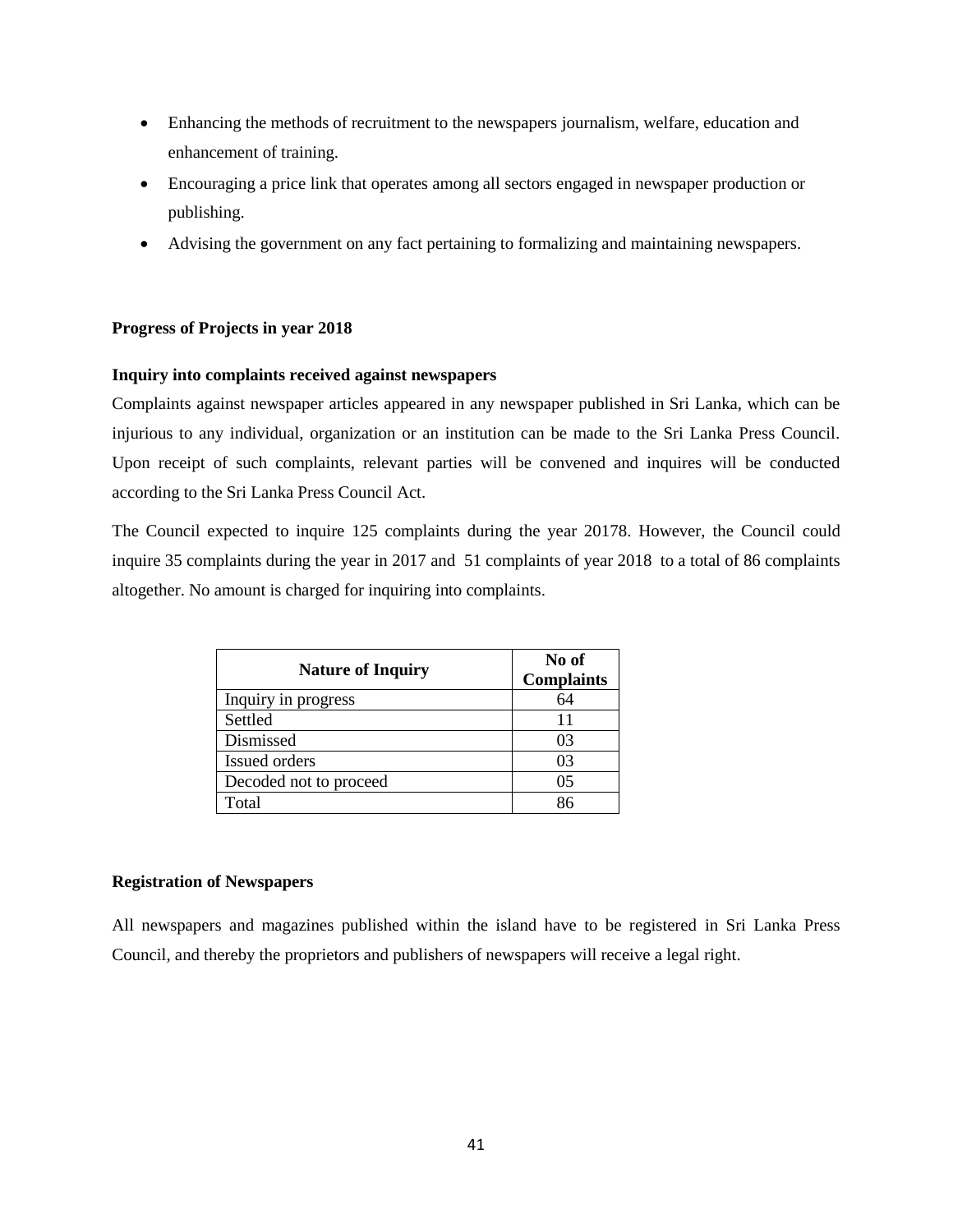- Enhancing the methods of recruitment to the newspapers journalism, welfare, education and enhancement of training.
- Encouraging a price link that operates among all sectors engaged in newspaper production or publishing.
- Advising the government on any fact pertaining to formalizing and maintaining newspapers.

#### **Progress of Projects in year 2018**

#### **Inquiry into complaints received against newspapers**

Complaints against newspaper articles appeared in any newspaper published in Sri Lanka, which can be injurious to any individual, organization or an institution can be made to the Sri Lanka Press Council. Upon receipt of such complaints, relevant parties will be convened and inquires will be conducted according to the Sri Lanka Press Council Act.

The Council expected to inquire 125 complaints during the year 20178. However, the Council could inquire 35 complaints during the year in 2017 and 51 complaints of year 2018 to a total of 86 complaints altogether. No amount is charged for inquiring into complaints.

| <b>Nature of Inquiry</b> | No of<br><b>Complaints</b> |
|--------------------------|----------------------------|
| Inquiry in progress      | 64                         |
| Settled                  |                            |
| Dismissed                | 03                         |
| Issued orders            | 03                         |
| Decoded not to proceed   | 05                         |
| Total                    |                            |

#### **Registration of Newspapers**

All newspapers and magazines published within the island have to be registered in Sri Lanka Press Council, and thereby the proprietors and publishers of newspapers will receive a legal right.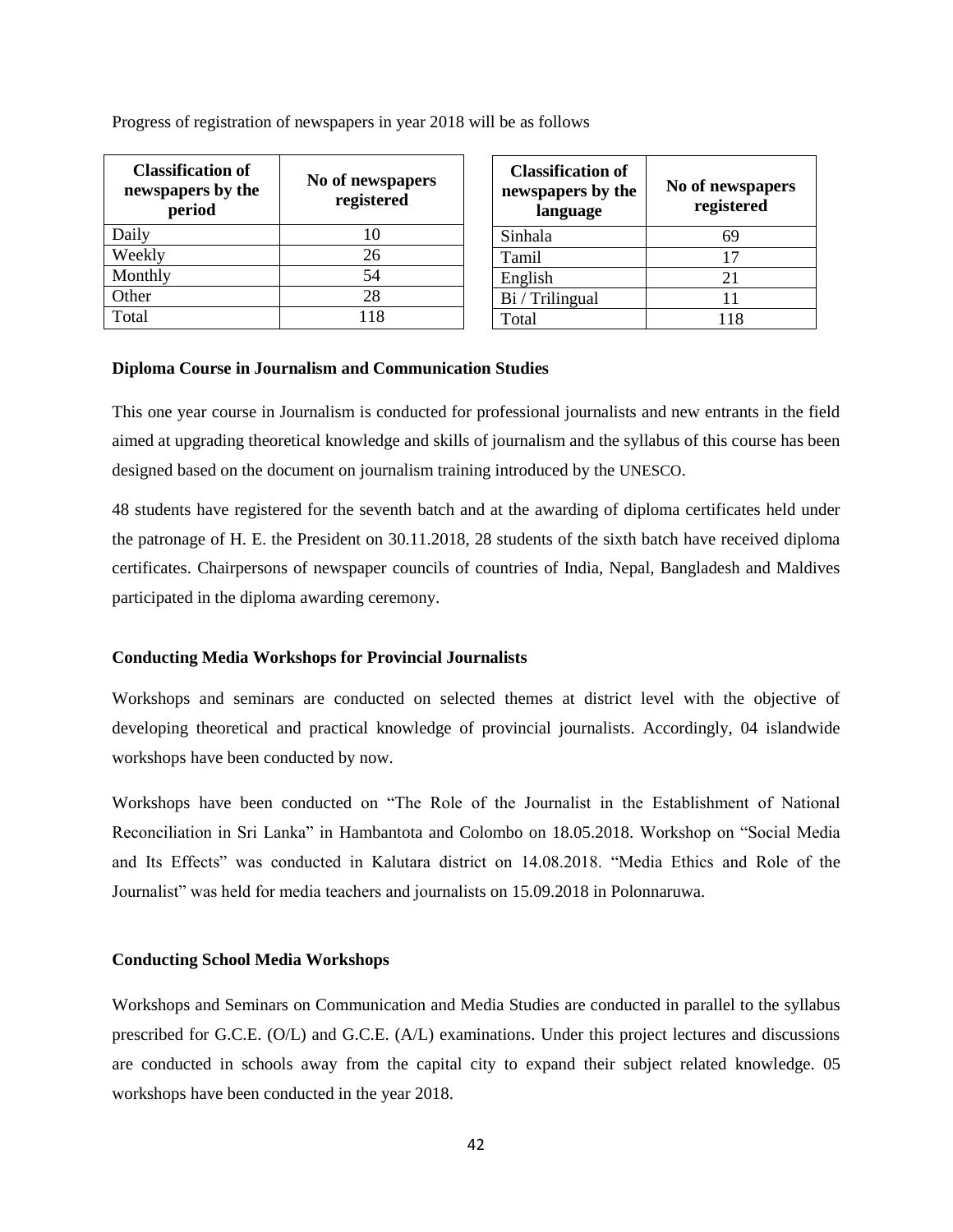| <b>Classification of</b><br>newspapers by the<br>period | No of newspapers<br>registered |
|---------------------------------------------------------|--------------------------------|
| Daily                                                   | 10                             |
| Weekly                                                  | 26                             |
| Monthly                                                 | 54                             |
| Other                                                   | 28                             |
| Total                                                   | 118                            |

Progress of registration of newspapers in year 2018 will be as follows

| <b>Classification of</b><br>newspapers by the<br>language | No of newspapers<br>registered |
|-----------------------------------------------------------|--------------------------------|
| Sinhala                                                   | 69                             |
| Tamil                                                     | 17                             |
| English                                                   | 21                             |
| Bi / Trilingual                                           | 11                             |
| Total                                                     | 118                            |

#### **Diploma Course in Journalism and Communication Studies**

This one year course in Journalism is conducted for professional journalists and new entrants in the field aimed at upgrading theoretical knowledge and skills of journalism and the syllabus of this course has been designed based on the document on journalism training introduced by the UNESCO.

48 students have registered for the seventh batch and at the awarding of diploma certificates held under the patronage of H. E. the President on 30.11.2018, 28 students of the sixth batch have received diploma certificates. Chairpersons of newspaper councils of countries of India, Nepal, Bangladesh and Maldives participated in the diploma awarding ceremony.

#### **Conducting Media Workshops for Provincial Journalists**

Workshops and seminars are conducted on selected themes at district level with the objective of developing theoretical and practical knowledge of provincial journalists. Accordingly, 04 islandwide workshops have been conducted by now.

Workshops have been conducted on "The Role of the Journalist in the Establishment of National Reconciliation in Sri Lanka" in Hambantota and Colombo on 18.05.2018. Workshop on "Social Media and Its Effects" was conducted in Kalutara district on 14.08.2018. "Media Ethics and Role of the Journalist" was held for media teachers and journalists on 15.09.2018 in Polonnaruwa.

#### **Conducting School Media Workshops**

Workshops and Seminars on Communication and Media Studies are conducted in parallel to the syllabus prescribed for G.C.E. (O/L) and G.C.E. (A/L) examinations. Under this project lectures and discussions are conducted in schools away from the capital city to expand their subject related knowledge. 05 workshops have been conducted in the year 2018.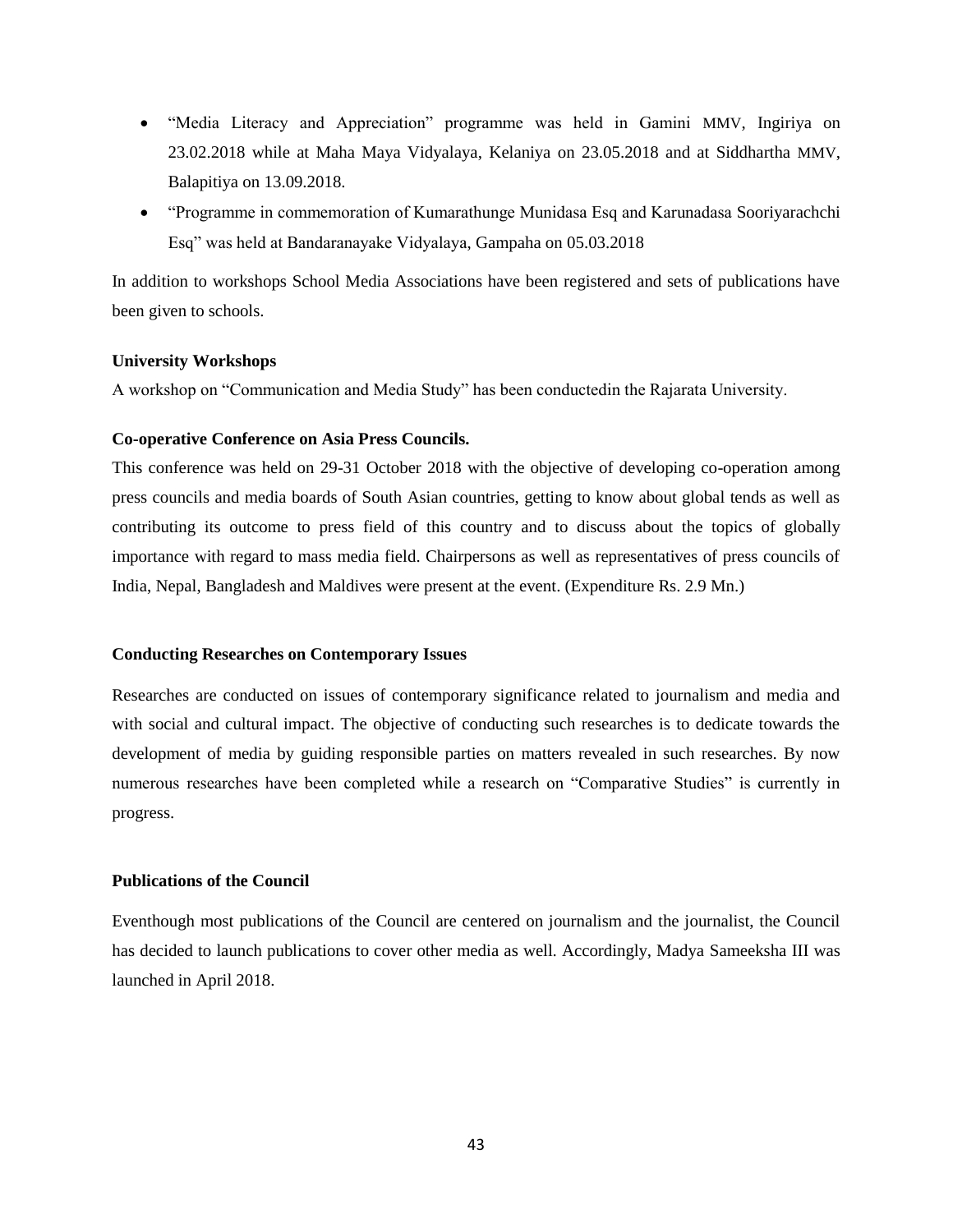- "Media Literacy and Appreciation" programme was held in Gamini MMV, Ingiriya on 23.02.2018 while at Maha Maya Vidyalaya, Kelaniya on 23.05.2018 and at Siddhartha MMV, Balapitiya on 13.09.2018.
- "Programme in commemoration of Kumarathunge Munidasa Esq and Karunadasa Sooriyarachchi Esq" was held at Bandaranayake Vidyalaya, Gampaha on 05.03.2018

In addition to workshops School Media Associations have been registered and sets of publications have been given to schools.

#### **University Workshops**

A workshop on "Communication and Media Study" has been conductedin the Rajarata University.

#### **Co-operative Conference on Asia Press Councils.**

This conference was held on 29-31 October 2018 with the objective of developing co-operation among press councils and media boards of South Asian countries, getting to know about global tends as well as contributing its outcome to press field of this country and to discuss about the topics of globally importance with regard to mass media field. Chairpersons as well as representatives of press councils of India, Nepal, Bangladesh and Maldives were present at the event. (Expenditure Rs. 2.9 Mn.)

#### **Conducting Researches on Contemporary Issues**

Researches are conducted on issues of contemporary significance related to journalism and media and with social and cultural impact. The objective of conducting such researches is to dedicate towards the development of media by guiding responsible parties on matters revealed in such researches. By now numerous researches have been completed while a research on "Comparative Studies" is currently in progress.

#### **Publications of the Council**

Eventhough most publications of the Council are centered on journalism and the journalist, the Council has decided to launch publications to cover other media as well. Accordingly, Madya Sameeksha III was launched in April 2018.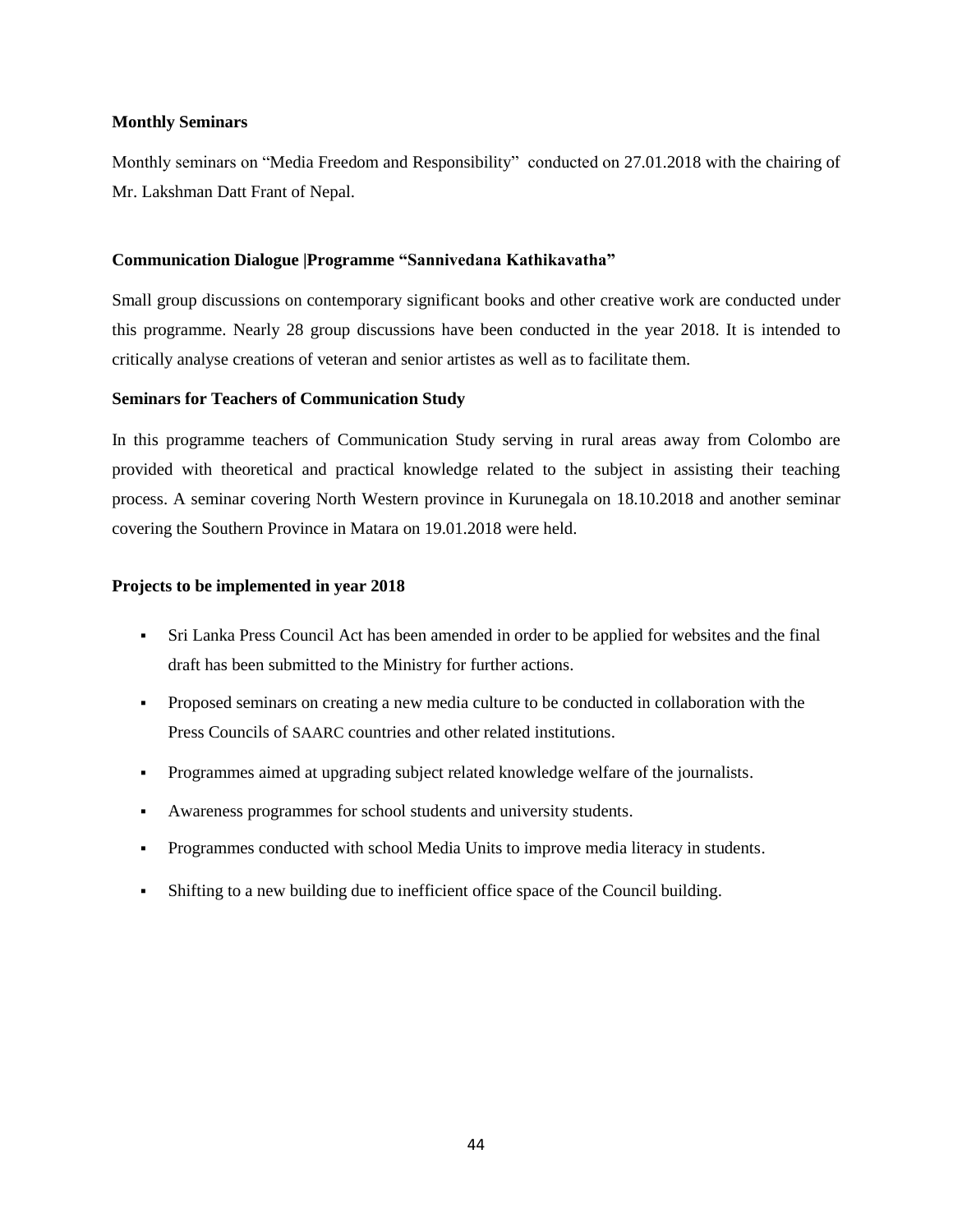#### **Monthly Seminars**

Monthly seminars on "Media Freedom and Responsibility" conducted on 27.01.2018 with the chairing of Mr. Lakshman Datt Frant of Nepal.

#### **Communication Dialogue |Programme "Sannivedana Kathikavatha"**

Small group discussions on contemporary significant books and other creative work are conducted under this programme. Nearly 28 group discussions have been conducted in the year 2018. It is intended to critically analyse creations of veteran and senior artistes as well as to facilitate them.

#### **Seminars for Teachers of Communication Study**

In this programme teachers of Communication Study serving in rural areas away from Colombo are provided with theoretical and practical knowledge related to the subject in assisting their teaching process. A seminar covering North Western province in Kurunegala on 18.10.2018 and another seminar covering the Southern Province in Matara on 19.01.2018 were held.

#### **Projects to be implemented in year 2018**

- Sri Lanka Press Council Act has been amended in order to be applied for websites and the final draft has been submitted to the Ministry for further actions.
- Proposed seminars on creating a new media culture to be conducted in collaboration with the Press Councils of SAARC countries and other related institutions.
- Programmes aimed at upgrading subject related knowledge welfare of the journalists.
- Awareness programmes for school students and university students.
- Programmes conducted with school Media Units to improve media literacy in students.
- Shifting to a new building due to inefficient office space of the Council building.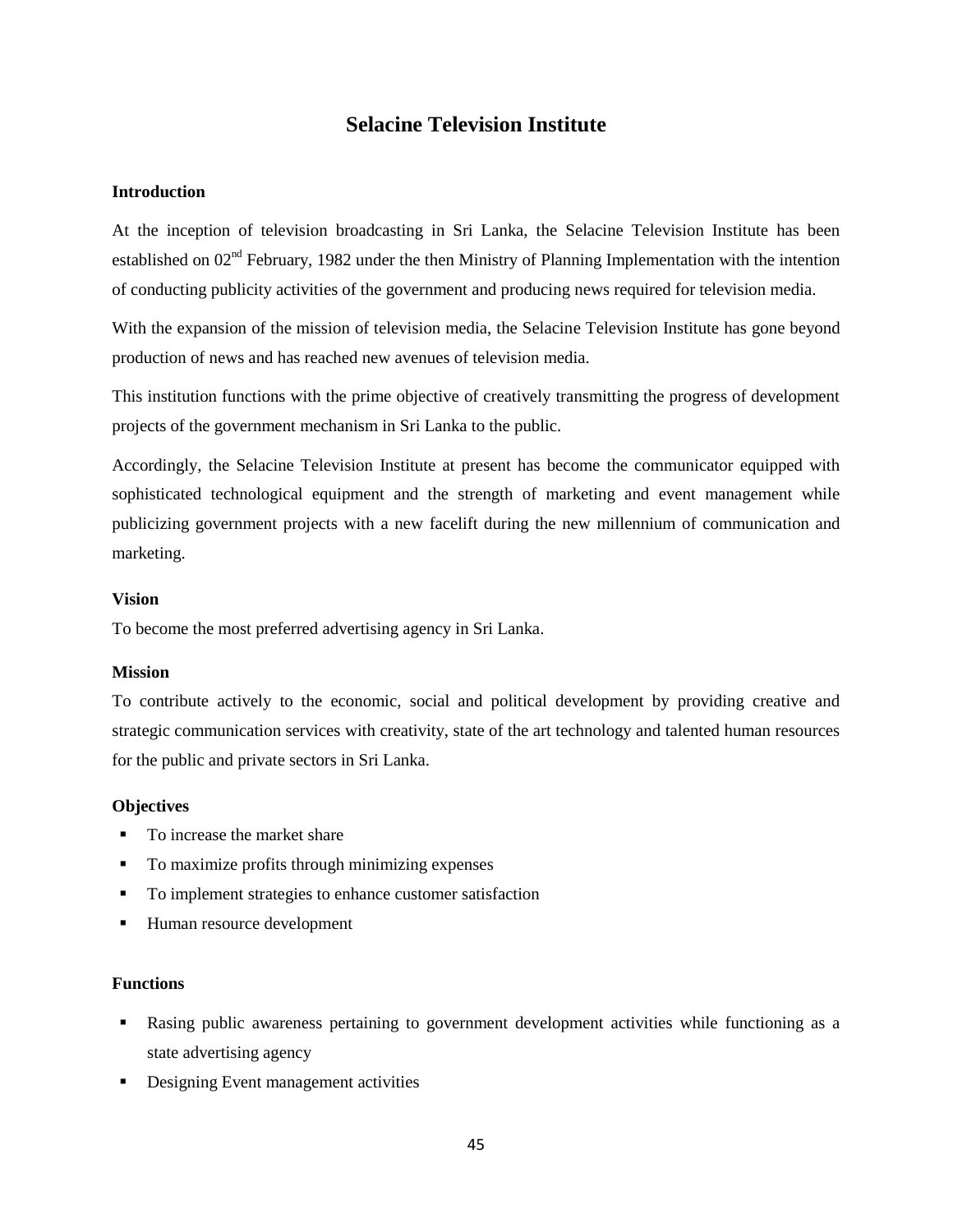# **Selacine Television Institute**

#### **Introduction**

At the inception of television broadcasting in Sri Lanka, the Selacine Television Institute has been established on 02<sup>nd</sup> February, 1982 under the then Ministry of Planning Implementation with the intention of conducting publicity activities of the government and producing news required for television media.

With the expansion of the mission of television media, the Selacine Television Institute has gone beyond production of news and has reached new avenues of television media.

This institution functions with the prime objective of creatively transmitting the progress of development projects of the government mechanism in Sri Lanka to the public.

Accordingly, the Selacine Television Institute at present has become the communicator equipped with sophisticated technological equipment and the strength of marketing and event management while publicizing government projects with a new facelift during the new millennium of communication and marketing.

#### **Vision**

To become the most preferred advertising agency in Sri Lanka.

#### **Mission**

To contribute actively to the economic, social and political development by providing creative and strategic communication services with creativity, state of the art technology and talented human resources for the public and private sectors in Sri Lanka.

#### **Objectives**

- To increase the market share
- To maximize profits through minimizing expenses
- To implement strategies to enhance customer satisfaction
- Human resource development

#### **Functions**

- Rasing public awareness pertaining to government development activities while functioning as a state advertising agency
- Designing Event management activities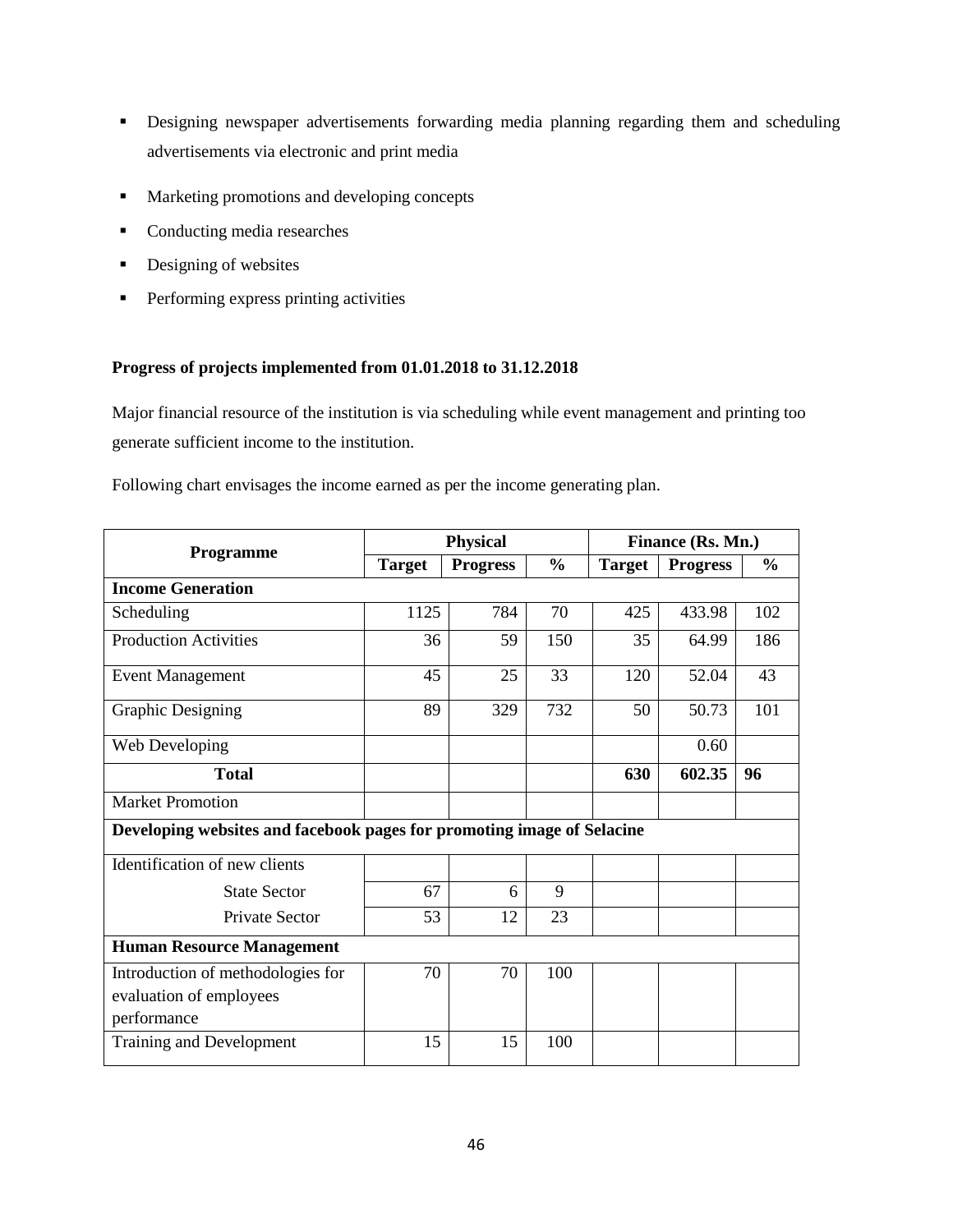- Designing newspaper advertisements forwarding media planning regarding them and scheduling advertisements via electronic and print media
- **Marketing promotions and developing concepts**
- Conducting media researches
- Designing of websites
- **Performing express printing activities**

#### **Progress of projects implemented from 01.01.2018 to 31.12.2018**

Major financial resource of the institution is via scheduling while event management and printing too generate sufficient income to the institution.

Following chart envisages the income earned as per the income generating plan.

| Programme                                                                   | <b>Physical</b> |                 |               | Finance (Rs. Mn.) |                 |               |
|-----------------------------------------------------------------------------|-----------------|-----------------|---------------|-------------------|-----------------|---------------|
|                                                                             | <b>Target</b>   | <b>Progress</b> | $\frac{0}{0}$ | <b>Target</b>     | <b>Progress</b> | $\frac{0}{0}$ |
| <b>Income Generation</b>                                                    |                 |                 |               |                   |                 |               |
| Scheduling                                                                  | 1125            | 784             | 70            | 425               | 433.98          | 102           |
| <b>Production Activities</b>                                                | 36              | 59              | 150           | 35                | 64.99           | 186           |
| <b>Event Management</b>                                                     | 45              | 25              | 33            | 120               | 52.04           | 43            |
| <b>Graphic Designing</b>                                                    | 89              | 329             | 732           | 50                | 50.73           | 101           |
| Web Developing                                                              |                 |                 |               |                   | 0.60            |               |
| <b>Total</b>                                                                |                 |                 |               | 630               | 602.35          | 96            |
| <b>Market Promotion</b>                                                     |                 |                 |               |                   |                 |               |
| Developing websites and facebook pages for promoting image of Selacine      |                 |                 |               |                   |                 |               |
| Identification of new clients                                               |                 |                 |               |                   |                 |               |
| <b>State Sector</b>                                                         | 67              | 6               | 9             |                   |                 |               |
| Private Sector                                                              | 53              | 12              | 23            |                   |                 |               |
| <b>Human Resource Management</b>                                            |                 |                 |               |                   |                 |               |
| Introduction of methodologies for<br>evaluation of employees<br>performance | 70              | 70              | 100           |                   |                 |               |
| Training and Development                                                    | 15              | 15              | 100           |                   |                 |               |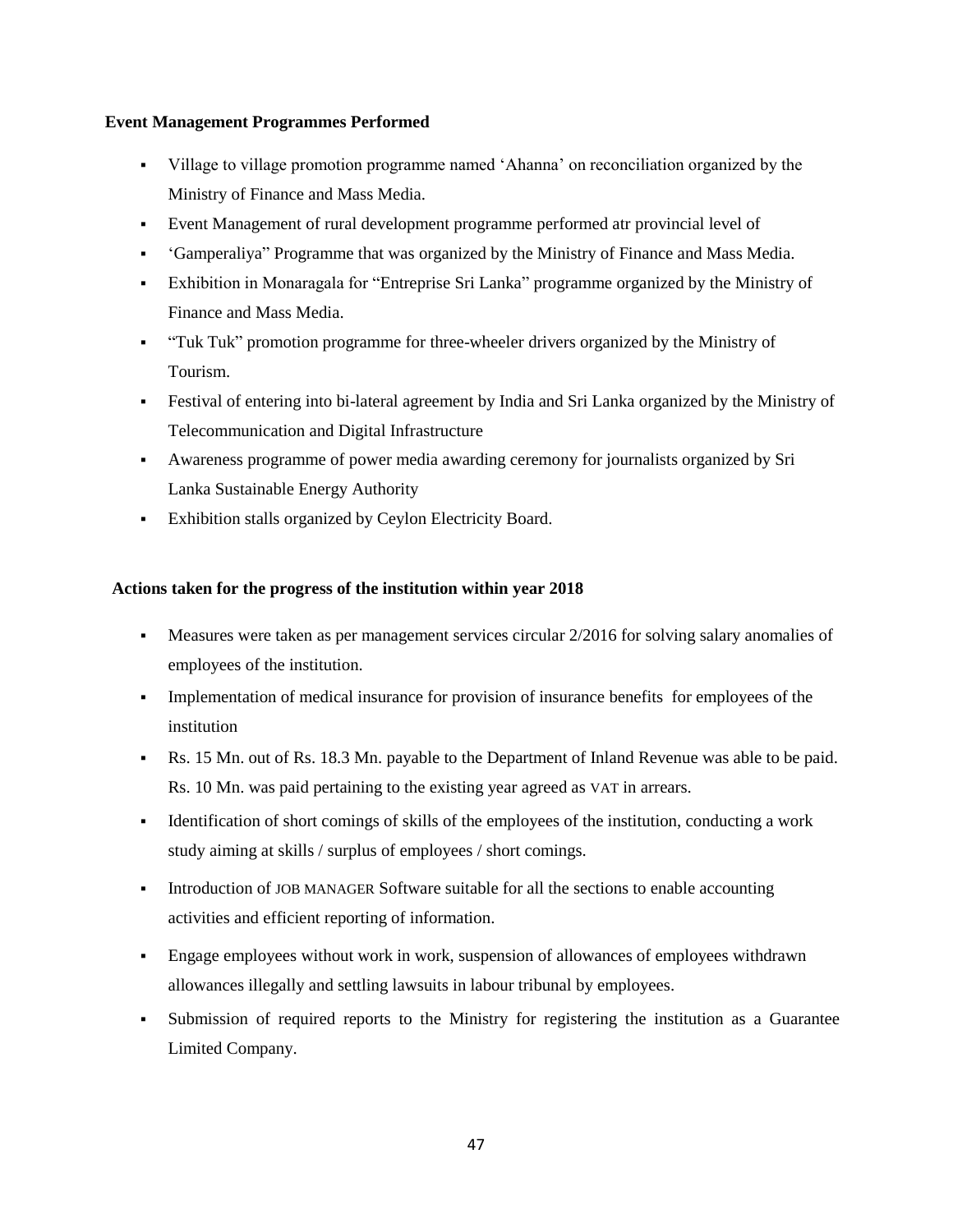#### **Event Management Programmes Performed**

- Village to village promotion programme named "Ahanna" on reconciliation organized by the Ministry of Finance and Mass Media.
- Event Management of rural development programme performed atr provincial level of
- "Gamperaliya" Programme that was organized by the Ministry of Finance and Mass Media.
- Exhibition in Monaragala for "Entreprise Sri Lanka" programme organized by the Ministry of Finance and Mass Media.
- "Tuk Tuk" promotion programme for three-wheeler drivers organized by the Ministry of Tourism.
- Festival of entering into bi-lateral agreement by India and Sri Lanka organized by the Ministry of Telecommunication and Digital Infrastructure
- Awareness programme of power media awarding ceremony for journalists organized by Sri Lanka Sustainable Energy Authority
- Exhibition stalls organized by Ceylon Electricity Board.

# **Actions taken for the progress of the institution within year 2018**

- Measures were taken as per management services circular 2/2016 for solving salary anomalies of employees of the institution.
- Implementation of medical insurance for provision of insurance benefits for employees of the institution
- Rs. 15 Mn. out of Rs. 18.3 Mn. payable to the Department of Inland Revenue was able to be paid. Rs. 10 Mn. was paid pertaining to the existing year agreed as VAT in arrears.
- Identification of short comings of skills of the employees of the institution, conducting a work study aiming at skills / surplus of employees / short comings.
- Introduction of JOB MANAGER Software suitable for all the sections to enable accounting activities and efficient reporting of information.
- Engage employees without work in work, suspension of allowances of employees withdrawn allowances illegally and settling lawsuits in labour tribunal by employees.
- Submission of required reports to the Ministry for registering the institution as a Guarantee Limited Company.